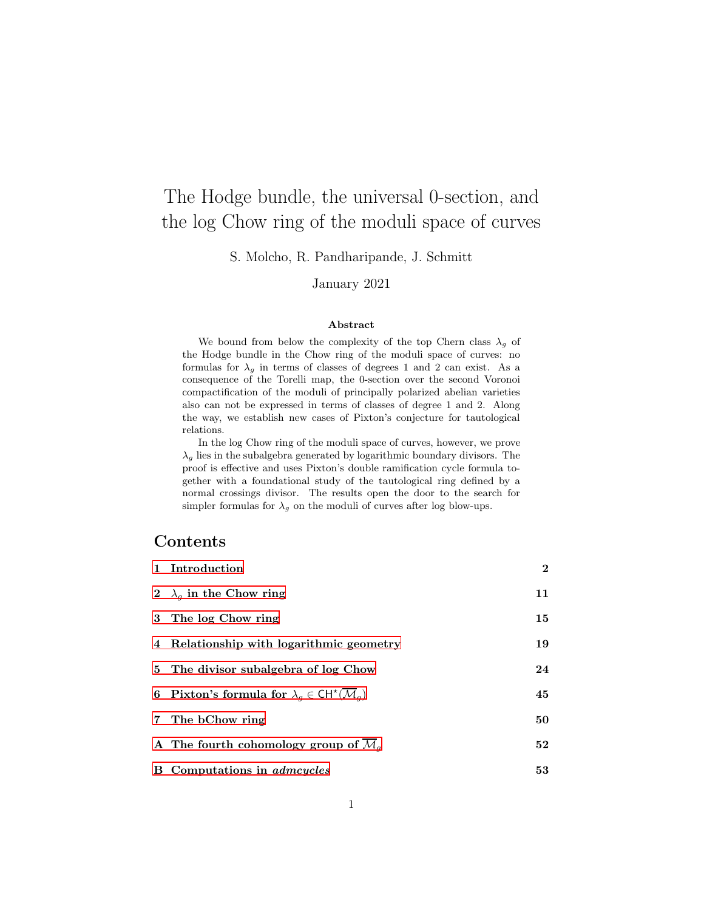# The Hodge bundle, the universal 0-section, and the log Chow ring of the moduli space of curves

S. Molcho, R. Pandharipande, J. Schmitt

# January 2021

#### Abstract

We bound from below the complexity of the top Chern class  $\lambda_g$  of the Hodge bundle in the Chow ring of the moduli space of curves: no formulas for  $\lambda_g$  in terms of classes of degrees 1 and 2 can exist. As a consequence of the Torelli map, the 0-section over the second Voronoi compactification of the moduli of principally polarized abelian varieties also can not be expressed in terms of classes of degree 1 and 2. Along the way, we establish new cases of Pixton's conjecture for tautological relations.

In the log Chow ring of the moduli space of curves, however, we prove  $\lambda_g$  lies in the subalgebra generated by logarithmic boundary divisors. The proof is effective and uses Pixton's double ramification cycle formula together with a foundational study of the tautological ring defined by a normal crossings divisor. The results open the door to the search for simpler formulas for  $\lambda_g$  on the moduli of curves after log blow-ups.

# Contents

| 1 Introduction                                                                       | $\mathbf{2}$ |
|--------------------------------------------------------------------------------------|--------------|
| 2 $\lambda_q$ in the Chow ring                                                       | 11           |
| 3 The log Chow ring                                                                  | 15           |
| 4 Relationship with logarithmic geometry                                             | 19           |
| 5 The divisor subalgebra of log Chow                                                 | 24           |
| 6 Pixton's formula for $\lambda_q \in \mathrm{CH}^{\star}(\overline{\mathcal{M}}_q)$ | 45           |
| 7 The bChow ring                                                                     | 50           |
| A The fourth cohomology group of $\overline{\mathcal{M}}_q$                          | 52           |
| <b>B</b> Computations in <i>admcycles</i>                                            | 53           |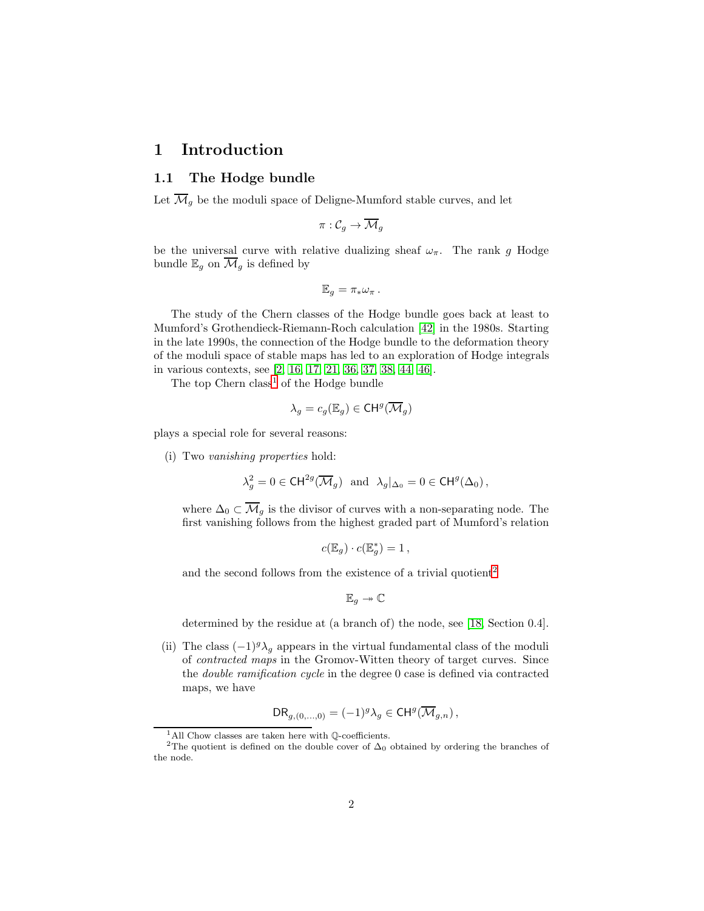# <span id="page-1-0"></span>1 Introduction

## 1.1 The Hodge bundle

Let  $\overline{\mathcal{M}}_g$  be the moduli space of Deligne-Mumford stable curves, and let

$$
\pi:\mathcal{C}_g\rightarrow \overline{\mathcal{M}}_g
$$

be the universal curve with relative dualizing sheaf  $\omega_{\pi}$ . The rank g Hodge bundle  $\mathbb{E}_g$  on  $\overline{\mathcal{M}}_g$  is defined by

$$
\mathbb{E}_g = \pi_* \omega_{\pi}.
$$

The study of the Chern classes of the Hodge bundle goes back at least to Mumford's Grothendieck-Riemann-Roch calculation [\[42\]](#page-57-0) in the 1980s. Starting in the late 1990s, the connection of the Hodge bundle to the deformation theory of the moduli space of stable maps has led to an exploration of Hodge integrals in various contexts, see [\[2,](#page-54-0) [16,](#page-55-0) [17,](#page-55-1) [21,](#page-55-2) [36,](#page-56-0) [37,](#page-56-1) [38,](#page-56-2) [44,](#page-57-1) [46\]](#page-57-2).

The top Chern class<sup>[1](#page-1-1)</sup> of the Hodge bundle

$$
\lambda_g = c_g(\mathbb{E}_g) \in \mathsf{CH}^g(\overline{\mathcal{M}}_g)
$$

plays a special role for several reasons:

(i) Two vanishing properties hold:

$$
\lambda_g^2 = 0 \in \mathrm{CH}^{2g}(\overline{\mathcal{M}}_g) \text{ and } \lambda_g|_{\Delta_0} = 0 \in \mathrm{CH}^g(\Delta_0),
$$

where  $\Delta_0 \subset \overline{\mathcal{M}}_q$  is the divisor of curves with a non-separating node. The first vanishing follows from the highest graded part of Mumford's relation

$$
c(\mathbb{E}_g) \cdot c(\mathbb{E}_g^*) = 1 ,
$$

and the second follows from the existence of a trivial quotient<sup>[2](#page-1-2)</sup>

$$
\mathbb{E}_g \twoheadrightarrow \mathbb{C}
$$

determined by the residue at (a branch of) the node, see [\[18,](#page-55-3) Section 0.4].

(ii) The class  $(-1)^{g} \lambda_q$  appears in the virtual fundamental class of the moduli of contracted maps in the Gromov-Witten theory of target curves. Since the double ramification cycle in the degree 0 case is defined via contracted maps, we have

$$
\mathrm{DR}_{g,(0,\ldots,0)} = (-1)^g \lambda_g \in \mathrm{CH}^g(\overline{\mathcal{M}}_{g,n}),
$$

<span id="page-1-1"></span> $1$ All Chow classes are taken here with  $\mathbb Q$ -coefficients.

<span id="page-1-2"></span><sup>&</sup>lt;sup>2</sup>The quotient is defined on the double cover of  $\Delta_0$  obtained by ordering the branches of the node.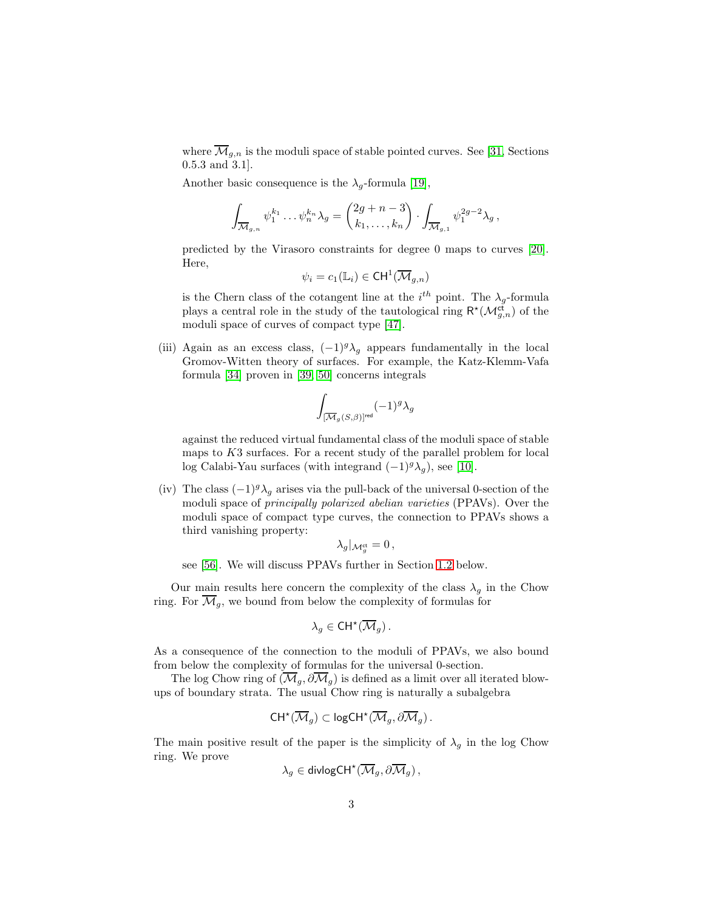where  $\overline{\mathcal{M}}_{g,n}$  is the moduli space of stable pointed curves. See [\[31,](#page-56-3) Sections 0.5.3 and 3.1].

Another basic consequence is the  $\lambda_g$ -formula [\[19\]](#page-55-4),

$$
\int_{\overline{\mathcal{M}}_{g,n}} \psi_1^{k_1} \dots \psi_n^{k_n} \lambda_g = \begin{pmatrix} 2g+n-3 \\ k_1, \dots, k_n \end{pmatrix} \cdot \int_{\overline{\mathcal{M}}_{g,1}} \psi_1^{2g-2} \lambda_g,
$$

predicted by the Virasoro constraints for degree 0 maps to curves [\[20\]](#page-55-5). Here,

$$
\psi_i = c_1(\mathbb{L}_i) \in \mathsf{CH}^1(\overline{\mathcal{M}}_{g,n})
$$

is the Chern class of the cotangent line at the  $i^{th}$  point. The  $\lambda_g$ -formula plays a central role in the study of the tautological ring  $\mathsf{R}^{\star}(\mathcal{M}_{g,n}^{\mathsf{ct}})$  of the moduli space of curves of compact type [\[47\]](#page-57-3).

(iii) Again as an excess class,  $(-1)^{g} \lambda_{g}$  appears fundamentally in the local Gromov-Witten theory of surfaces. For example, the Katz-Klemm-Vafa formula [\[34\]](#page-56-4) proven in [\[39,](#page-56-5) [50\]](#page-57-4) concerns integrals

$$
\int_{[\overline{\mathcal{M}}_g(S,\beta)]^{\mathrm{red}}} (-1)^g \lambda_g
$$

against the reduced virtual fundamental class of the moduli space of stable maps to  $K3$  surfaces. For a recent study of the parallel problem for local log Calabi-Yau surfaces (with integrand  $(-1)^{g} \lambda_g$ ), see [\[10\]](#page-54-1).

(iv) The class  $(-1)^{g} \lambda_q$  arises via the pull-back of the universal 0-section of the moduli space of principally polarized abelian varieties (PPAVs). Over the moduli space of compact type curves, the connection to PPAVs shows a third vanishing property:

$$
\lambda_g|_{\mathcal{M}_g^{\mathrm{ct}}} = 0 \,,
$$

see [\[56\]](#page-57-5). We will discuss PPAVs further in Section [1.2](#page-3-0) below.

Our main results here concern the complexity of the class  $\lambda_q$  in the Chow ring. For  $\overline{\mathcal{M}}_g$ , we bound from below the complexity of formulas for

$$
\lambda_g \in \mathrm{CH}^{\star}(\overline{\mathcal{M}}_g).
$$

As a consequence of the connection to the moduli of PPAVs, we also bound from below the complexity of formulas for the universal 0-section.

The log Chow ring of  $(\overline{\mathcal{M}}_q, \partial \overline{\mathcal{M}}_q)$  is defined as a limit over all iterated blowups of boundary strata. The usual Chow ring is naturally a subalgebra

$$
\mathrm{CH}^{\star}(\overline{\mathcal{M}}_g)\subset \mathrm{logCH}^{\star}(\overline{\mathcal{M}}_g,\partial\overline{\mathcal{M}}_g)\,.
$$

The main positive result of the paper is the simplicity of  $\lambda_g$  in the log Chow ring. We prove

$$
\lambda_g\in\mathsf{divlogCH}^{\star}(\overline{\mathcal{M}}_g,\partial\overline{\mathcal{M}}_g)\,,
$$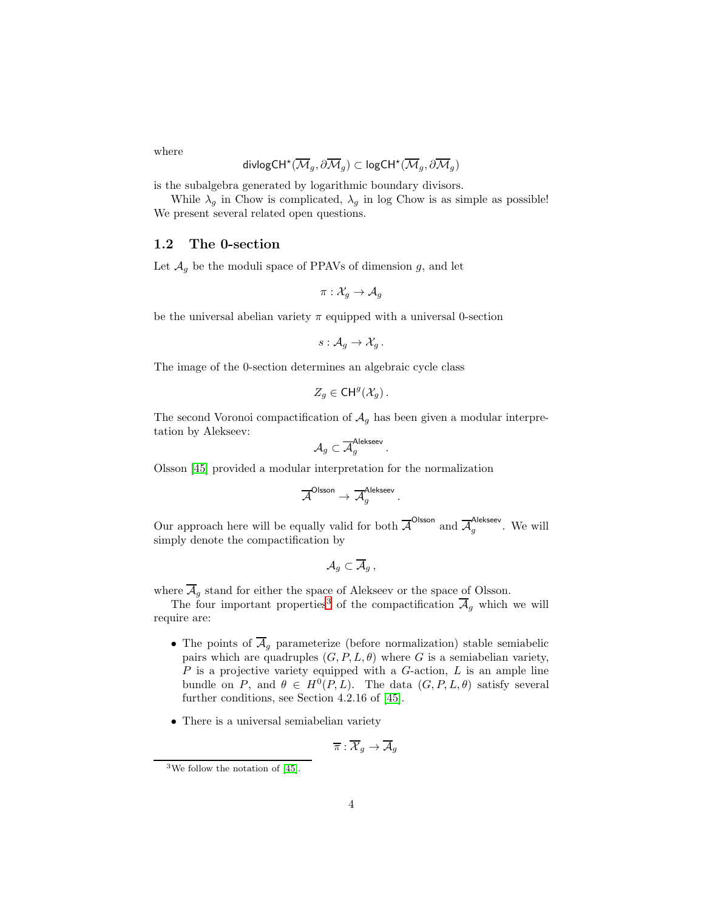where

$$
\mathsf{divlogCH}^\star(\overline{\mathcal{M}}_g,\partial\overline{\mathcal{M}}_g)\subset \mathsf{logCH}^\star(\overline{\mathcal{M}}_g,\partial\overline{\mathcal{M}}_g)
$$

is the subalgebra generated by logarithmic boundary divisors.

While  $\lambda_g$  in Chow is complicated,  $\lambda_g$  in log Chow is as simple as possible! We present several related open questions.

### <span id="page-3-0"></span>1.2 The 0-section

Let  $\mathcal{A}_g$  be the moduli space of PPAVs of dimension g, and let

$$
\pi: \mathcal{X}_g \to \mathcal{A}_g
$$

be the universal abelian variety  $\pi$  equipped with a universal 0-section

$$
s: \mathcal{A}_g \to \mathcal{X}_g.
$$

The image of the 0-section determines an algebraic cycle class

$$
Z_g \in \mathsf{CH}^g(\mathcal{X}_g).
$$

The second Voronoi compactification of  $A<sub>q</sub>$  has been given a modular interpretation by Alekseev:

$$
\mathcal{A}_g \subset \overline{\mathcal{A}}_g^{\mathsf{Alekseev}}\,.
$$

Olsson [\[45\]](#page-57-6) provided a modular interpretation for the normalization

$$
\overline{\mathcal{A}}^{\mathsf{OIsson}} \to \overline{\mathcal{A}}_g^{\mathsf{Alekseev}}.
$$

Our approach here will be equally valid for both  $\overline{A}^{\text{Olsson}}$  and  $\overline{A}^{\text{Alekseev}}$  $\frac{g}{g}$ . We will simply denote the compactification by

$$
\mathcal{A}_g\subset \overline{\mathcal{A}}_g\,,
$$

where  $\overline{\mathcal{A}}_g$  stand for either the space of Alekseev or the space of Olsson.

The four important properties<sup>[3](#page-3-1)</sup> of the compactification  $\overline{\mathcal{A}}_g$  which we will require are:

- The points of  $\overline{\mathcal{A}}_g$  parameterize (before normalization) stable semiabelic pairs which are quadruples  $(G, P, L, \theta)$  where G is a semiabelian variety,  $P$  is a projective variety equipped with a  $G$ -action,  $L$  is an ample line bundle on P, and  $\theta \in H^0(P, L)$ . The data  $(G, P, L, \theta)$  satisfy several further conditions, see Section 4.2.16 of [\[45\]](#page-57-6).
- There is a universal semiabelian variety

$$
\overline{\pi}:\overline{\mathcal{X}}_g\to\overline{\mathcal{A}}_g
$$

<span id="page-3-1"></span><sup>3</sup>We follow the notation of [\[45\]](#page-57-6).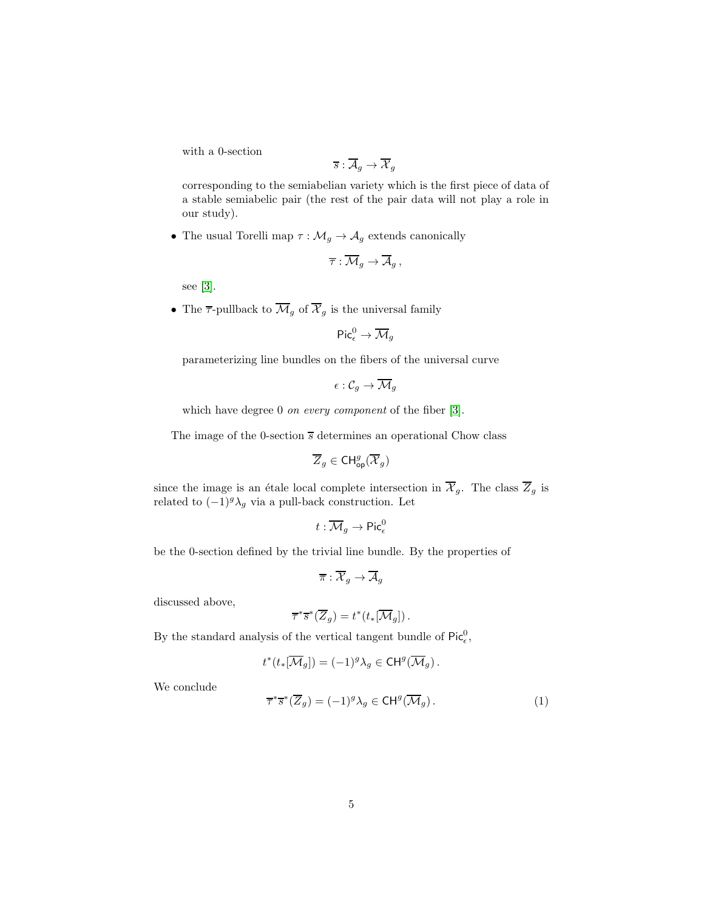with a 0-section

$$
\overline{s}:\overline{\mathcal{A}}_g\rightarrow \overline{\mathcal{X}}_g
$$

corresponding to the semiabelian variety which is the first piece of data of a stable semiabelic pair (the rest of the pair data will not play a role in our study).

• The usual Torelli map  $\tau: \mathcal{M}_g \to \mathcal{A}_g$  extends canonically

$$
\overline{\tau}:\overline{\mathcal{M}}_g\to\overline{\mathcal{A}}_g\,,
$$

see [\[3\]](#page-54-2).

• The  $\overline{\tau}$ -pullback to  $\overline{\mathcal{M}}_g$  of  $\overline{\mathcal{X}}_g$  is the universal family

$$
\mathsf{Pic}^0_\epsilon\to \overline{\mathcal{M}}_g
$$

parameterizing line bundles on the fibers of the universal curve

$$
\epsilon: \mathcal{C}_g \to \overline{\mathcal{M}}_g
$$

which have degree 0 *on every component* of the fiber [\[3\]](#page-54-2).

The image of the 0-section  $\overline{s}$  determines an operational Chow class

$$
\overline{Z}_g \in \mathsf{CH}^g_{\mathsf{op}}(\overline{\mathcal{X}}_g)
$$

since the image is an étale local complete intersection in  $\overline{X}_g$ . The class  $\overline{Z}_g$  is related to  $(-1)^g \lambda_g$  via a pull-back construction. Let

$$
t:\overline{\mathcal{M}}_g\to \operatorname{Pic}^0_\epsilon
$$

be the 0-section defined by the trivial line bundle. By the properties of

$$
\overline{\pi}:\overline{\mathcal{X}}_g\to\overline{\mathcal{A}}_g
$$

discussed above,

$$
\overline{\tau}^*\overline{s}^*(\overline{Z}_g)=t^*(t_*[\overline{\mathcal{M}}_g])\,.
$$

By the standard analysis of the vertical tangent bundle of  $\text{Pic}_{\epsilon}^{0}$ ,

$$
t^*(t_*[\overline{\mathcal{M}}_g])=(-1)^g\lambda_g\in \mathrm{CH}^g(\overline{\mathcal{M}}_g)\,.
$$

We conclude

<span id="page-4-0"></span>
$$
\overline{\tau}^* \overline{s}^* (\overline{Z}_g) = (-1)^g \lambda_g \in \text{CH}^g(\overline{\mathcal{M}}_g).
$$
 (1)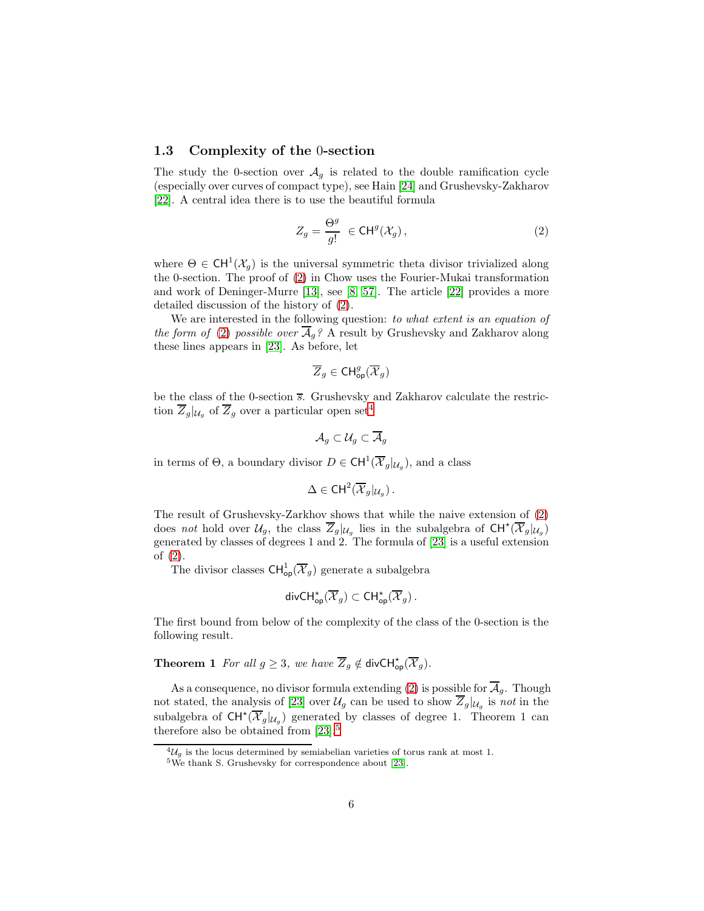### 1.3 Complexity of the 0-section

The study the 0-section over  $A<sub>g</sub>$  is related to the double ramification cycle (especially over curves of compact type), see Hain [\[24\]](#page-55-6) and Grushevsky-Zakharov [\[22\]](#page-55-7). A central idea there is to use the beautiful formula

<span id="page-5-0"></span>
$$
Z_g = \frac{\Theta^g}{g!} \in \mathsf{CH}^g(\mathcal{X}_g)\,,\tag{2}
$$

where  $\Theta \in \text{CH}^1(\mathcal{X}_g)$  is the universal symmetric theta divisor trivialized along the 0-section. The proof of [\(2\)](#page-5-0) in Chow uses the Fourier-Mukai transformation and work of Deninger-Murre [\[13\]](#page-55-8), see [\[8,](#page-54-3) [57\]](#page-57-7). The article [\[22\]](#page-55-7) provides a more detailed discussion of the history of [\(2\)](#page-5-0).

We are interested in the following question: to what extent is an equation of the form of [\(2\)](#page-5-0) possible over  $\overline{\mathcal{A}}_q$ ? A result by Grushevsky and Zakharov along these lines appears in [\[23\]](#page-55-9). As before, let

$$
\overline{Z}_g\in \mathrm{CH}^g_{\mathrm{op}}(\overline{\mathcal{X}}_g)
$$

be the class of the 0-section  $\overline{s}$ . Grushevsky and Zakharov calculate the restriction  $\overline{Z}_g|_{\mathcal{U}_g}$  of  $\overline{Z}_g$  over a particular open set<sup>[4](#page-5-1)</sup>

$$
\mathcal{A}_g\subset\mathcal{U}_g\subset \overline{\mathcal{A}}_g
$$

in terms of  $\Theta$ , a boundary divisor  $D \in \text{CH}^1(\overline{\mathcal{X}}_g|_{\mathcal{U}_g})$ , and a class

$$
\Delta \in \mathsf{CH}^2(\overline{\mathcal{X}}_g|_{\mathcal{U}_g})\,.
$$

The result of Grushevsky-Zarkhov shows that while the naive extension of [\(2\)](#page-5-0) does not hold over  $\mathcal{U}_g$ , the class  $\overline{Z}_g|_{\mathcal{U}_g}$  lies in the subalgebra of  $CH^{\star}(\overline{\mathcal{X}}_g|_{\mathcal{U}_g})$ generated by classes of degrees 1 and 2. The formula of [\[23\]](#page-55-9) is a useful extension of [\(2\)](#page-5-0).

The divisor classes  $\text{CH}^1_{\text{op}}(\overline{\mathcal{X}}_g)$  generate a subalgebra

$$
\mathsf{divCH}^\star_{\mathsf{op}}(\overline{\mathcal{X}}_g)\subset \mathsf{CH}^\star_{\mathsf{op}}(\overline{\mathcal{X}}_g)\,.
$$

<span id="page-5-3"></span>The first bound from below of the complexity of the class of the 0-section is the following result.

**Theorem 1** For all  $g \geq 3$ , we have  $\overline{Z}_g \notin \text{divCH}^{\star}_{op}(\overline{X}_g)$ .

As a consequence, no divisor formula extending [\(2\)](#page-5-0) is possible for  $\overline{\mathcal{A}}_g$ . Though not stated, the analysis of [\[23\]](#page-55-9) over  $\mathcal{U}_g$  can be used to show  $Z_g|_{\mathcal{U}_g}$  is not in the subalgebra of  $CH^{\star}(\overline{X}_{g} |_{U_{g}})$  generated by classes of degree 1. Theorem 1 can therefore also be obtained from  $[23]$ <sup>[5](#page-5-2)</sup>

 ${}^4\mathcal{U}_g$  is the locus determined by semiabelian varieties of torus rank at most 1.

<span id="page-5-2"></span><span id="page-5-1"></span><sup>5</sup>We thank S. Grushevsky for correspondence about [\[23\]](#page-55-9).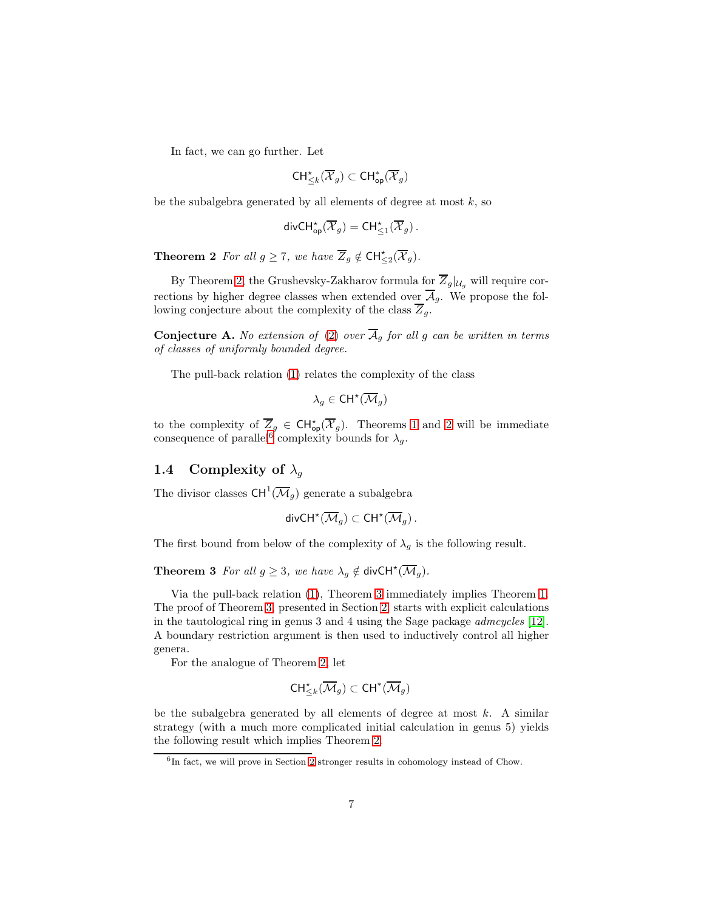In fact, we can go further. Let

$$
\mathsf{CH}^\star_{\leq k}(\overline{\mathcal{X}}_g) \subset \mathsf{CH}^*_{\mathsf{op}}(\overline{\mathcal{X}}_g)
$$

be the subalgebra generated by all elements of degree at most  $k$ , so

$$
\mathsf{divCH}^\star_{\mathsf{op}}(\overline{\mathcal{X}}_g) = \mathsf{CH}^\star_{\leq 1}(\overline{\mathcal{X}}_g).
$$

<span id="page-6-0"></span>**Theorem 2** For all  $g \ge 7$ , we have  $\overline{Z}_g \notin \text{CH}^{\star}_{\le 2}(\overline{X}_g)$ .

By Theorem [2,](#page-6-0) the Grushevsky-Zakharov formula for  $\overline{Z}_q|_{\mathcal{U}_q}$  will require corrections by higher degree classes when extended over  $\overline{\mathcal{A}}_g$ . We propose the following conjecture about the complexity of the class  $\overline{Z}_g$ .

**Conjecture A.** No extension of [\(2\)](#page-5-0) over  $\overline{A}_q$  for all g can be written in terms of classes of uniformly bounded degree.

The pull-back relation [\(1\)](#page-4-0) relates the complexity of the class

 $\lambda_g\in\mathsf{CH}^{\star}(\overline{\mathcal{M}}_g)$ 

to the complexity of  $\overline{Z}_g \in \text{CH}^{\star}_{\text{op}}(\overline{X}_g)$ . Theorems [1](#page-5-3) and [2](#page-6-0) will be immediate consequence of parallel<sup>[6](#page-6-1)</sup> complexity bounds for  $\lambda_g$ .

# 1.4 Complexity of  $\lambda_q$

The divisor classes  $\text{CH}^1(\overline{\mathcal{M}}_g)$  generate a subalgebra

$$
\mathsf{divCH}^{\star}(\overline{\mathcal{M}}_g)\subset \mathsf{CH}^{\star}(\overline{\mathcal{M}}_g)\,.
$$

<span id="page-6-2"></span>The first bound from below of the complexity of  $\lambda_q$  is the following result.

**Theorem 3** For all  $g \geq 3$ , we have  $\lambda_g \notin \text{divCH}^{\star}(\overline{\mathcal{M}}_g)$ .

Via the pull-back relation [\(1\)](#page-4-0), Theorem [3](#page-6-2) immediately implies Theorem [1.](#page-5-3) The proof of Theorem [3,](#page-6-2) presented in Section [2,](#page-10-0) starts with explicit calculations in the tautological ring in genus 3 and 4 using the Sage package admcycles [\[12\]](#page-55-10). A boundary restriction argument is then used to inductively control all higher genera.

For the analogue of Theorem [2,](#page-6-0) let

$$
\mathsf{CH}^\star_{\leq k}(\overline{\mathcal{M}}_g)\subset \mathsf{CH}^*(\overline{\mathcal{M}}_g)
$$

be the subalgebra generated by all elements of degree at most  $k$ . A similar strategy (with a much more complicated initial calculation in genus 5) yields the following result which implies Theorem [2.](#page-6-0)

<span id="page-6-3"></span><span id="page-6-1"></span><sup>&</sup>lt;sup>6</sup>In fact, we will prove in Section [2](#page-10-0) stronger results in cohomology instead of Chow.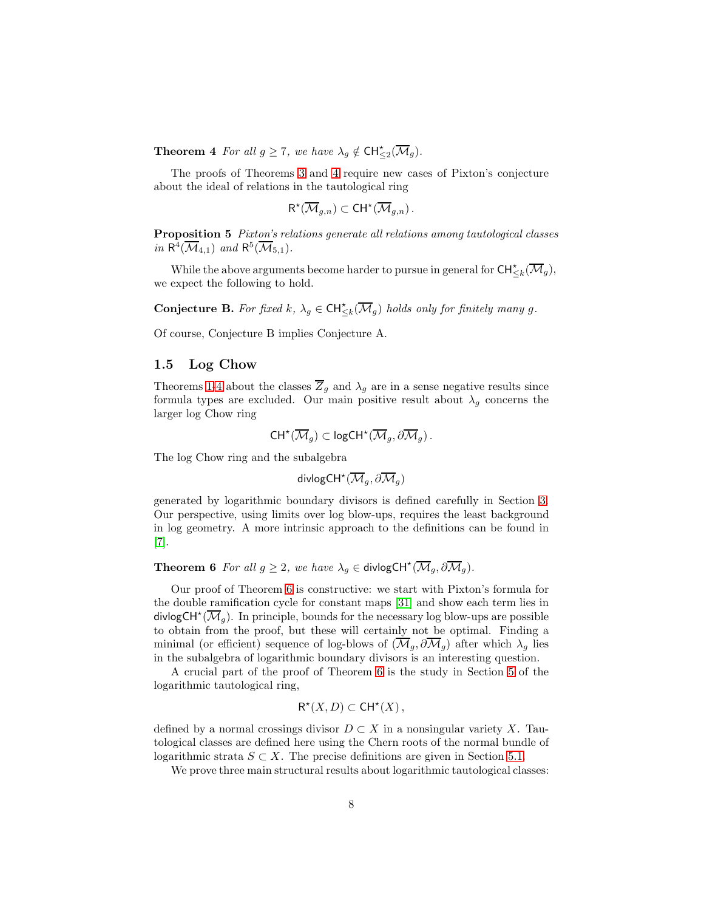**Theorem 4** For all  $g \ge 7$ , we have  $\lambda_g \notin \text{CH}^{\star}_{\le 2}(\overline{\mathcal{M}}_g)$ .

The proofs of Theorems [3](#page-6-2) and [4](#page-6-3) require new cases of Pixton's conjecture about the ideal of relations in the tautological ring

$$
\mathsf{R}^{\star}(\overline{\mathcal{M}}_{g,n})\subset \mathsf{CH}^{\star}(\overline{\mathcal{M}}_{g,n}).
$$

<span id="page-7-1"></span>Proposition 5 Pixton's relations generate all relations among tautological classes in  $\mathsf{R}^4(\overline{\mathcal{M}}_{4,1})$  and  $\mathsf{R}^5(\overline{\mathcal{M}}_{5,1})$ .

While the above arguments become harder to pursue in general for  $\mathsf{CH}^\star_{\leq k}(\overline{\mathcal M}_g),$ we expect the following to hold.

**Conjecture B.** For fixed  $k, \lambda_g \in \text{CH}^{\star}_{\leq k}(\overline{\mathcal{M}}_g)$  holds only for finitely many g.

Of course, Conjecture B implies Conjecture A.

# 1.5 Log Chow

Theorems [1-](#page-5-3)[4](#page-6-3) about the classes  $\overline{Z}_q$  and  $\lambda_q$  are in a sense negative results since formula types are excluded. Our main positive result about  $\lambda_q$  concerns the larger log Chow ring

$$
\mathsf{CH}^{\star}(\overline{\mathcal{M}}_g)\subset \mathsf{logCH}^{\star}(\overline{\mathcal{M}}_g,\partial\overline{\mathcal{M}}_g)\,.
$$

The log Chow ring and the subalgebra

$$
\mathsf{divlogCH}^{\star}(\overline{\mathcal{M}}_g,\partial\overline{\mathcal{M}}_g)
$$

generated by logarithmic boundary divisors is defined carefully in Section [3.](#page-14-0) Our perspective, using limits over log blow-ups, requires the least background in log geometry. A more intrinsic approach to the definitions can be found in [\[7\]](#page-54-4).

<span id="page-7-0"></span>**Theorem 6** For all  $g \geq 2$ , we have  $\lambda_g \in \text{divlogCH}^{\star}(\overline{\mathcal{M}}_g, \partial \overline{\mathcal{M}}_g)$ .

R

Our proof of Theorem [6](#page-7-0) is constructive: we start with Pixton's formula for the double ramification cycle for constant maps [\[31\]](#page-56-3) and show each term lies in divlogCH<sup>\*</sup>( $\overline{\mathcal{M}}_g$ ). In principle, bounds for the necessary log blow-ups are possible to obtain from the proof, but these will certainly not be optimal. Finding a minimal (or efficient) sequence of log-blows of  $(\overline{\mathcal{M}}_q, \partial \overline{\mathcal{M}}_q)$  after which  $\lambda_q$  lies in the subalgebra of logarithmic boundary divisors is an interesting question.

A crucial part of the proof of Theorem [6](#page-7-0) is the study in Section [5](#page-23-0) of the logarithmic tautological ring,

$$
\mathsf{R}^{\star}(X,D) \subset \mathsf{CH}^{\star}(X)\,,
$$

defined by a normal crossings divisor  $D \subset X$  in a nonsingular variety X. Tautological classes are defined here using the Chern roots of the normal bundle of logarithmic strata  $S \subset X$ . The precise definitions are given in Section [5.1.](#page-23-1)

We prove three main structural results about logarithmic tautological classes: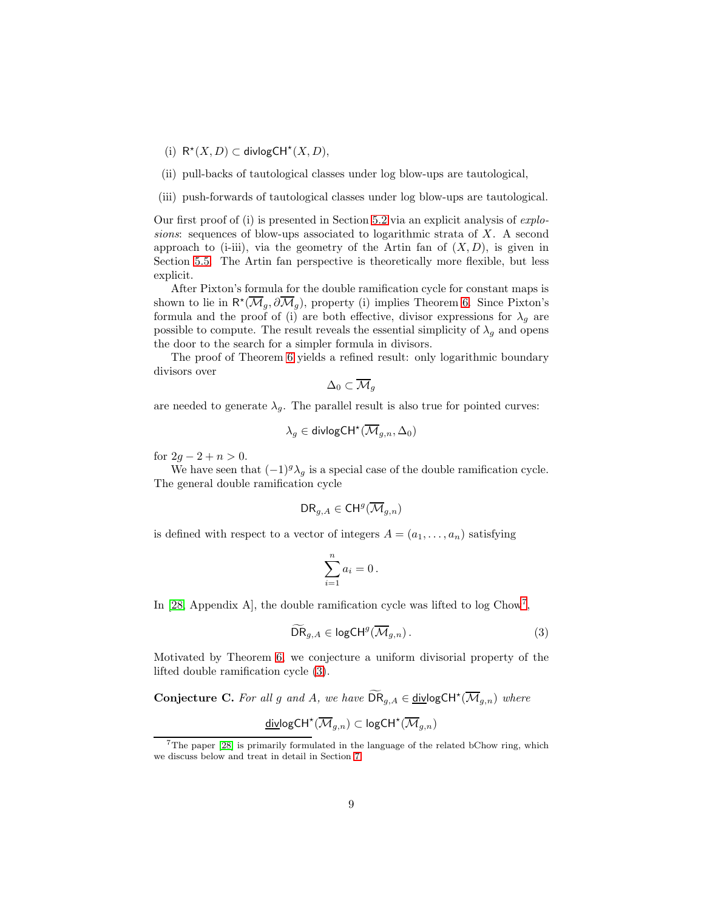- (i)  $R^*(X, D) \subset \text{divlogCH}^*(X, D),$
- (ii) pull-backs of tautological classes under log blow-ups are tautological,
- (iii) push-forwards of tautological classes under log blow-ups are tautological.

Our first proof of (i) is presented in Section  $5.2$  via an explicit analysis of  $explo$ sions: sequences of blow-ups associated to logarithmic strata of  $X$ . A second approach to (i-iii), via the geometry of the Artin fan of  $(X, D)$ , is given in Section [5.5.](#page-37-0) The Artin fan perspective is theoretically more flexible, but less explicit.

After Pixton's formula for the double ramification cycle for constant maps is shown to lie in  $\mathsf{R}^{\star}(\overline{\mathcal{M}}_g, \partial \overline{\mathcal{M}}_g)$ , property (i) implies Theorem [6.](#page-7-0) Since Pixton's formula and the proof of (i) are both effective, divisor expressions for  $\lambda_g$  are possible to compute. The result reveals the essential simplicity of  $\lambda_q$  and opens the door to the search for a simpler formula in divisors.

The proof of Theorem [6](#page-7-0) yields a refined result: only logarithmic boundary divisors over

$$
\Delta_0\subset \overline{\mathcal{M}}_g
$$

are needed to generate  $\lambda_q$ . The parallel result is also true for pointed curves:

$$
\lambda_g\in\operatorname{divlogCH}^\star(\overline{\mathcal{M}}_{g,n},\Delta_0)
$$

for  $2g - 2 + n > 0$ .

We have seen that  $(-1)^{g} \lambda_g$  is a special case of the double ramification cycle. The general double ramification cycle

$$
\mathsf{DR}_{g,A}\in \mathsf{CH}^g(\overline{\mathcal{M}}_{g,n})
$$

is defined with respect to a vector of integers  $A = (a_1, \ldots, a_n)$  satisfying

<span id="page-8-1"></span>
$$
\sum_{i=1}^n a_i = 0 \, .
$$

In [\[28,](#page-56-6) Appendix A], the double ramification cycle was lifted to log Chow<sup>[7](#page-8-0)</sup>,

$$
\widetilde{\text{DR}}_{g,A} \in \text{logCH}^g(\overline{\mathcal{M}}_{g,n}).\tag{3}
$$

Motivated by Theorem [6,](#page-7-0) we conjecture a uniform divisorial property of the lifted double ramification cycle [\(3\)](#page-8-1).

**Conjecture C.** For all g and A, we have  $\widetilde{DR}_{g,A} \in \underline{\text{div}} \text{logCH}^{\star}(\overline{M}_{g,n})$  where

$$
\underline{\mathsf{div}} \mathsf{logCH}^{\star}(\overline{\mathcal{M}}_{g,n}) \subset \mathsf{logCH}^{\star}(\overline{\mathcal{M}}_{g,n})
$$

<span id="page-8-0"></span> $7$ The paper [\[28\]](#page-56-6) is primarily formulated in the language of the related bChow ring, which we discuss below and treat in detail in Section [7.](#page-49-0)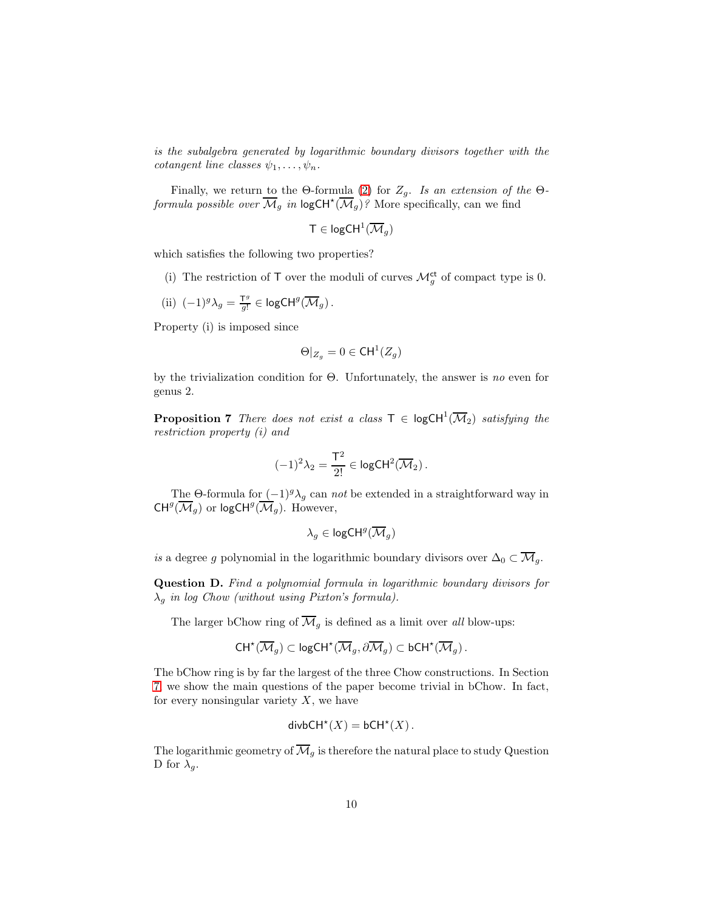is the subalgebra generated by logarithmic boundary divisors together with the cotangent line classes  $\psi_1, \ldots, \psi_n$ .

Finally, we return to the Θ-formula [\(2\)](#page-5-0) for  $Z_g$ . Is an extension of the Θ*formula possible over*  $\overline{\mathcal{M}}_g$  *in*  $\log \mathsf{CH}^{\star}(\overline{\mathcal{M}}_g)$ ? More specifically, can we find

$$
\mathsf{T}\in \mathsf{logCH}^1(\overline{\mathcal{M}}_g)
$$

which satisfies the following two properties?

- (i) The restriction of T over the moduli of curves  $\mathcal{M}_g^{\text{ct}}$  of compact type is 0.
- (ii)  $(-1)^g \lambda_g = \frac{T^g}{g!}$  $\frac{\mathsf{I}^{\hspace{.2mm}g}}{g!}\in \mathsf{logCH}^g(\overline{\mathcal{M}}_g)$  .

Property (i) is imposed since

$$
\Theta|_{Z_g} = 0 \in \mathsf{CH}^1(Z_g)
$$

<span id="page-9-0"></span>by the trivialization condition for  $\Theta$ . Unfortunately, the answer is no even for genus 2.

**Proposition 7** There does not exist a class  $T \in \text{logCH}^1(\overline{\mathcal{M}}_2)$  satisfying the restriction property (i) and

$$
(-1)^2 \lambda_2 = \frac{\mathsf{T}^2}{2!} \in \mathsf{logCH}^2(\overline{\mathcal{M}}_2).
$$

The Θ-formula for  $(-1)^{g} \lambda_g$  can *not* be extended in a straightforward way in  $CH^g(\overline{\mathcal M}_g)$  or logCH<sup>g</sup>( $\overline{\mathcal M}_g$ ). However,

$$
\lambda_g\in \mathsf{logCH}^g(\overline{\mathcal{M}}_g)
$$

is a degree g polynomial in the logarithmic boundary divisors over  $\Delta_0 \subset \overline{\mathcal{M}}_g$ .

Question D. Find a polynomial formula in logarithmic boundary divisors for  $\lambda_q$  in log Chow (without using Pixton's formula).

The larger bChow ring of  $\overline{\mathcal{M}}_g$  is defined as a limit over all blow-ups:

$$
\mathsf{CH}^{\star}(\overline{\mathcal{M}}_g)\subset \mathsf{logCH}^{\star}(\overline{\mathcal{M}}_g,\partial\overline{\mathcal{M}}_g)\subset \mathsf{bCH}^{\star}(\overline{\mathcal{M}}_g)\,.
$$

The bChow ring is by far the largest of the three Chow constructions. In Section [7,](#page-49-0) we show the main questions of the paper become trivial in bChow. In fact, for every nonsingular variety  $X$ , we have

$$
\mathsf{divbCH}^*(X) = \mathsf{bCH}^*(X).
$$

The logarithmic geometry of  $\overline{\mathcal{M}}_g$  is therefore the natural place to study Question D for  $\lambda_q$ .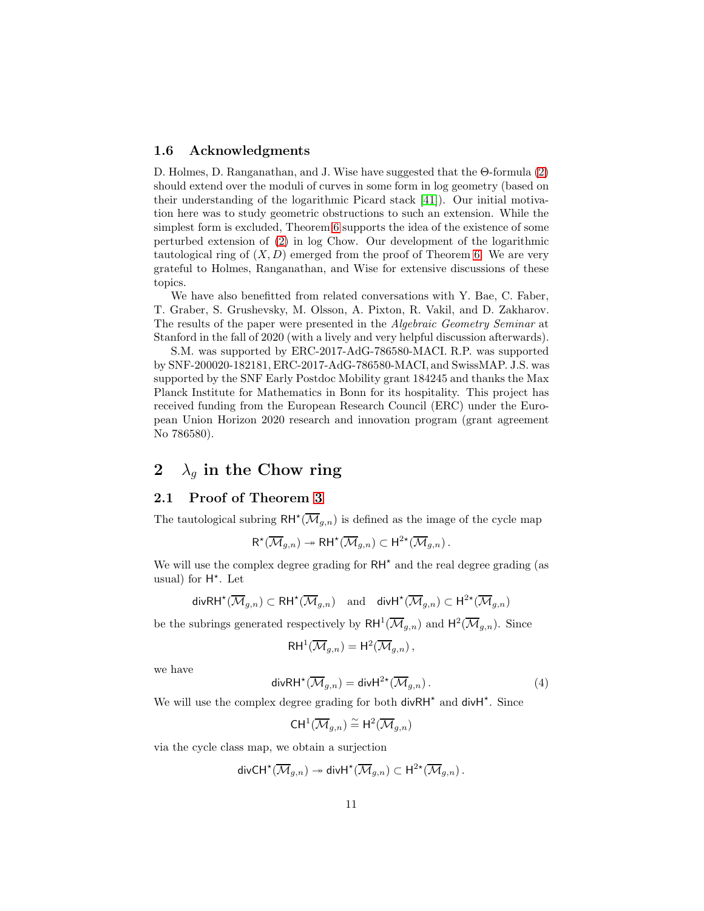### 1.6 Acknowledgments

D. Holmes, D. Ranganathan, and J. Wise have suggested that the Θ-formula [\(2\)](#page-5-0) should extend over the moduli of curves in some form in log geometry (based on their understanding of the logarithmic Picard stack [\[41\]](#page-56-7)). Our initial motivation here was to study geometric obstructions to such an extension. While the simplest form is excluded, Theorem [6](#page-7-0) supports the idea of the existence of some perturbed extension of [\(2\)](#page-5-0) in log Chow. Our development of the logarithmic tautological ring of  $(X, D)$  emerged from the proof of Theorem [6.](#page-7-0) We are very grateful to Holmes, Ranganathan, and Wise for extensive discussions of these topics.

We have also benefitted from related conversations with Y. Bae, C. Faber, T. Graber, S. Grushevsky, M. Olsson, A. Pixton, R. Vakil, and D. Zakharov. The results of the paper were presented in the Algebraic Geometry Seminar at Stanford in the fall of 2020 (with a lively and very helpful discussion afterwards).

S.M. was supported by ERC-2017-AdG-786580-MACI. R.P. was supported by SNF-200020-182181, ERC-2017-AdG-786580-MACI, and SwissMAP. J.S. was supported by the SNF Early Postdoc Mobility grant 184245 and thanks the Max Planck Institute for Mathematics in Bonn for its hospitality. This project has received funding from the European Research Council (ERC) under the European Union Horizon 2020 research and innovation program (grant agreement No 786580).

# <span id="page-10-0"></span>2  $\lambda_q$  in the Chow ring

## <span id="page-10-2"></span>2.1 Proof of Theorem [3](#page-6-2)

The tautological subring  $\mathsf{RH}^{\star}(\overline{\mathcal{M}}_{g,n})$  is defined as the image of the cycle map

$$
\mathsf{R}^{\star}(\overline{\mathcal{M}}_{g,n}) \twoheadrightarrow \mathsf{R}\mathsf{H}^{\star}(\overline{\mathcal{M}}_{g,n}) \subset \mathsf{H}^{2\star}(\overline{\mathcal{M}}_{g,n}).
$$

We will use the complex degree grading for  $RH^*$  and the real degree grading (as usual) for  $H^*$ . Let

$$
\mathsf{divRH}^{\star}(\overline{\mathcal{M}}_{g,n}) \subset \mathsf{RH}^{\star}(\overline{\mathcal{M}}_{g,n}) \quad \text{and} \quad \mathsf{divH}^{\star}(\overline{\mathcal{M}}_{g,n}) \subset \mathsf{H}^{2\star}(\overline{\mathcal{M}}_{g,n})
$$

be the subrings generated respectively by  $\mathsf{RH}^1(\overline{\mathcal{M}}_{g,n})$  and  $\mathsf{H}^2(\overline{\mathcal{M}}_{g,n})$ . Since

$$
\mathsf{RH}^1(\overline{\mathcal{M}}_{g,n}) = \mathsf{H}^2(\overline{\mathcal{M}}_{g,n}),
$$

<span id="page-10-1"></span>we have

$$
\operatorname{div} \mathrm{R} \mathrm{H}^{\star}(\overline{\mathcal{M}}_{g,n}) = \operatorname{div} \mathrm{H}^{2\star}(\overline{\mathcal{M}}_{g,n}). \tag{4}
$$

We will use the complex degree grading for both divRH<sup>\*</sup> and divH<sup>\*</sup>. Since

$$
\mathsf{CH}^1(\overline{\mathcal{M}}_{g,n})\stackrel{\sim}{=} \mathsf{H}^2(\overline{\mathcal{M}}_{g,n})
$$

via the cycle class map, we obtain a surjection

$$
\mathsf{div}\mathsf{CH}^{\star}(\overline{\mathcal{M}}_{g,n})\twoheadrightarrow \mathsf{div}\mathsf{H}^{\star}(\overline{\mathcal{M}}_{g,n})\subset \mathsf{H}^{2\star}(\overline{\mathcal{M}}_{g,n})\,.
$$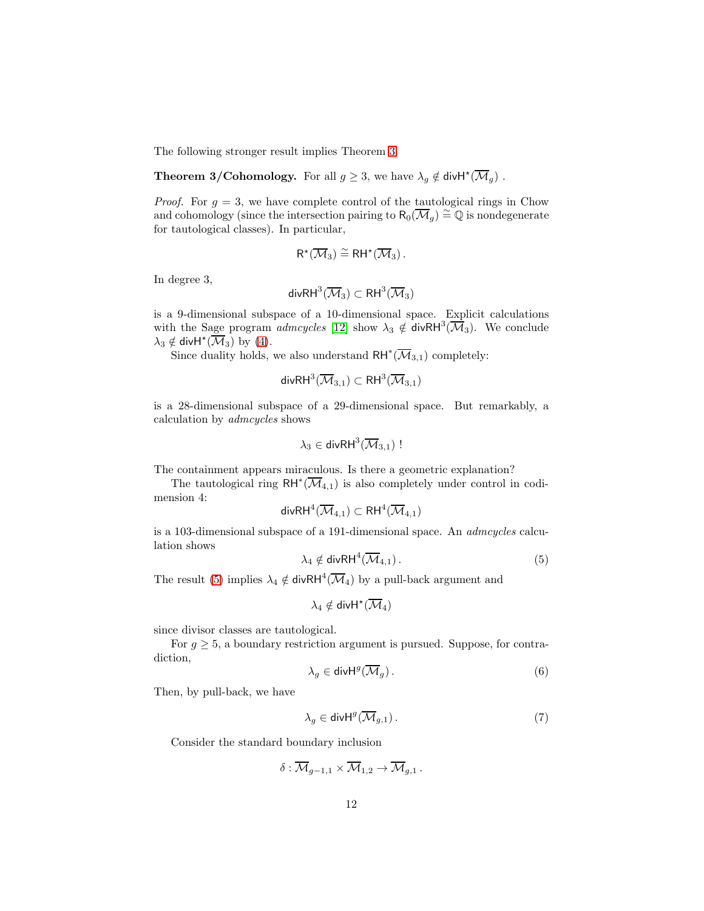The following stronger result implies Theorem [3.](#page-6-2)

**Theorem 3/Cohomology.** For all 
$$
g \geq 3
$$
, we have  $\lambda_g \notin \text{divH}^*(\overline{\mathcal{M}}_g)$ .

*Proof.* For  $g = 3$ , we have complete control of the tautological rings in Chow and cohomology (since the intersection pairing to  $R_0(\overline{\mathcal{M}}_g) \cong \mathbb{Q}$  is nondegenerate for tautological classes). In particular,

$$
R^{\star}(\overline{\mathcal{M}}_3)\stackrel{\sim}{=} RH^{\star}(\overline{\mathcal{M}}_3)\,.
$$

In degree 3,

$$
\mathsf{div}\mathsf{R}\mathsf{H}^3(\overline{\mathcal M}_3)\subset\mathsf{R}\mathsf{H}^3(\overline{\mathcal M}_3)
$$

is a 9-dimensional subspace of a 10-dimensional space. Explicit calculations with the Sage program *admcycles* [\[12\]](#page-55-10) show  $\lambda_3 \notin \text{divRH}^3(\overline{\mathcal{M}}_3)$ . We conclude  $\lambda_3 \notin \text{divH}^*(\overline{\mathcal{M}}_3)$  by [\(4\)](#page-10-1).

Since duality holds, we also understand  $\mathsf{RH}^*(\overline{\mathcal M}_{3,1})$  completely:

$$
\mathsf{divRH}^3(\overline{\mathcal M}_{3,1})\subset \mathsf{RH}^3(\overline{\mathcal M}_{3,1})
$$

is a 28-dimensional subspace of a 29-dimensional space. But remarkably, a calculation by admcycles shows

$$
\lambda_3\in\mathsf{divRH}^3(\overline{\mathcal{M}}_{3,1})\,!
$$

The containment appears miraculous. Is there a geometric explanation?

The tautological ring  $RH^*(\overline{\mathcal{M}}_{4,1})$  is also completely under control in codimension 4:

$$
\mathsf{divRH}^4(\overline{\mathcal M}_{4,1})\subset \mathsf{RH}^4(\overline{\mathcal M}_{4,1})
$$

<span id="page-11-0"></span>is a 103-dimensional subspace of a 191-dimensional space. An admcycles calculation shows

$$
\lambda_4 \notin \text{divRH}^4(\overline{\mathcal{M}}_{4,1}). \tag{5}
$$

The result [\(5\)](#page-11-0) implies  $\lambda_4 \notin \text{divRH}^4(\overline{\mathcal{M}}_4)$  by a pull-back argument and

$$
\lambda_4 \notin \mathsf{divH}^\star(\overline{\mathcal M}_4)
$$

since divisor classes are tautological.

<span id="page-11-2"></span>For  $g \geq 5$ , a boundary restriction argument is pursued. Suppose, for contradiction,

<span id="page-11-1"></span>
$$
\lambda_g \in \text{div} \mathsf{H}^g(\overline{\mathcal{M}}_g). \tag{6}
$$

Then, by pull-back, we have

$$
\lambda_g \in \text{div} \mathsf{H}^g(\overline{\mathcal{M}}_{g,1})\,. \tag{7}
$$

Consider the standard boundary inclusion

$$
\delta: \overline{\mathcal{M}}_{g-1,1} \times \overline{\mathcal{M}}_{1,2} \to \overline{\mathcal{M}}_{g,1} .
$$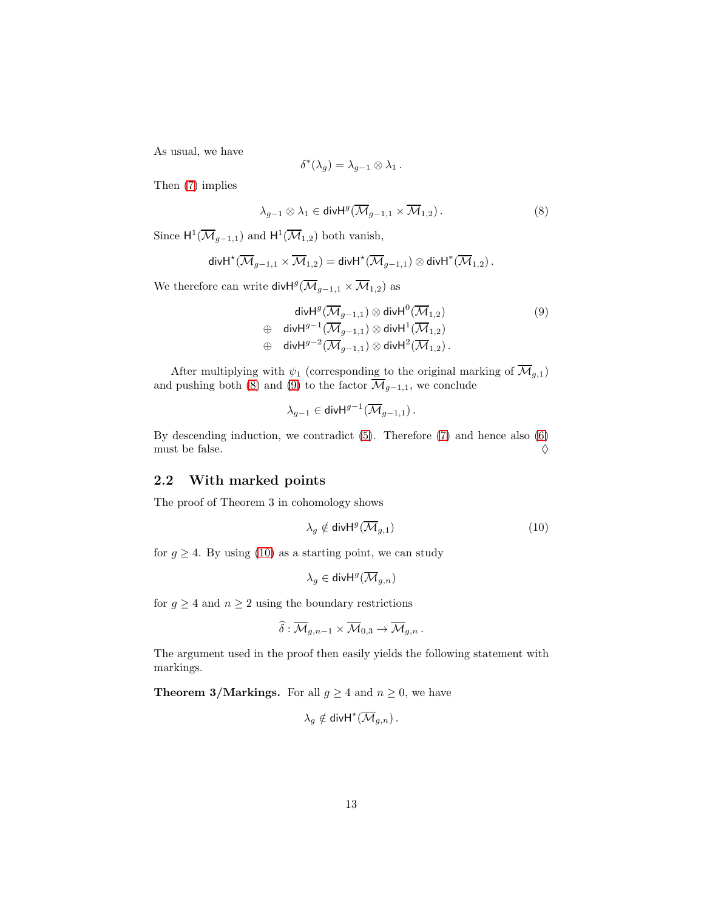As usual, we have

$$
\delta^*(\lambda_g)=\lambda_{g-1}\otimes\lambda_1\,.
$$

Then [\(7\)](#page-11-1) implies

<span id="page-12-0"></span>
$$
\lambda_{g-1} \otimes \lambda_1 \in \text{div}\mathsf{H}^g(\overline{\mathcal{M}}_{g-1,1} \times \overline{\mathcal{M}}_{1,2}). \tag{8}
$$

Since  $H^1(\overline{\mathcal{M}}_{g-1,1})$  and  $H^1(\overline{\mathcal{M}}_{1,2})$  both vanish,

$$
\mathsf{div}\mathsf{H}^{\star}(\overline{\mathcal{M}}_{g-1,1}\times \overline{\mathcal{M}}_{1,2})=\mathsf{div}\mathsf{H}^{\star}(\overline{\mathcal{M}}_{g-1,1})\otimes \mathsf{div}\mathsf{H}^{\ast}(\overline{\mathcal{M}}_{1,2})\,.
$$

We therefore can write div $\mathsf{H}^g(\overline{\mathcal{M}}_{g-1,1} \times \overline{\mathcal{M}}_{1,2})$  as

<span id="page-12-1"></span>
$$
\operatorname{div} H^g(\overline{\mathcal{M}}_{g-1,1}) \otimes \operatorname{div} H^0(\overline{\mathcal{M}}_{1,2})
$$
\n
$$
\oplus \operatorname{div} H^{g-1}(\overline{\mathcal{M}}_{g-1,1}) \otimes \operatorname{div} H^1(\overline{\mathcal{M}}_{1,2})
$$
\n
$$
\oplus \operatorname{div} H^{g-2}(\overline{\mathcal{M}}_{g-1,1}) \otimes \operatorname{div} H^2(\overline{\mathcal{M}}_{1,2}).
$$
\n(9)

After multiplying with  $\psi_1$  (corresponding to the original marking of  $\mathcal{M}_{g,1}$ ) and pushing both [\(8\)](#page-12-0) and [\(9\)](#page-12-1) to the factor  $\mathcal{M}_{g-1,1}$ , we conclude

$$
\lambda_{g-1}\in \text{\rm div}\mathsf{H}^{g-1}(\overline{\mathcal{M}}_{g-1,1})\,.
$$

By descending induction, we contradict [\(5\)](#page-11-0). Therefore [\(7\)](#page-11-1) and hence also [\(6\)](#page-11-2) must be false.  $\Diamond$ 

# <span id="page-12-3"></span>2.2 With marked points

The proof of Theorem 3 in cohomology shows

<span id="page-12-2"></span>
$$
\lambda_g \notin \text{div} \mathsf{H}^g(\overline{\mathcal{M}}_{g,1}) \tag{10}
$$

for  $g \geq 4$ . By using [\(10\)](#page-12-2) as a starting point, we can study

$$
\lambda_g\in \text{div}\mathsf{H}^g(\overline{\mathcal{M}}_{g,n})
$$

for  $g \geq 4$  and  $n \geq 2$  using the boundary restrictions

$$
\widehat{\delta}: \overline{\mathcal{M}}_{g,n-1} \times \overline{\mathcal{M}}_{0,3} \to \overline{\mathcal{M}}_{g,n}.
$$

The argument used in the proof then easily yields the following statement with markings.

**Theorem 3/Markings.** For all  $g \ge 4$  and  $n \ge 0$ , we have

$$
\lambda_g \notin \mathsf{div}\mathsf{H}^{\star}(\overline{\mathcal{M}}_{g,n})\,.
$$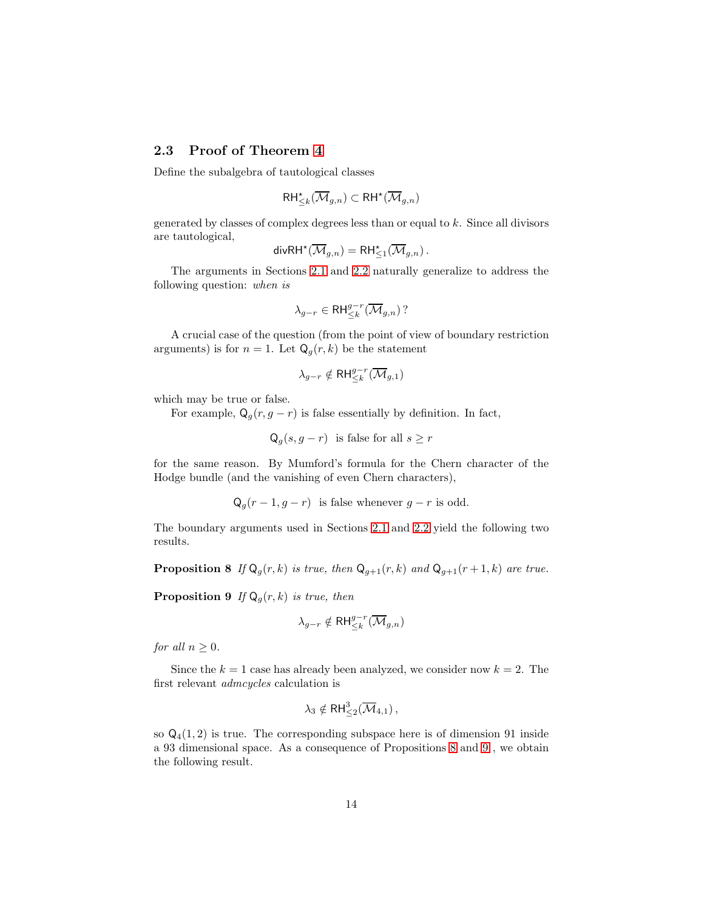# 2.3 Proof of Theorem [4](#page-6-3)

Define the subalgebra of tautological classes

$$
\mathsf{RH}^\star_{\leq k}(\overline{\mathcal{M}}_{g,n}) \subset \mathsf{RH}^\star(\overline{\mathcal{M}}_{g,n})
$$

generated by classes of complex degrees less than or equal to k. Since all divisors are tautological,

$$
\mathsf{div}\mathsf{R}\mathsf{H}^{\star}(\overline{\mathcal{M}}_{g,n})=\mathsf{R}\mathsf{H}^{\star}_{\leq 1}(\overline{\mathcal{M}}_{g,n})\,.
$$

The arguments in Sections [2.1](#page-10-2) and [2.2](#page-12-3) naturally generalize to address the following question: when is

$$
\lambda_{g-r}\in \mathsf{RH}^{g-r}_{\leq k}(\overline{\mathcal{M}}_{g,n})\,?
$$

A crucial case of the question (from the point of view of boundary restriction arguments) is for  $n = 1$ . Let  $Q_g(r, k)$  be the statement

$$
\lambda_{g-r}\notin \mathsf{RH}^{g-r}_{\leq k}(\overline{\mathcal{M}}_{g,1})
$$

which may be true or false.

For example,  $Q_q(r, g - r)$  is false essentially by definition. In fact,

$$
Q_g(s, g - r)
$$
 is false for all  $s \ge r$ 

for the same reason. By Mumford's formula for the Chern character of the Hodge bundle (and the vanishing of even Chern characters),

 $Q_q(r-1, g-r)$  is false whenever  $g-r$  is odd.

<span id="page-13-0"></span>The boundary arguments used in Sections [2.1](#page-10-2) and [2.2](#page-12-3) yield the following two results.

<span id="page-13-1"></span>**Proposition 8** If  $Q_q(r, k)$  is true, then  $Q_{q+1}(r, k)$  and  $Q_{q+1}(r+1, k)$  are true.

**Proposition 9** If  $Q_g(r, k)$  is true, then

$$
\lambda_{g-r}\notin \mathsf{RH}^{g-r}_{\leq k}(\overline{\mathcal{M}}_{g,n})
$$

for all  $n \geq 0$ .

Since the  $k = 1$  case has already been analyzed, we consider now  $k = 2$ . The first relevant admcycles calculation is

$$
\lambda_3 \notin \mathsf{RH}^3_{\leq 2}(\overline{\mathcal{M}}_{4,1}),
$$

so  $Q_4(1, 2)$  is true. The corresponding subspace here is of dimension 91 inside a 93 dimensional space. As a consequence of Propositions [8](#page-13-0) and [9](#page-13-1) , we obtain the following result.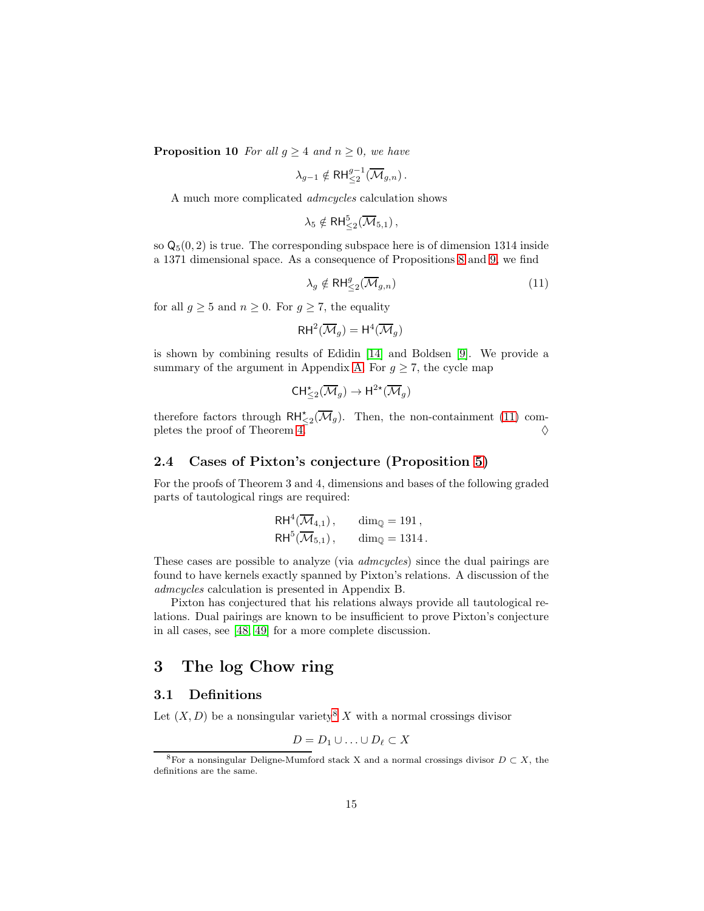**Proposition 10** For all  $g \geq 4$  and  $n \geq 0$ , we have

$$
\lambda_{g-1}\notin \mathsf{RH}^{g-1}_{\leq 2}(\overline{\mathcal{M}}_{g,n})\,.
$$

A much more complicated admcycles calculation shows

$$
\lambda_5 \notin \text{RH}_{\leq 2}^5(\overline{\mathcal{M}}_{5,1}),
$$

so  $\mathsf{Q}_5(0,2)$  is true. The corresponding subspace here is of dimension 1314 inside a 1371 dimensional space. As a consequence of Propositions [8](#page-13-0) and [9,](#page-13-1) we find

<span id="page-14-1"></span>
$$
\lambda_g \notin \mathsf{RH}_{\leq 2}^g(\overline{\mathcal{M}}_{g,n})
$$
\n<sup>(11)</sup>

for all  $g \geq 5$  and  $n \geq 0$ . For  $g \geq 7$ , the equality

$$
\mathsf{RH}^2(\overline{\mathcal{M}}_g)=\mathsf{H}^4(\overline{\mathcal{M}}_g)
$$

is shown by combining results of Edidin [\[14\]](#page-55-11) and Boldsen [\[9\]](#page-54-5). We provide a summary of the argument in Appendix [A.](#page-51-0) For  $g \geq 7$ , the cycle map

$$
\mathsf{CH}^\star_{\leq 2}(\overline{\mathcal{M}}_g) \to \mathsf{H}^{2\star}(\overline{\mathcal{M}}_g)
$$

therefore factors through  $\mathsf{RH}_{\leq 2}^{\star}(\overline{\mathcal{M}}_g)$ . Then, the non-containment [\(11\)](#page-14-1) completes the proof of Theorem  $4. \n\diamond$ 

# 2.4 Cases of Pixton's conjecture (Proposition [5\)](#page-7-1)

For the proofs of Theorem 3 and 4, dimensions and bases of the following graded parts of tautological rings are required:

$$
RH^4(\overline{\mathcal{M}}_{4,1}), \qquad \dim_{\mathbb{Q}} = 191,
$$
  

$$
RH^5(\overline{\mathcal{M}}_{5,1}), \qquad \dim_{\mathbb{Q}} = 1314.
$$

These cases are possible to analyze (via *admcycles*) since the dual pairings are found to have kernels exactly spanned by Pixton's relations. A discussion of the admcycles calculation is presented in Appendix B.

Pixton has conjectured that his relations always provide all tautological relations. Dual pairings are known to be insufficient to prove Pixton's conjecture in all cases, see [\[48,](#page-57-8) [49\]](#page-57-9) for a more complete discussion.

# <span id="page-14-0"></span>3 The log Chow ring

### <span id="page-14-3"></span>3.1 Definitions

Let  $(X, D)$  be a nonsingular variety<sup>[8](#page-14-2)</sup> X with a normal crossings divisor

$$
D = D_1 \cup \ldots \cup D_\ell \subset X
$$

<span id="page-14-2"></span><sup>&</sup>lt;sup>8</sup>For a nonsingular Deligne-Mumford stack X and a normal crossings divisor  $D \subset X$ , the definitions are the same.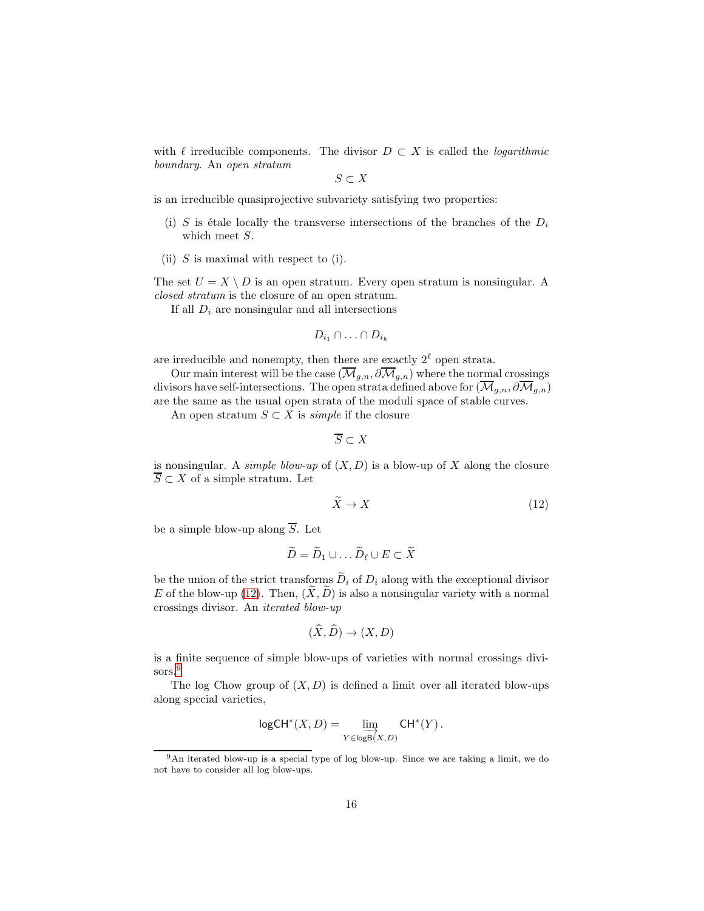with  $\ell$  irreducible components. The divisor  $D \subset X$  is called the *logarithmic* boundary. An open stratum

 $S \subset X$ 

is an irreducible quasiprojective subvariety satisfying two properties:

- (i) S is étale locally the transverse intersections of the branches of the  $D_i$ which meet S.
- (ii)  $S$  is maximal with respect to (i).

The set  $U = X \setminus D$  is an open stratum. Every open stratum is nonsingular. A closed stratum is the closure of an open stratum.

If all  $D_i$  are nonsingular and all intersections

$$
D_{i_1} \cap \ldots \cap D_{i_k}
$$

are irreducible and nonempty, then there are exactly  $2^{\ell}$  open strata.

Our main interest will be the case  $(\overline{\mathcal{M}}_{q,n}, \partial \overline{\mathcal{M}}_{q,n})$  where the normal crossings divisors have self-intersections. The open strata defined above for  $(\overline{\mathcal{M}}_{q,n}, \partial \overline{\mathcal{M}}_{q,n})$ are the same as the usual open strata of the moduli space of stable curves.

An open stratum  $S \subset X$  is *simple* if the closure

 $\overline{S} \subset X$ 

is nonsingular. A *simple blow-up* of  $(X, D)$  is a blow-up of X along the closure  $\overline{S} \subset X$  of a simple stratum. Let

<span id="page-15-0"></span>
$$
\widetilde{X} \to X \tag{12}
$$

be a simple blow-up along  $\overline{S}$ . Let

$$
\widetilde{D} = \widetilde{D}_1 \cup \dots \widetilde{D}_{\ell} \cup E \subset \widetilde{X}
$$

be the union of the strict transforms  $\widetilde{D}_i$  of  $D_i$  along with the exceptional divisor E of the blow-up [\(12\)](#page-15-0). Then,  $(X, \tilde{D})$  is also a nonsingular variety with a normal crossings divisor. An iterated blow-up

$$
(\dot{X}, \dot{D}) \to (X, D)
$$

is a finite sequence of simple blow-ups of varieties with normal crossings divi-sors.<sup>[9](#page-15-1)</sup>

The log Chow group of  $(X, D)$  is defined a limit over all iterated blow-ups along special varieties,

$$
\mathsf{logCH}^*(X,D) = \varinjlim_{Y \in \mathsf{logB}(X,D)} \mathsf{CH}^*(Y)\,.
$$

<span id="page-15-1"></span><sup>9</sup>An iterated blow-up is a special type of log blow-up. Since we are taking a limit, we do not have to consider all log blow-ups.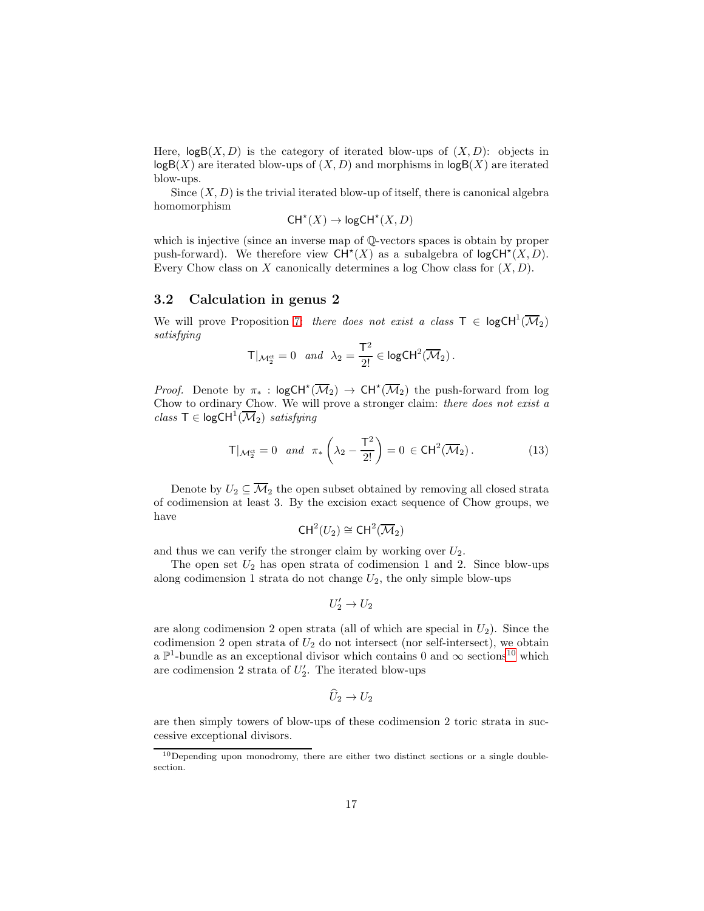Here,  $log B(X, D)$  is the category of iterated blow-ups of  $(X, D)$ : objects in  $log B(X)$  are iterated blow-ups of  $(X, D)$  and morphisms in  $log B(X)$  are iterated blow-ups.

Since  $(X, D)$  is the trivial iterated blow-up of itself, there is canonical algebra homomorphism

$$
\mathsf{CH}^\star(X) \to \mathsf{logCH}^\star(X, D)
$$

which is injective (since an inverse map of Q-vectors spaces is obtain by proper push-forward). We therefore view  $CH^*(X)$  as a subalgebra of  $log CH^*(X, D)$ . Every Chow class on X canonically determines a log Chow class for  $(X, D)$ .

#### 3.2 Calculation in genus 2

We will prove Proposition [7:](#page-9-0) there does not exist a class  $\mathsf{T} \in \mathsf{logCH}^1(\overline{\mathcal{M}}_2)$ satisfying

$$
\mathsf{T}|_{\mathcal{M}_2^{\mathrm{ct}}} = 0 \quad and \quad \lambda_2 = \frac{\mathsf{T}^2}{2!} \in \mathsf{logCH}^2(\overline{\mathcal{M}}_2) \,.
$$

*Proof.* Denote by  $\pi_*$ :  $\log CH^*(\overline{\mathcal{M}}_2) \rightarrow CH^*(\overline{\mathcal{M}}_2)$  the push-forward from log Chow to ordinary Chow. We will prove a stronger claim: there does not exist a  $class \tau \in logCH^1(\overline{\mathcal{M}}_2)$  satisfying

<span id="page-16-1"></span>
$$
\mathsf{T}|_{\mathcal{M}_2^{\mathrm{ct}}} = 0 \quad \text{and} \quad \pi_* \left( \lambda_2 - \frac{\mathsf{T}^2}{2!} \right) = 0 \in \mathsf{CH}^2(\overline{\mathcal{M}}_2). \tag{13}
$$

Denote by  $U_2 \subseteq \overline{\mathcal{M}}_2$  the open subset obtained by removing all closed strata of codimension at least 3. By the excision exact sequence of Chow groups, we have

$$
\mathsf{CH}^2(U_2)\cong\mathsf{CH}^2(\overline{\mathcal{M}}_2)
$$

and thus we can verify the stronger claim by working over  $U_2$ .

The open set  $U_2$  has open strata of codimension 1 and 2. Since blow-ups along codimension 1 strata do not change  $U_2$ , the only simple blow-ups

$$
U_2' \to U_2
$$

are along codimension 2 open strata (all of which are special in  $U_2$ ). Since the codimension 2 open strata of  $U_2$  do not intersect (nor self-intersect), we obtain a  $\mathbb{P}^1$ -bundle as an exceptional divisor which contains 0 and  $\infty$  sections<sup>[10](#page-16-0)</sup> which are codimension 2 strata of  $U_2'$ . The iterated blow-ups

$$
\widehat{U}_2 \to U_2
$$

are then simply towers of blow-ups of these codimension 2 toric strata in successive exceptional divisors.

<span id="page-16-0"></span> $10$  Depending upon monodromy, there are either two distinct sections or a single doublesection.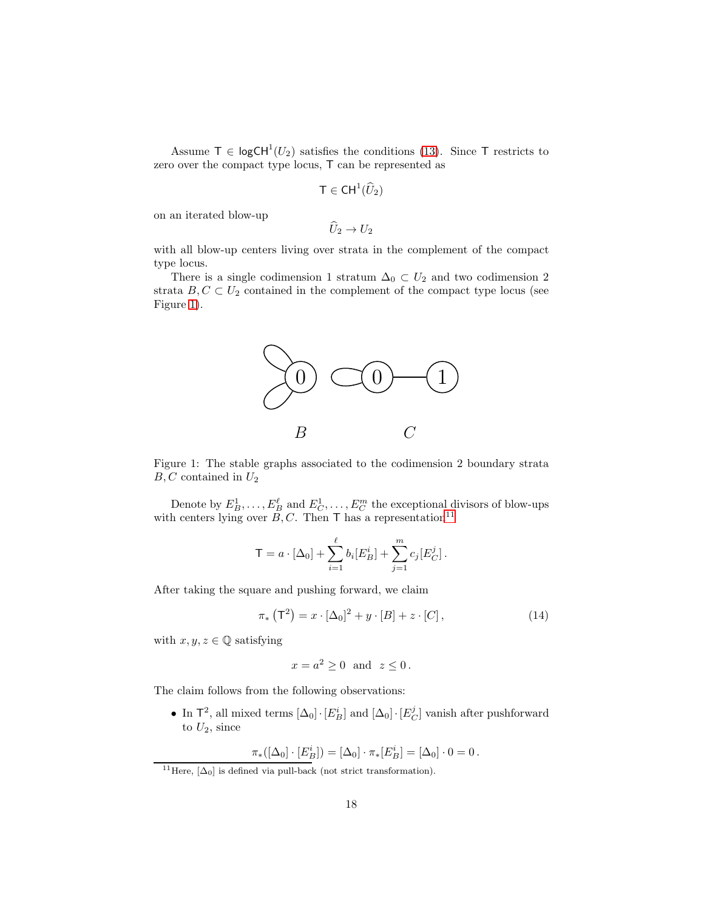Assume  $\mathsf{T} \in \mathsf{logCH}^1(U_2)$  satisfies the conditions [\(13\)](#page-16-1). Since  $\mathsf{T}$  restricts to zero over the compact type locus, T can be represented as

$$
\mathsf{T} \in \mathsf{CH}^1(\widehat{U}_2)
$$

on an iterated blow-up

 $\widehat{U}_2 \rightarrow U_2$ 

with all blow-up centers living over strata in the complement of the compact type locus.

There is a single codimension 1 stratum  $\Delta_0 \subset U_2$  and two codimension 2 strata  $B, C \subset U_2$  contained in the complement of the compact type locus (see Figure [1\)](#page-17-0).



<span id="page-17-0"></span>Figure 1: The stable graphs associated to the codimension 2 boundary strata  $B, C$  contained in  $U_2$ 

Denote by  $E_B^1, \ldots, E_B^{\ell}$  and  $E_C^1, \ldots, E_C^m$  the exceptional divisors of blow-ups with centers lying over  $\overline{B}, C$ . Then T has a representation<sup>[11](#page-17-1)</sup>

$$
\mathsf{T} = a \cdot [\Delta_0] + \sum_{i=1}^{\ell} b_i [E_B^i] + \sum_{j=1}^m c_j [E_C^j].
$$

After taking the square and pushing forward, we claim

$$
\pi_* (\mathsf{T}^2) = x \cdot [\Delta_0]^2 + y \cdot [B] + z \cdot [C], \qquad (14)
$$

with  $x, y, z \in \mathbb{Q}$  satisfying

<span id="page-17-2"></span>
$$
x = a^2 \ge 0 \text{ and } z \le 0.
$$

The claim follows from the following observations:

• In  $\mathsf{T}^2$ , all mixed terms  $[\Delta_0] \cdot [E^i_B]$  and  $[\Delta_0] \cdot [E^j_C]$  vanish after pushforward to  $U_2$ , since

$$
\pi_*([\Delta_0] \cdot [E_B^i]) = [\Delta_0] \cdot \pi_*[E_B^i] = [\Delta_0] \cdot 0 = 0.
$$

<span id="page-17-1"></span><sup>&</sup>lt;sup>11</sup>Here,  $[\Delta_0]$  is defined via pull-back (not strict transformation).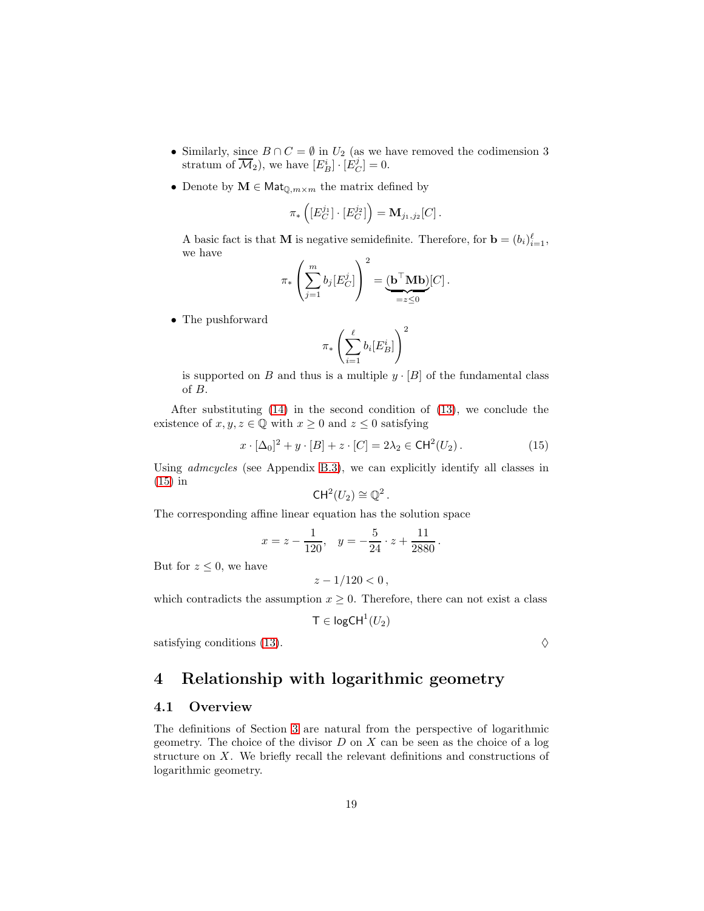- Similarly, since  $B \cap C = \emptyset$  in  $U_2$  (as we have removed the codimension 3 stratum of  $\overline{\mathcal{M}}_2$ ), we have  $[E_B^i] \cdot [E_C^j] = 0$ .
- Denote by  $\mathbf{M} \in \mathsf{Mat}_{\mathbb{Q},m \times m}$  the matrix defined by

$$
\pi_*\left([E_C^{j_1}]\cdot [E_C^{j_2}]\right)=\mathbf{M}_{j_1,j_2}[C].
$$

A basic fact is that **M** is negative semidefinite. Therefore, for  $\mathbf{b} = (b_i)_{i=1}^{\ell},$ we have

$$
\pi_* \left( \sum_{j=1}^m b_j [E_C^j] \right)^2 = \underbrace{(\mathbf{b}^\top \mathbf{M} \mathbf{b})}_{=z \leq 0} [C].
$$

• The pushforward

$$
\pi_*\left(\sum_{i=1}^{\ell} b_i [E^i_B] \right)^2
$$

is supported on B and thus is a multiple  $y \cdot [B]$  of the fundamental class of B.

After substituting [\(14\)](#page-17-2) in the second condition of [\(13\)](#page-16-1), we conclude the existence of  $x, y, z \in \mathbb{Q}$  with  $x \geq 0$  and  $z \leq 0$  satisfying

$$
x \cdot [\Delta_0]^2 + y \cdot [B] + z \cdot [C] = 2\lambda_2 \in \text{CH}^2(U_2). \tag{15}
$$

Using admcycles (see Appendix [B.3\)](#page-53-0), we can explicitly identify all classes in [\(15\)](#page-18-1) in

<span id="page-18-1"></span>
$$
CH^2(U_2) \cong \mathbb{Q}^2.
$$

The corresponding affine linear equation has the solution space

$$
x = z - \frac{1}{120}
$$
,  $y = -\frac{5}{24} \cdot z + \frac{11}{2880}$ .

But for  $z \leq 0$ , we have

$$
z - 1/120 < 0 \,,
$$

which contradicts the assumption  $x \geq 0$ . Therefore, there can not exist a class

$$
\mathsf{T} \in \mathsf{logCH}^1(U_2)
$$

satisfying conditions [\(13\)](#page-16-1).  $\Diamond$ 

# <span id="page-18-0"></span>4 Relationship with logarithmic geometry

### 4.1 Overview

The definitions of Section [3](#page-14-0) are natural from the perspective of logarithmic geometry. The choice of the divisor  $D$  on  $X$  can be seen as the choice of a log structure on  $X$ . We briefly recall the relevant definitions and constructions of logarithmic geometry.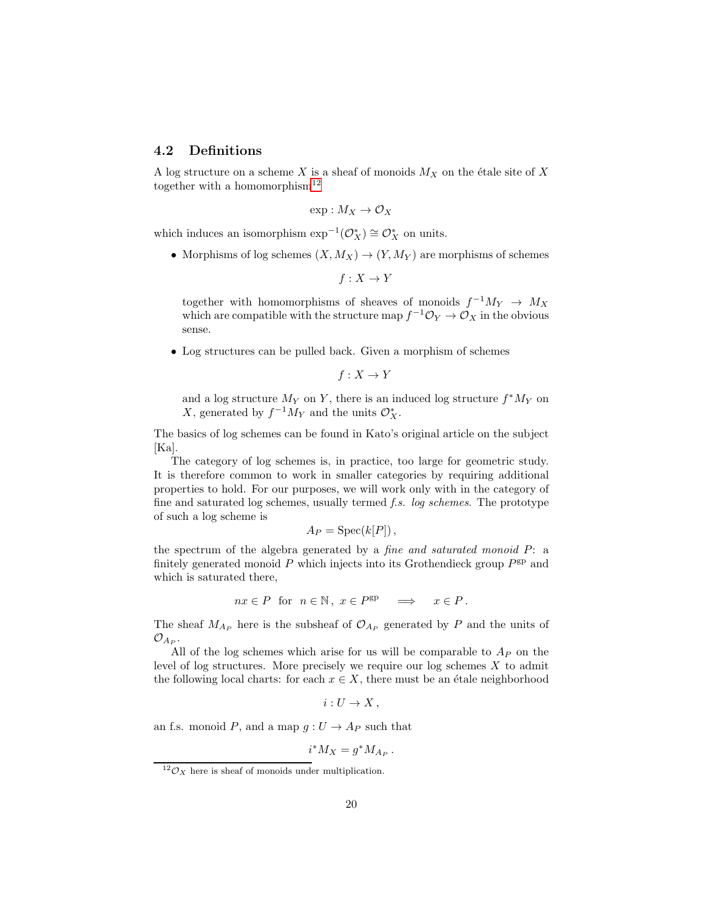# 4.2 Definitions

A log structure on a scheme X is a sheaf of monoids  $M_X$  on the étale site of X together with a homomorphism<sup>[12](#page-19-0)</sup>

$$
\exp: M_X \to \mathcal{O}_X
$$

which induces an isomorphism  $\exp^{-1}(\mathcal{O}_X^*) \cong \mathcal{O}_X^*$  on units.

• Morphisms of log schemes  $(X, M_X) \to (Y, M_Y)$  are morphisms of schemes

 $f: X \to Y$ 

together with homomorphisms of sheaves of monoids  $f^{-1}M_Y \to M_X$ which are compatible with the structure map  $f^{-1}\mathcal{O}_Y \to \mathcal{O}_X$  in the obvious sense.

• Log structures can be pulled back. Given a morphism of schemes

 $f: X \to Y$ 

and a log structure  $M_Y$  on Y, there is an induced log structure  $f^*M_Y$  on X, generated by  $f^{-1}M_Y$  and the units  $\mathcal{O}_X^*$ .

The basics of log schemes can be found in Kato's original article on the subject [Ka].

The category of log schemes is, in practice, too large for geometric study. It is therefore common to work in smaller categories by requiring additional properties to hold. For our purposes, we will work only with in the category of fine and saturated log schemes, usually termed f.s. log schemes. The prototype of such a log scheme is

$$
A_P = \operatorname{Spec}(k[P])
$$

the spectrum of the algebra generated by a fine and saturated monoid P: a finitely generated monoid  $P$  which injects into its Grothendieck group  $P^{\text{gp}}$  and which is saturated there,

$$
nx \in P \text{ for } n \in \mathbb{N}, x \in P^{\text{gp}} \implies x \in P.
$$

The sheaf  $M_{A_P}$  here is the subsheaf of  $\mathcal{O}_{A_P}$  generated by P and the units of  $\mathcal{O}_{A_P}.$ 

All of the log schemes which arise for us will be comparable to  $A<sub>P</sub>$  on the level of log structures. More precisely we require our log schemes  $X$  to admit the following local charts: for each  $x \in X$ , there must be an étale neighborhood

 $i: U \to X$ ,

an f.s. monoid P, and a map  $g: U \to A_P$  such that

$$
i^* M_X = g^* M_{A_P} \,.
$$

<span id="page-19-0"></span> $12\mathcal{O}_X$  here is sheaf of monoids under multiplication.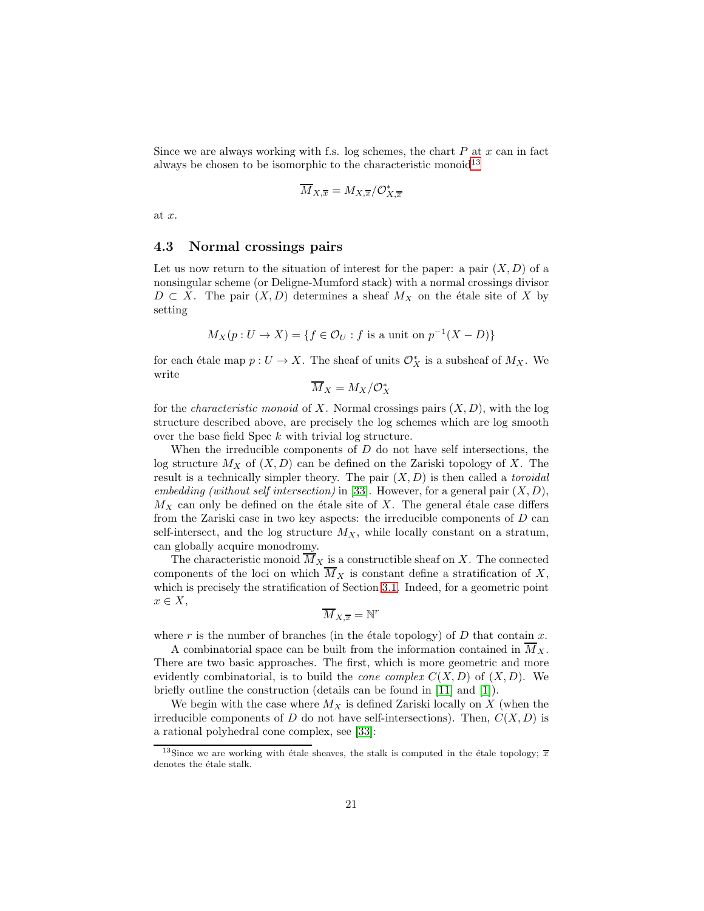Since we are always working with f.s. log schemes, the chart  $P$  at  $x$  can in fact always be chosen to be isomorphic to the characteristic monoid<sup>[13](#page-20-0)</sup>

$$
\overline{M}_{X,\overline{x}} = M_{X,\overline{x}} / \mathcal{O}_{X,\overline{x}}^*
$$

at x.

#### 4.3 Normal crossings pairs

Let us now return to the situation of interest for the paper: a pair  $(X, D)$  of a nonsingular scheme (or Deligne-Mumford stack) with a normal crossings divisor  $D \subset X$ . The pair  $(X, D)$  determines a sheaf  $M_X$  on the étale site of X by setting

$$
M_X(p: U \to X) = \{ f \in \mathcal{O}_U : f \text{ is a unit on } p^{-1}(X - D) \}
$$

for each étale map  $p : U \to X$ . The sheaf of units  $\mathcal{O}_X^*$  is a subsheaf of  $M_X$ . We write

$$
\overline{M}_X = M_X/\mathcal{O}_X^*
$$

for the *characteristic monoid* of X. Normal crossings pairs  $(X, D)$ , with the log structure described above, are precisely the log schemes which are log smooth over the base field Spec k with trivial log structure.

When the irreducible components of  $D$  do not have self intersections, the log structure  $M_X$  of  $(X, D)$  can be defined on the Zariski topology of X. The result is a technically simpler theory. The pair  $(X, D)$  is then called a *toroidal* embedding (without self intersection) in [\[33\]](#page-56-8). However, for a general pair  $(X, D)$ ,  $M_X$  can only be defined on the étale site of X. The general étale case differs from the Zariski case in two key aspects: the irreducible components of D can self-intersect, and the log structure  $M_X$ , while locally constant on a stratum, can globally acquire monodromy.

The characteristic monoid  $\overline{M}_X$  is a constructible sheaf on X. The connected components of the loci on which  $\overline{M}_X$  is constant define a stratification of X, which is precisely the stratification of Section [3.1.](#page-14-3) Indeed, for a geometric point  $x \in X$ ,

$$
\overline{M}_{X,\overline{x}} = \mathbb{N}^r
$$

where r is the number of branches (in the étale topology) of  $D$  that contain  $x$ .

A combinatorial space can be built from the information contained in  $M_X$ . There are two basic approaches. The first, which is more geometric and more evidently combinatorial, is to build the *cone complex*  $C(X, D)$  of  $(X, D)$ . We briefly outline the construction (details can be found in [\[11\]](#page-55-12) and [\[1\]](#page-54-6)).

We begin with the case where  $M_X$  is defined Zariski locally on X (when the irreducible components of D do not have self-intersections). Then,  $C(X, D)$  is a rational polyhedral cone complex, see [\[33\]](#page-56-8):

<span id="page-20-0"></span><sup>&</sup>lt;sup>13</sup>Since we are working with étale sheaves, the stalk is computed in the étale topology;  $\overline{x}$ denotes the étale stalk.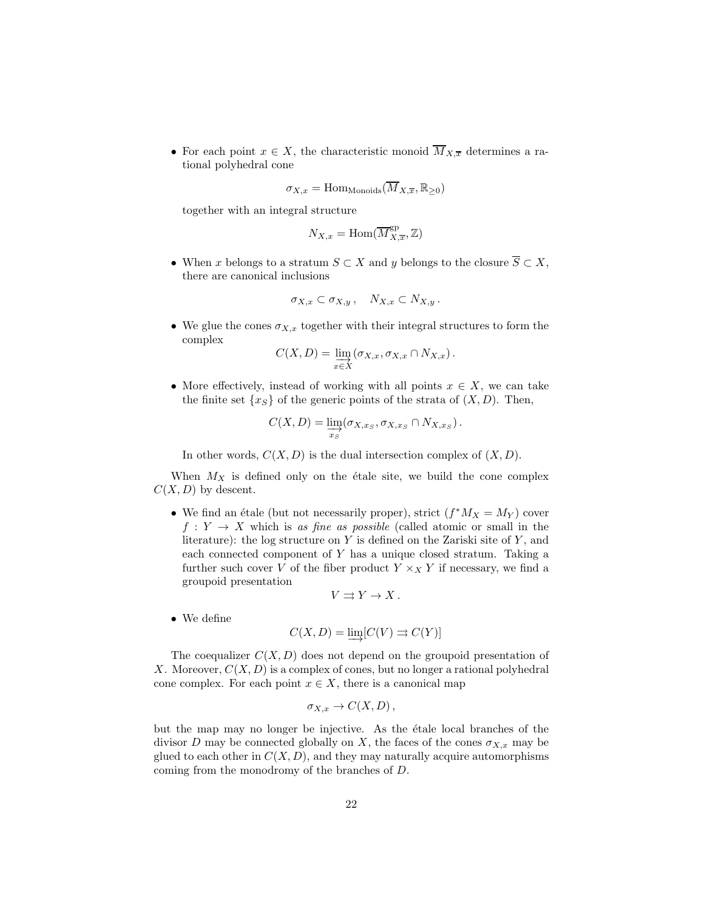• For each point  $x \in X$ , the characteristic monoid  $\overline{M}_{X,\overline{x}}$  determines a rational polyhedral cone

$$
\sigma_{X,x} = \text{Hom}_{\text{Monoids}}(\overline{M}_{X,\overline{x}}, \mathbb{R}_{\geq 0})
$$

together with an integral structure

$$
N_{X,x} = \text{Hom}(\overline{M}_{X,\overline{x}}^{\text{gp}}, \mathbb{Z})
$$

• When x belongs to a stratum  $S \subset X$  and y belongs to the closure  $\overline{S} \subset X$ , there are canonical inclusions

$$
\sigma_{X,x}\subset \sigma_{X,y}\,,\quad N_{X,x}\subset N_{X,y}\,.
$$

• We glue the cones  $\sigma_{X,x}$  together with their integral structures to form the complex

$$
C(X,D) = \varinjlim_{x \in X} (\sigma_{X,x}, \sigma_{X,x} \cap N_{X,x}).
$$

• More effectively, instead of working with all points  $x \in X$ , we can take the finite set  $\{x_S\}$  of the generic points of the strata of  $(X, D)$ . Then,

$$
C(X, D) = \varinjlim_{x_S} (\sigma_{X, x_S}, \sigma_{X, x_S} \cap N_{X, x_S}).
$$

In other words,  $C(X, D)$  is the dual intersection complex of  $(X, D)$ .

When  $M_X$  is defined only on the étale site, we build the cone complex  $C(X, D)$  by descent.

• We find an étale (but not necessarily proper), strict  $(f^*M_X = M_Y)$  cover  $f: Y \to X$  which is as fine as possible (called atomic or small in the literature): the log structure on  $Y$  is defined on the Zariski site of  $Y$ , and each connected component of Y has a unique closed stratum. Taking a further such cover V of the fiber product  $Y \times_X Y$  if necessary, we find a groupoid presentation

$$
V \rightrightarrows Y \to X \, .
$$

• We define

$$
C(X,D) = \varinjlim [C(V) \rightrightarrows C(Y)]
$$

The coequalizer  $C(X, D)$  does not depend on the groupoid presentation of X. Moreover,  $C(X, D)$  is a complex of cones, but no longer a rational polyhedral cone complex. For each point  $x \in X$ , there is a canonical map

$$
\sigma_{X,x} \to C(X,D)\,,
$$

but the map may no longer be injective. As the étale local branches of the divisor D may be connected globally on X, the faces of the cones  $\sigma_{X,x}$  may be glued to each other in  $C(X, D)$ , and they may naturally acquire automorphisms coming from the monodromy of the branches of D.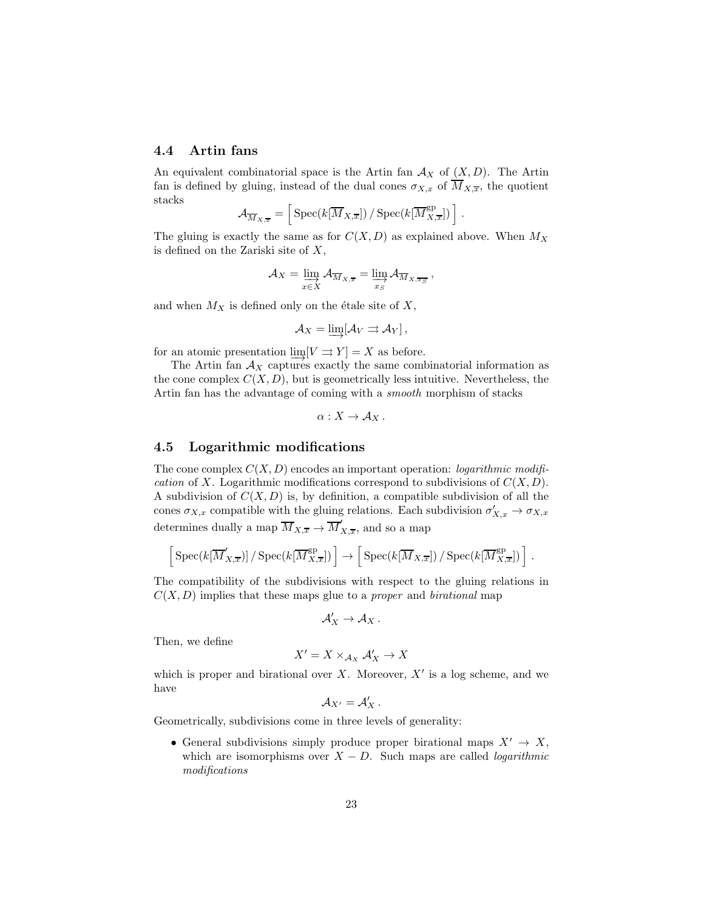### <span id="page-22-0"></span>4.4 Artin fans

An equivalent combinatorial space is the Artin fan  $A_X$  of  $(X, D)$ . The Artin fan is defined by gluing, instead of the dual cones  $\sigma_{X,x}$  of  $\overline{M}_{X,\overline{x}}$ , the quotient stacks

$$
\mathcal{A}_{\overline{M}_{X,\overline{x}}} = \left[ \text{Spec}(k[\overline{M}_{X,\overline{x}}]) / \text{Spec}(k[\overline{M}_{X,\overline{x}}^{\text{gp}}]) \right].
$$

The gluing is exactly the same as for  $C(X, D)$  as explained above. When  $M_X$ is defined on the Zariski site of  $X$ ,

$$
\mathcal{A}_X = \varinjlim_{x \in X} \mathcal{A}_{\overline{M}_{X,\overline{x}}} = \varinjlim_{x_S} \mathcal{A}_{\overline{M}_{X,\overline{x_S}}} ,
$$

and when  $M_X$  is defined only on the étale site of X,

$$
A_X=\varinjlim[\mathcal{A}_V\rightrightarrows\mathcal{A}_Y],
$$

for an atomic presentation  $\lim_{\longrightarrow} [V \rightrightarrows Y] = X$  as before.

The Artin fan  $A_X$  captures exactly the same combinatorial information as the cone complex  $C(X, D)$ , but is geometrically less intuitive. Nevertheless, the Artin fan has the advantage of coming with a *smooth* morphism of stacks

 $\alpha: X \to \mathcal{A}_X$ .

#### 4.5 Logarithmic modifications

The cone complex  $C(X, D)$  encodes an important operation: *logarithmic modifi*cation of X. Logarithmic modifications correspond to subdivisions of  $C(X, D)$ . A subdivision of  $C(X, D)$  is, by definition, a compatible subdivision of all the cones  $\sigma_{X,x}$  compatible with the gluing relations. Each subdivision  $\sigma'_{X,x} \to \sigma_{X,x}$ determines dually a map  $\overline{M}_{X,\overline{x}} \to \overline{M}'_1$  $\chi_{\overline{x}}$ , and so a map

$$
\left[\,\mathrm{Spec}(k[\overline{M}'_{X,\overline{x}})]\,/\,\mathrm{Spec}(k[\overline{M}^{\mathrm{gp}}_{X,\overline{x}}])\,\right] \to \left[\,\mathrm{Spec}(k[\overline{M}_{X,\overline{x}}])\,/\,\mathrm{Spec}(k[\overline{M}^{\mathrm{gp}}_{X,\overline{x}}])\,\right]\,.
$$

The compatibility of the subdivisions with respect to the gluing relations in  $C(X, D)$  implies that these maps glue to a *proper* and *birational* map

$$
\mathcal{A}'_X\to \mathcal{A}_X\,.
$$

Then, we define

$$
X' = X \times_{\mathcal{A}_X} \mathcal{A}'_X \to X
$$

which is proper and birational over  $X$ . Moreover,  $X'$  is a log scheme, and we have

$$
{\cal A}_{X'}={\cal A}_X'\,.
$$

Geometrically, subdivisions come in three levels of generality:

• General subdivisions simply produce proper birational maps  $X' \to X$ , which are isomorphisms over  $X - D$ . Such maps are called *logarithmic* modifications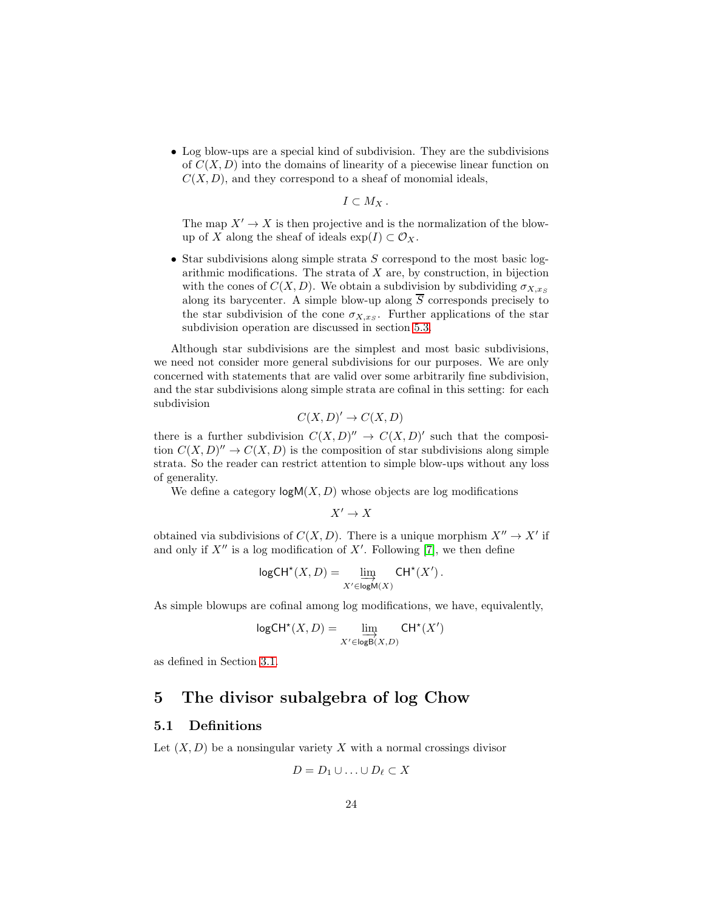• Log blow-ups are a special kind of subdivision. They are the subdivisions of  $C(X, D)$  into the domains of linearity of a piecewise linear function on  $C(X, D)$ , and they correspond to a sheaf of monomial ideals,

 $I\subset M_X$  .

The map  $X' \to X$  is then projective and is the normalization of the blowup of X along the sheaf of ideals  $\exp(I) \subset \mathcal{O}_X$ .

• Star subdivisions along simple strata  $S$  correspond to the most basic logarithmic modifications. The strata of  $X$  are, by construction, in bijection with the cones of  $C(X, D)$ . We obtain a subdivision by subdividing  $\sigma_{X, xs}$ along its barycenter. A simple blow-up along  $\overline{S}$  corresponds precisely to the star subdivision of the cone  $\sigma_{X,x_S}$ . Further applications of the star subdivision operation are discussed in section [5.3.](#page-32-0)

Although star subdivisions are the simplest and most basic subdivisions, we need not consider more general subdivisions for our purposes. We are only concerned with statements that are valid over some arbitrarily fine subdivision, and the star subdivisions along simple strata are cofinal in this setting: for each subdivision

$$
C(X, D)' \to C(X, D)
$$

there is a further subdivision  $C(X, D)'' \to C(X, D)'$  such that the composition  $C(X, D)'' \to C(X, D)$  is the composition of star subdivisions along simple strata. So the reader can restrict attention to simple blow-ups without any loss of generality.

We define a category  $\log M(X, D)$  whose objects are log modifications

 $X' \to X$ 

obtained via subdivisions of  $C(X, D)$ . There is a unique morphism  $X'' \to X'$  if and only if  $X''$  is a log modification of  $X'$ . Following [\[7\]](#page-54-4), we then define

$$
\mathsf{logCH}^\star(X, D) = \varinjlim_{X' \in \mathsf{logM}(X)} \mathsf{CH}^\star(X')\,.
$$

As simple blowups are cofinal among log modifications, we have, equivalently,

$$
\mathsf{logCH}^\star(X, D) = \varinjlim_{X' \in \mathsf{logB}(X, D)} \mathsf{CH}^\star(X')
$$

<span id="page-23-0"></span>as defined in Section [3.1.](#page-14-3)

# 5 The divisor subalgebra of log Chow

#### <span id="page-23-1"></span>5.1 Definitions

Let  $(X, D)$  be a nonsingular variety X with a normal crossings divisor

$$
D = D_1 \cup \ldots \cup D_\ell \subset X
$$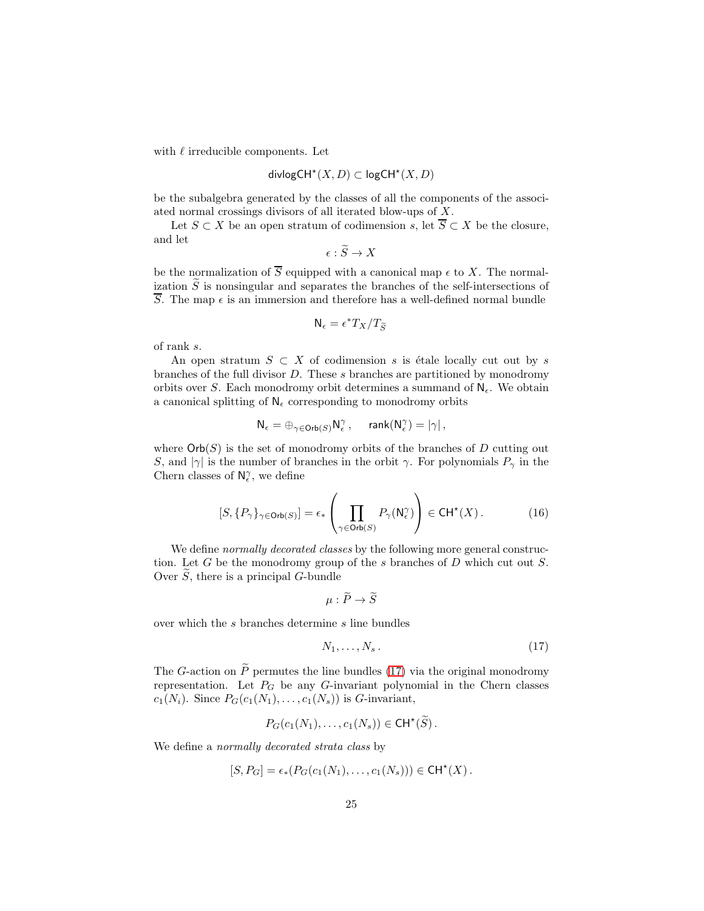with  $\ell$  irreducible components. Let

$$
\mathsf{divlogCH}^\star(X, D) \subset \mathsf{logCH}^\star(X, D)
$$

be the subalgebra generated by the classes of all the components of the associated normal crossings divisors of all iterated blow-ups of X.

Let  $S \subset X$  be an open stratum of codimension s, let  $\overline{S} \subset X$  be the closure, and let

$$
\epsilon: S \to X
$$

be the normalization of  $\overline{S}$  equipped with a canonical map  $\epsilon$  to X. The normalization  $\widetilde{S}$  is nonsingular and separates the branches of the self-intersections of  $\overline{S}$ . The map  $\epsilon$  is an immersion and therefore has a well-defined normal bundle

$$
\mathsf{N}_\epsilon=\epsilon^*T_X/T_{\widetilde S}
$$

of rank s.

An open stratum  $S \subset X$  of codimension s is étale locally cut out by s branches of the full divisor D. These s branches are partitioned by monodromy orbits over S. Each monodromy orbit determines a summand of  $N_{\epsilon}$ . We obtain a canonical splitting of  $N_{\epsilon}$  corresponding to monodromy orbits

<span id="page-24-1"></span>
$$
\mathsf{N}_\epsilon = \oplus_{\gamma \in \mathsf{Orb}(S)} \mathsf{N}^\gamma_\epsilon\,, \quad \text{ rank}(\mathsf{N}^\gamma_\epsilon) = |\gamma|\,,
$$

where  $\mathsf{Orb}(S)$  is the set of monodromy orbits of the branches of D cutting out S, and  $|\gamma|$  is the number of branches in the orbit  $\gamma$ . For polynomials  $P_{\gamma}$  in the Chern classes of  $\mathsf{N}^\gamma_\epsilon,$  we define

$$
[S, \{P_{\gamma}\}_{\gamma \in \text{Orb}(S)}] = \epsilon_{*} \left( \prod_{\gamma \in \text{Orb}(S)} P_{\gamma}(\mathsf{N}_{\epsilon}^{\gamma}) \right) \in \text{CH}^{*}(X). \tag{16}
$$

We define *normally decorated classes* by the following more general construction. Let  $G$  be the monodromy group of the  $s$  branches of  $D$  which cut out  $S$ . Over  $\tilde{S}$ , there is a principal G-bundle

<span id="page-24-0"></span>
$$
\mu:\widetilde{P}\to\widetilde{S}
$$

over which the s branches determine s line bundles

$$
N_1, \ldots, N_s. \tag{17}
$$

The G-action on  $\tilde{P}$  permutes the line bundles [\(17\)](#page-24-0) via the original monodromy representation. Let  $P_G$  be any G-invariant polynomial in the Chern classes  $c_1(N_i)$ . Since  $P_G(c_1(N_1), \ldots, c_1(N_s))$  is G-invariant,

$$
P_G(c_1(N_1),\ldots,c_1(N_s))\in \mathsf{CH}^{\star}(\widetilde{S})\,.
$$

We define a normally decorated strata class by

$$
[S, P_G] = \epsilon_* (P_G(c_1(N_1), \ldots, c_1(N_s))) \in \mathsf{CH}^{\star}(X).
$$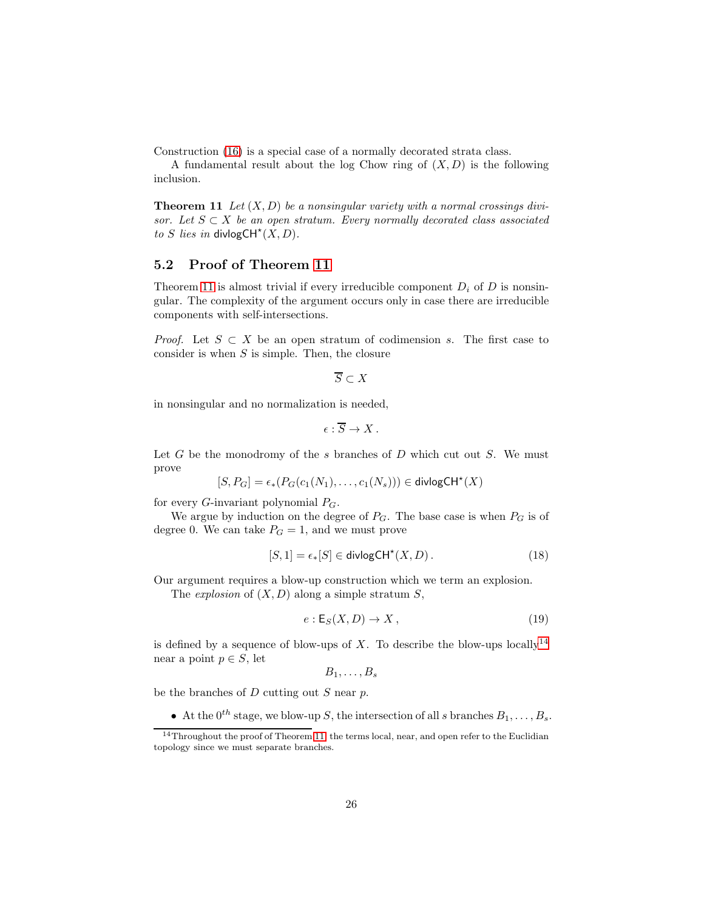Construction [\(16\)](#page-24-1) is a special case of a normally decorated strata class.

<span id="page-25-1"></span>A fundamental result about the log Chow ring of  $(X, D)$  is the following inclusion.

**Theorem 11** Let  $(X, D)$  be a nonsingular variety with a normal crossings divisor. Let  $S \subset X$  be an open stratum. Every normally decorated class associated to S lies in divlogCH<sup>\*</sup> $(X, D)$ .

## <span id="page-25-0"></span>5.2 Proof of Theorem [11](#page-25-1)

Theorem [11](#page-25-1) is almost trivial if every irreducible component  $D_i$  of D is nonsingular. The complexity of the argument occurs only in case there are irreducible components with self-intersections.

*Proof.* Let  $S \subset X$  be an open stratum of codimension s. The first case to consider is when  $S$  is simple. Then, the closure

 $\overline{S} \subset X$ 

in nonsingular and no normalization is needed,

$$
\epsilon:\overline{S}\to X\,.
$$

Let  $G$  be the monodromy of the  $s$  branches of  $D$  which cut out  $S$ . We must prove

$$
[S, P_G]=\epsilon_*(P_G(c_1(N_1), \ldots, c_1(N_s))) \in \mathsf{divlogCH}^\star(X)
$$

for every *G*-invariant polynomial  $P_G$ .

We argue by induction on the degree of  $P_G$ . The base case is when  $P_G$  is of degree 0. We can take  $P_G = 1$ , and we must prove

$$
[S,1] = \epsilon_*[S] \in \text{divlogCH}^*(X,D). \tag{18}
$$

Our argument requires a blow-up construction which we term an explosion.

The *explosion* of  $(X, D)$  along a simple stratum  $S$ ,

<span id="page-25-3"></span>
$$
e: \mathsf{E}_S(X, D) \to X, \tag{19}
$$

is defined by a sequence of blow-ups of X. To describe the blow-ups locally<sup>[14](#page-25-2)</sup> near a point  $p \in S$ , let

$$
B_1,\ldots,B_s
$$

be the branches of  $D$  cutting out  $S$  near  $p$ .

• At the  $0^{th}$  stage, we blow-up S, the intersection of all s branches  $B_1, \ldots, B_s$ .

<span id="page-25-2"></span> $14$ Throughout the proof of Theorem [11,](#page-25-1) the terms local, near, and open refer to the Euclidian topology since we must separate branches.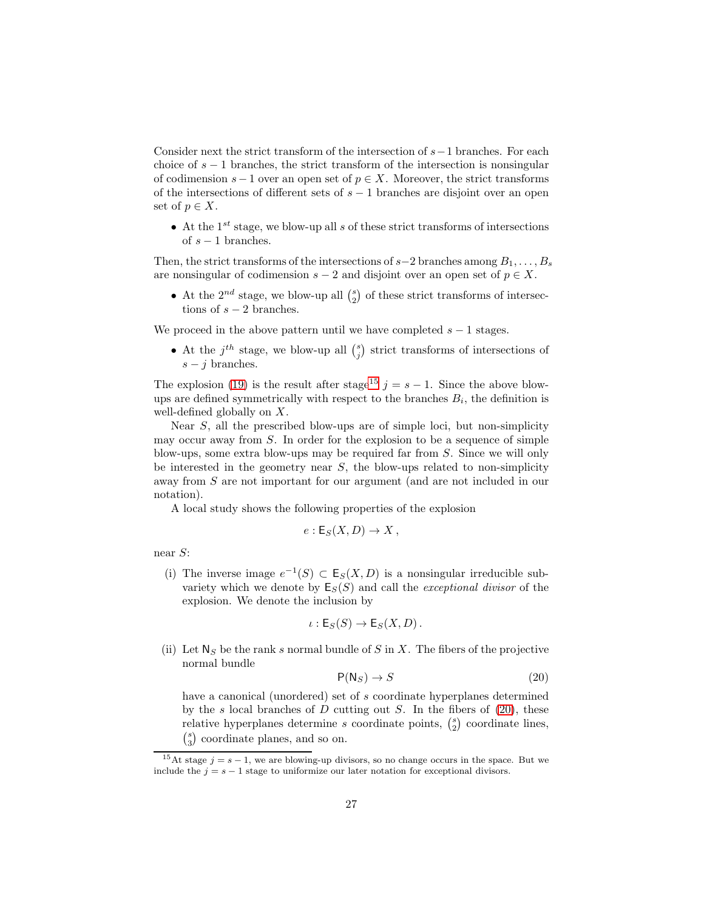Consider next the strict transform of the intersection of  $s-1$  branches. For each choice of  $s - 1$  branches, the strict transform of the intersection is nonsingular of codimension  $s - 1$  over an open set of  $p \in X$ . Moreover, the strict transforms of the intersections of different sets of  $s - 1$  branches are disjoint over an open set of  $p \in X$ .

• At the  $1^{st}$  stage, we blow-up all s of these strict transforms of intersections of  $s - 1$  branches.

Then, the strict transforms of the intersections of  $s-2$  branches among  $B_1, \ldots, B_s$ are nonsingular of codimension  $s - 2$  and disjoint over an open set of  $p \in X$ .

• At the  $2^{nd}$  stage, we blow-up all  $\binom{s}{2}$  of these strict transforms of intersections of  $s - 2$  branches.

We proceed in the above pattern until we have completed  $s - 1$  stages.

• At the  $j^{th}$  stage, we blow-up all  $\binom{s}{j}$  strict transforms of intersections of  $s - i$  branches.

The explosion [\(19\)](#page-25-3) is the result after stage<sup>[15](#page-26-0)</sup>  $j = s - 1$ . Since the above blowups are defined symmetrically with respect to the branches  $B_i$ , the definition is well-defined globally on X.

Near S, all the prescribed blow-ups are of simple loci, but non-simplicity may occur away from S. In order for the explosion to be a sequence of simple blow-ups, some extra blow-ups may be required far from S. Since we will only be interested in the geometry near  $S$ , the blow-ups related to non-simplicity away from S are not important for our argument (and are not included in our notation).

A local study shows the following properties of the explosion

$$
e: \mathsf{E}_S(X,D) \to X\,,
$$

near S:

(i) The inverse image  $e^{-1}(S) \subset \mathsf{E}_S(X,D)$  is a nonsingular irreducible subvariety which we denote by  $E_S(S)$  and call the *exceptional divisor* of the explosion. We denote the inclusion by

<span id="page-26-1"></span>
$$
\iota: \mathsf{E}_S(S) \to \mathsf{E}_S(X, D).
$$

(ii) Let  $N<sub>S</sub>$  be the rank s normal bundle of S in X. The fibers of the projective normal bundle

$$
\mathsf{P}(\mathsf{N}_S) \to S \tag{20}
$$

have a canonical (unordered) set of s coordinate hyperplanes determined by the s local branches of D cutting out S. In the fibers of  $(20)$ , these relative hyperplanes determine s coordinate points,  $\binom{s}{2}$  coordinate lines,  ${s \choose 3}$  coordinate planes, and so on.

<span id="page-26-0"></span><sup>&</sup>lt;sup>15</sup>At stage  $j = s - 1$ , we are blowing-up divisors, so no change occurs in the space. But we include the  $j = s - 1$  stage to uniformize our later notation for exceptional divisors.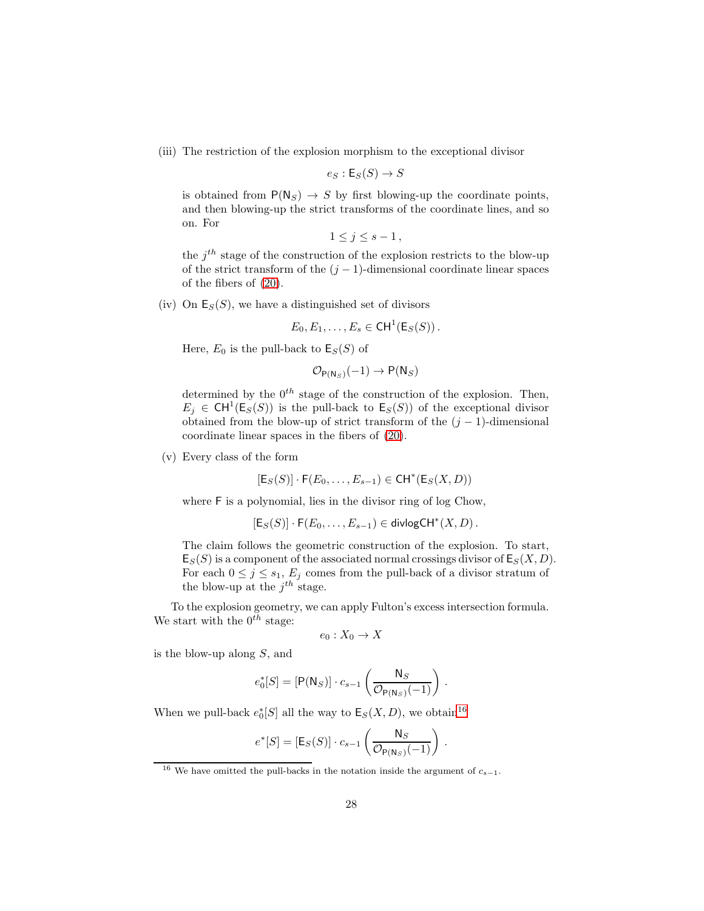(iii) The restriction of the explosion morphism to the exceptional divisor

$$
e_S: \mathsf{E}_S(S) \to S
$$

is obtained from  $P(N_S) \rightarrow S$  by first blowing-up the coordinate points, and then blowing-up the strict transforms of the coordinate lines, and so on. For

$$
1\leq j\leq s-1\,,
$$

the  $j<sup>th</sup>$  stage of the construction of the explosion restricts to the blow-up of the strict transform of the  $(j - 1)$ -dimensional coordinate linear spaces of the fibers of [\(20\)](#page-26-1).

(iv) On  $E_S(S)$ , we have a distinguished set of divisors

$$
E_0, E_1, \ldots, E_s \in \text{CH}^1(\mathsf{E}_S(S)).
$$

Here,  $E_0$  is the pull-back to  $\mathsf{E}_S(S)$  of

$$
\mathcal{O}_{\mathsf{P}(\mathsf{N}_S)}(-1) \to \mathsf{P}(\mathsf{N}_S)
$$

determined by the  $0^{th}$  stage of the construction of the explosion. Then,  $E_j \in \text{CH}^1(\text{E}_S(S))$  is the pull-back to  $\text{E}_S(S)$  of the exceptional divisor obtained from the blow-up of strict transform of the  $(j - 1)$ -dimensional coordinate linear spaces in the fibers of [\(20\)](#page-26-1).

(v) Every class of the form

$$
[\mathsf{E}_S(S)] \cdot \mathsf{F}(E_0, \dots, E_{s-1}) \in \mathsf{CH}^*(\mathsf{E}_S(X, D))
$$

where  $\mathsf F$  is a polynomial, lies in the divisor ring of log Chow,

 $[E_S(S)] \cdot F(E_0, \ldots, E_{s-1}) \in \mathsf{divlogCH}^*(X, D)$ .

The claim follows the geometric construction of the explosion. To start,  $\mathsf{E}_{S}(S)$  is a component of the associated normal crossings divisor of  $\mathsf{E}_{S}(X,D)$ . For each  $0 \leq j \leq s_1$ ,  $E_j$  comes from the pull-back of a divisor stratum of the blow-up at the  $j^{th}$  stage.

To the explosion geometry, we can apply Fulton's excess intersection formula. We start with the  $0^{th}$  stage:

$$
e_0: X_0 \to X
$$

is the blow-up along S, and

$$
e_0^*[S] = [\mathsf{P}(\mathsf{N}_S)] \cdot c_{s-1}\left(\frac{\mathsf{N}_S}{\mathcal{O}_{\mathsf{P}(\mathsf{N}_S)}(-1)}\right) \,.
$$

When we pull-back  $e_0^*[S]$  all the way to  $\mathsf{E}_S(X,D)$ , we obtain<sup>[16](#page-27-0)</sup>

$$
e^*[S] = [\mathsf{E}_S(S)] \cdot c_{s-1} \left( \frac{\mathsf{N}_S}{\mathcal{O}_{\mathsf{P}(\mathsf{N}_S)}(-1)} \right) .
$$

<span id="page-27-0"></span><sup>&</sup>lt;sup>16</sup> We have omitted the pull-backs in the notation inside the argument of  $c_{s-1}$ .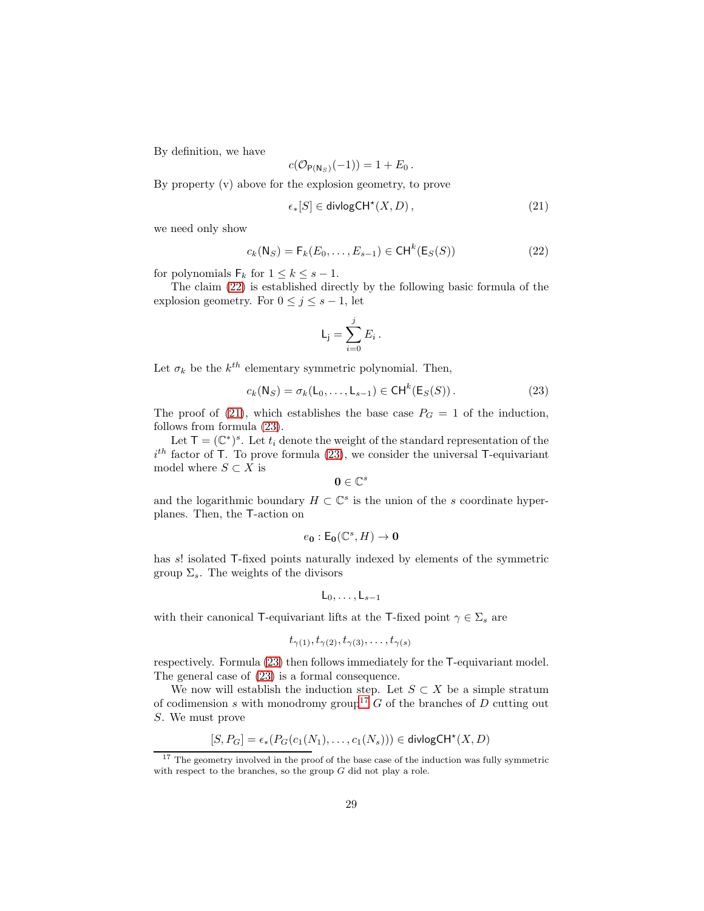By definition, we have

<span id="page-28-1"></span>
$$
c(\mathcal{O}_{\mathsf{P}(\mathsf{N}_S)}(-1)) = 1 + E_0.
$$

By property (v) above for the explosion geometry, to prove

$$
\epsilon_*[S] \in \text{divlogCH}^\star(X, D) \,, \tag{21}
$$

we need only show

<span id="page-28-0"></span>
$$
c_k(\mathsf{N}_S) = \mathsf{F}_k(E_0, \dots, E_{s-1}) \in \mathsf{CH}^k(\mathsf{E}_S(S))
$$
\n<sup>(22)</sup>

for polynomials  $\mathsf{F}_k$  for  $1 \leq k \leq s-1$ .

The claim [\(22\)](#page-28-0) is established directly by the following basic formula of the explosion geometry. For  $0 \leq j \leq s - 1$ , let

<span id="page-28-2"></span>
$$
\mathsf{L}_\mathsf{j} = \sum_{i=0}^j E_i \,.
$$

Let  $\sigma_k$  be the  $k^{th}$  elementary symmetric polynomial. Then,

$$
c_k(\mathsf{N}_S) = \sigma_k(\mathsf{L}_0, \dots, \mathsf{L}_{s-1}) \in \mathsf{CH}^k(\mathsf{E}_S(S)).
$$
\n
$$
(23)
$$

The proof of [\(21\)](#page-28-1), which establishes the base case  $P_G = 1$  of the induction, follows from formula [\(23\)](#page-28-2).

Let  $\mathsf{T} = (\mathbb{C}^*)^s$ . Let  $t_i$  denote the weight of the standard representation of the  $i<sup>th</sup>$  factor of T. To prove formula [\(23\)](#page-28-2), we consider the universal T-equivariant model where  $S \subset X$  is

$$
\mathbf{0}\in\mathbb{C}^s
$$

and the logarithmic boundary  $H \subset \mathbb{C}^s$  is the union of the s coordinate hyperplanes. Then, the T-action on

$$
e_{\mathbf{0}}:\mathsf{E}_{\mathbf{0}}(\mathbb{C}^s,H)\to\mathbf{0}
$$

has s! isolated T-fixed points naturally indexed by elements of the symmetric group  $\Sigma_s$ . The weights of the divisors

$$
\mathsf{L}_0,\ldots,\mathsf{L}_{s-1}
$$

with their canonical T-equivariant lifts at the T-fixed point  $\gamma \in \Sigma_s$  are

$$
t_{\gamma(1)}, t_{\gamma(2)}, t_{\gamma(3)}, \ldots, t_{\gamma(s)}
$$

respectively. Formula [\(23\)](#page-28-2) then follows immediately for the T-equivariant model. The general case of [\(23\)](#page-28-2) is a formal consequence.

We now will establish the induction step. Let  $S \subset X$  be a simple stratum of codimension s with monodromy group<sup>[17](#page-28-3)</sup> G of the branches of D cutting out S. We must prove

$$
[S, P_G] = \epsilon_*(P_G(c_1(N_1), \ldots, c_1(N_s))) \in \text{divlogCH}^{\star}(X, D)
$$

<span id="page-28-3"></span><sup>&</sup>lt;sup>17</sup> The geometry involved in the proof of the base case of the induction was fully symmetric with respect to the branches, so the group  $G$  did not play a role.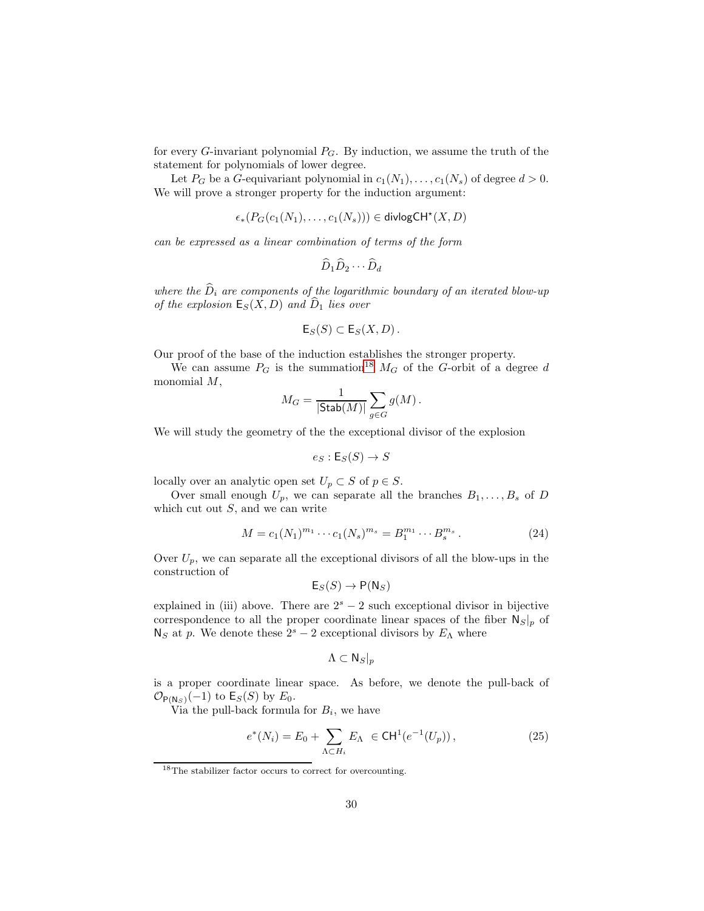for every  $G$ -invariant polynomial  $P_G$ . By induction, we assume the truth of the statement for polynomials of lower degree.

Let  $P_G$  be a G-equivariant polynomial in  $c_1(N_1), \ldots, c_1(N_s)$  of degree  $d > 0$ . We will prove a stronger property for the induction argument:

$$
\epsilon_*(P_G(c_1(N_1),\ldots,c_1(N_s))) \in \text{divlogCH}^{\star}(X,D)
$$

can be expressed as a linear combination of terms of the form

$$
\widehat{D}_1 \widehat{D}_2 \cdots \widehat{D}_d
$$

where the  $\widehat{D}_i$  are components of the logarithmic boundary of an iterated blow-up of the explosion  $E_S(X, D)$  and  $D_1$  lies over

$$
\mathsf{E}_S(S) \subset \mathsf{E}_S(X,D).
$$

Our proof of the base of the induction establishes the stronger property.

We can assume  $P_G$  is the summation<sup>[18](#page-29-0)</sup>  $M_G$  of the G-orbit of a degree d monomial M,

$$
M_G = \frac{1}{|\mathsf{Stab}(M)|} \sum_{g \in G} g(M) \, .
$$

We will study the geometry of the the exceptional divisor of the explosion

<span id="page-29-2"></span>
$$
e_S: \mathsf{E}_S(S) \to S
$$

locally over an analytic open set  $U_p \subset S$  of  $p \in S$ .

Over small enough  $U_p$ , we can separate all the branches  $B_1, \ldots, B_s$  of D which cut out  $S$ , and we can write

$$
M = c_1(N_1)^{m_1} \cdots c_1(N_s)^{m_s} = B_1^{m_1} \cdots B_s^{m_s}.
$$
 (24)

Over  $U_p$ , we can separate all the exceptional divisors of all the blow-ups in the construction of

$$
\mathsf{E}_S(S) \to \mathsf{P}(\mathsf{N}_S)
$$

explained in (iii) above. There are  $2<sup>s</sup> - 2$  such exceptional divisor in bijective correspondence to all the proper coordinate linear spaces of the fiber  $N_S|_p$  of  $N_S$  at p. We denote these  $2<sup>s</sup> - 2$  exceptional divisors by  $E_{\Lambda}$  where

<span id="page-29-1"></span>
$$
\Lambda \subset \mathsf{N}_S|_p
$$

is a proper coordinate linear space. As before, we denote the pull-back of  $\mathcal{O}_{\mathsf{P(N_S)}}(-1)$  to  $\mathsf{E}_S(S)$  by  $E_0$ .

Via the pull-back formula for  $B_i$ , we have

$$
e^*(N_i) = E_0 + \sum_{\Lambda \subset H_i} E_{\Lambda} \in \text{CH}^1(e^{-1}(U_p)), \tag{25}
$$

<span id="page-29-0"></span><sup>18</sup>The stabilizer factor occurs to correct for overcounting.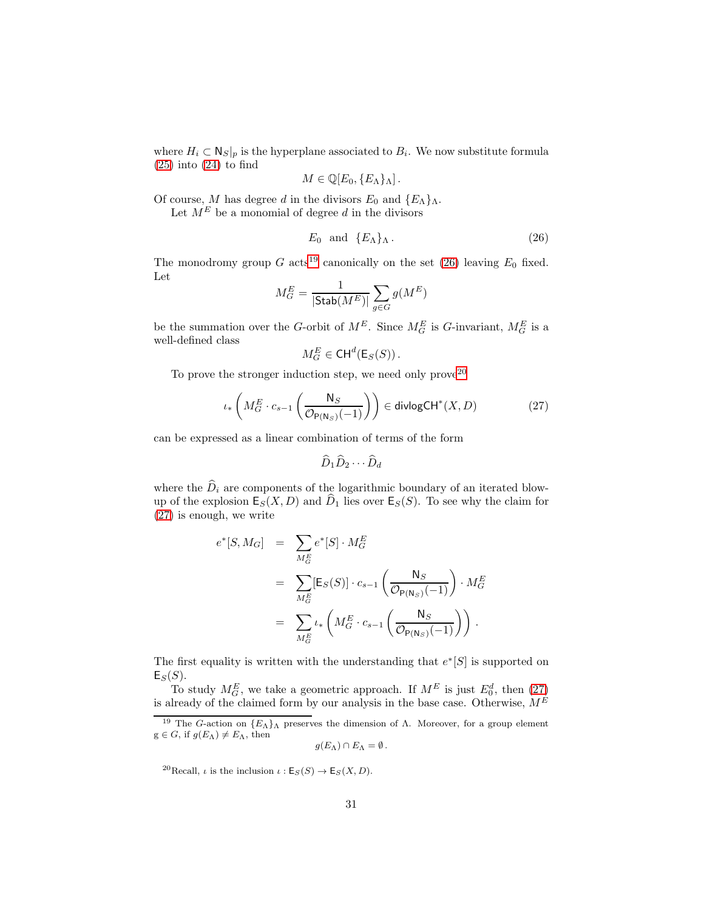where  $H_i \subset N_S|_p$  is the hyperplane associated to  $B_i$ . We now substitute formula  $(25)$  into  $(24)$  to find

$$
M\in\mathbb{Q}[E_0,\{E_{\Lambda}\}_{\Lambda}].
$$

Of course, M has degree d in the divisors  $E_0$  and  $\{E_\Lambda\}_\Lambda$ .

Let  $M^E$  be a monomial of degree d in the divisors

<span id="page-30-1"></span>
$$
E_0 \quad \text{and} \quad \{E_\Lambda\}_\Lambda \,. \tag{26}
$$

The monodromy group G acts<sup>[19](#page-30-0)</sup> canonically on the set [\(26\)](#page-30-1) leaving  $E_0$  fixed. Let

$$
M_G^E = \frac{1}{|\mathsf{Stab}(M^E)|} \sum_{g \in G} g(M^E)
$$

be the summation over the G-orbit of  $M^E$ . Since  $M_G^E$  is G-invariant,  $M_G^E$  is a well-defined class

<span id="page-30-3"></span>
$$
M_G^E \in \mathrm{CH}^d(\mathsf{E}_S(S))\,.
$$

To prove the stronger induction step, we need only  $\text{prove}^{20}$  $\text{prove}^{20}$  $\text{prove}^{20}$ 

$$
\iota_*\left(M_G^E \cdot c_{s-1}\left(\frac{\mathsf{N}_S}{\mathcal{O}_{\mathsf{P}(\mathsf{N}_S)}(-1)}\right)\right) \in \mathsf{divlogCH}^*(X, D) \tag{27}
$$

can be expressed as a linear combination of terms of the form

$$
\widehat{D}_1 \widehat{D}_2 \cdots \widehat{D}_d
$$

where the  $\hat{D}_i$  are components of the logarithmic boundary of an iterated blowup of the explosion  $\mathsf{E}_{S}(X,D)$  and  $\widehat{D}_1$  lies over  $\mathsf{E}_{S}(S)$ . To see why the claim for [\(27\)](#page-30-3) is enough, we write

$$
e^*[S, M_G] = \sum_{M_G^E} e^*[S] \cdot M_G^E
$$
  

$$
= \sum_{M_G^E} [\mathsf{E}_S(S)] \cdot c_{s-1} \left( \frac{\mathsf{N}_S}{\mathcal{O}_{\mathsf{P}(\mathsf{N}_S)}(-1)} \right) \cdot M_G^E
$$
  

$$
= \sum_{M_G^E} \iota_* \left( M_G^E \cdot c_{s-1} \left( \frac{\mathsf{N}_S}{\mathcal{O}_{\mathsf{P}(\mathsf{N}_S)}(-1)} \right) \right).
$$

The first equality is written with the understanding that  $e^*[S]$  is supported on  $E_S(S)$ .

To study  $M_G^E$ , we take a geometric approach. If  $M^E$  is just  $E_0^d$ , then  $(27)$ is already of the claimed form by our analysis in the base case. Otherwise,  $M^E$ 

$$
g(E_{\Lambda})\cap E_{\Lambda}=\emptyset.
$$

<span id="page-30-2"></span><sup>20</sup>Recall, *ι* is the inclusion  $\iota$  :  $\mathsf{E}_S(S) \to \mathsf{E}_S(X, D)$ .

<span id="page-30-0"></span><sup>&</sup>lt;sup>19</sup> The G-action on  ${E_\Lambda}_\Lambda$  preserves the dimension of  $\Lambda$ . Moreover, for a group element  $g \in G$ , if  $g(E_{\Lambda}) \neq E_{\Lambda}$ , then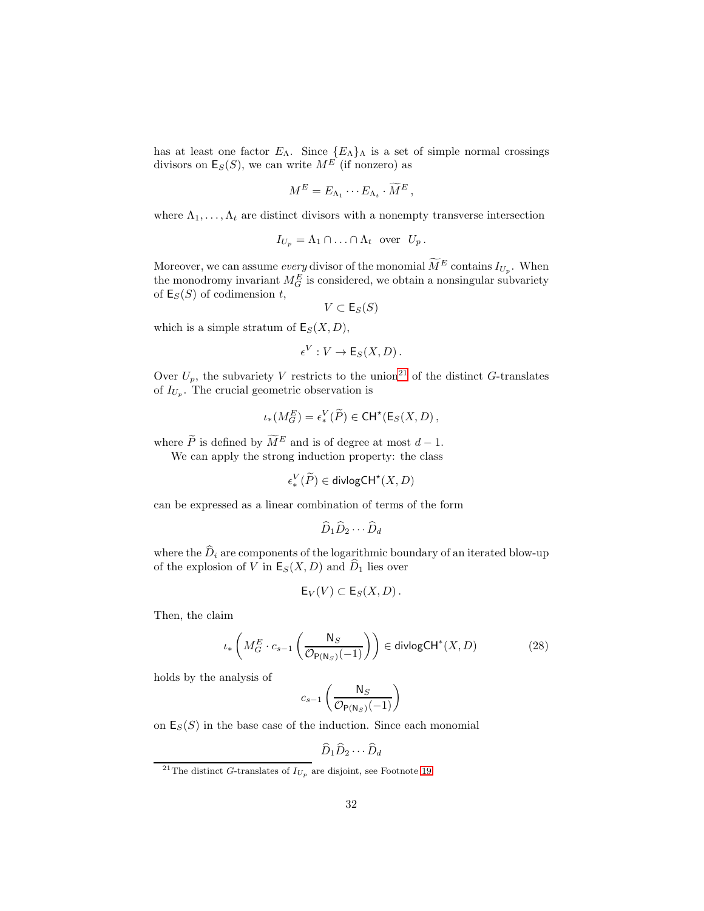has at least one factor  $E_{\Lambda}$ . Since  $\{E_{\Lambda}\}_\Lambda$  is a set of simple normal crossings divisors on  $\mathsf{E}_{S}(S)$ , we can write  $M^{E}$  (if nonzero) as

$$
M^E = E_{\Lambda_1} \cdots E_{\Lambda_t} \cdot \widetilde{M}^E,
$$

where  $\Lambda_1, \ldots, \Lambda_t$  are distinct divisors with a nonempty transverse intersection

$$
I_{U_p} = \Lambda_1 \cap \ldots \cap \Lambda_t \text{ over } U_p.
$$

Moreover, we can assume *every* divisor of the monomial  $\tilde{M}^E$  contains  $I_{U_p}$ . When the monodromy invariant  $M_G^E$  is considered, we obtain a nonsingular subvariety of  $\mathsf{E}_S(S)$  of codimension t,

$$
V \subset \mathsf{E}_S(S)
$$

which is a simple stratum of  $E_S(X, D)$ ,

$$
\epsilon^V: V \to \mathsf{E}_S(X, D).
$$

Over  $U_p$ , the subvariety V restricts to the union<sup>[21](#page-31-0)</sup> of the distinct G-translates of  $I_{U_p}$ . The crucial geometric observation is

$$
\iota_*(M_G^E) = \epsilon_*^V(\widetilde{P}) \in \mathsf{CH}^{\star}(\mathsf{E}_S(X, D)),
$$

where  $\widetilde{P}$  is defined by  $\widetilde{M}^E$  and is of degree at most  $d-1$ .

We can apply the strong induction property: the class

$$
\epsilon^V_*(\widetilde{P}) \in \text{divlogCH}^\star(X,D)
$$

can be expressed as a linear combination of terms of the form

$$
\widehat{D}_1 \widehat{D}_2 \cdots \widehat{D}_d
$$

where the  $\widehat{D}_i$  are components of the logarithmic boundary of an iterated blow-up of the explosion of V in  $E_S(X, D)$  and  $\widehat{D}_1$  lies over

$$
\mathsf{E}_V(V) \subset \mathsf{E}_S(X,D).
$$

Then, the claim

<span id="page-31-1"></span>
$$
\iota_*\left(M_G^E \cdot c_{s-1}\left(\frac{\mathsf{N}_S}{\mathcal{O}_{\mathsf{P}(\mathsf{N}_S)}(-1)}\right)\right) \in \mathsf{divlogCH}^*(X, D) \tag{28}
$$

holds by the analysis of

$$
c_{s-1}\left(\frac{\mathsf{N}_S}{\mathcal{O}_{\mathsf{P}(\mathsf{N}_S)}(-1)}\right)
$$

on  $\mathsf{E}_{S}(S)$  in the base case of the induction. Since each monomial

$$
\widehat{D}_1 \widehat{D}_2 \cdots \widehat{D}_d
$$

<span id="page-31-0"></span><sup>&</sup>lt;sup>21</sup>The distinct G-translates of  $I_{U_p}$  are disjoint, see Footnote [19.](#page-30-0)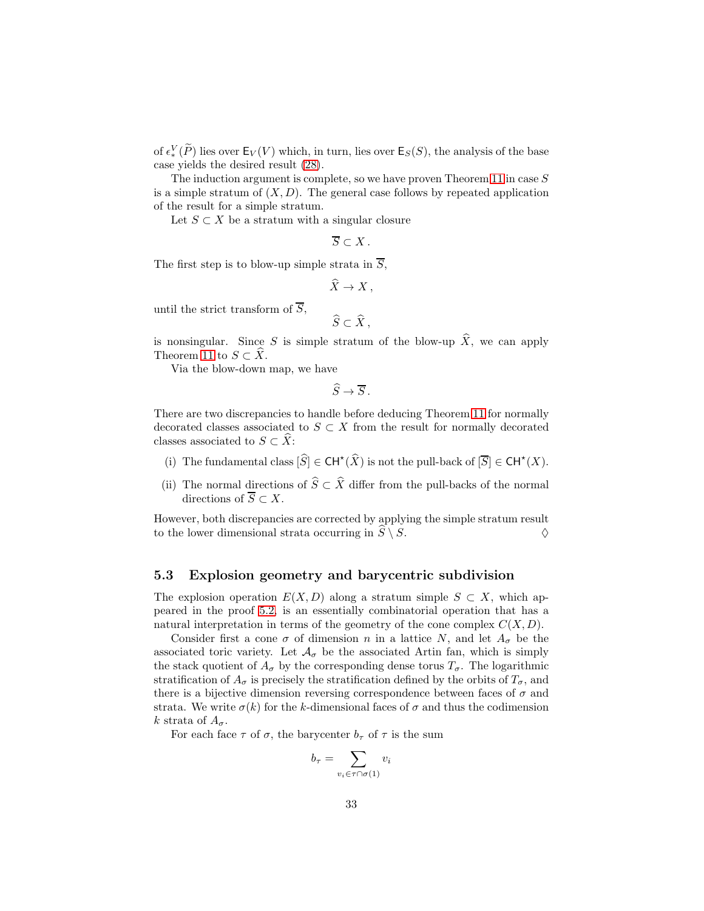of  $\epsilon_*^V(\tilde{P})$  lies over  $\mathsf{E}_V(V)$  which, in turn, lies over  $\mathsf{E}_S(S)$ , the analysis of the base case yields the desired result [\(28\)](#page-31-1).

The induction argument is complete, so we have proven Theorem [11](#page-25-1) in case S is a simple stratum of  $(X, D)$ . The general case follows by repeated application of the result for a simple stratum.

Let  $S \subset X$  be a stratum with a singular closure

$$
\overline{S}\subset X\,.
$$

The first step is to blow-up simple strata in  $\overline{S}$ ,

$$
\widehat{X} \to X \,,
$$

until the strict transform of  $\overline{S}$ ,

$$
\widehat{S}\subset\widehat{X}\,,
$$

is nonsingular. Since S is simple stratum of the blow-up  $\hat{X}$ , we can apply Theorem [11](#page-25-1) to  $S \subset X$ .

Via the blow-down map, we have

$$
\widehat{S} \to \overline{S} \, .
$$

There are two discrepancies to handle before deducing Theorem [11](#page-25-1) for normally decorated classes associated to  $S \subset X$  from the result for normally decorated classes associated to  $S \subset \hat{X}$ :

- (i) The fundamental class  $[\widehat{S}] \in \mathsf{CH}^{\star}(\widehat{X})$  is not the pull-back of  $[\overline{S}] \in \mathsf{CH}^{\star}(X)$ .
- (ii) The normal directions of  $\widehat{S} \subset \widehat{X}$  differ from the pull-backs of the normal directions of  $\overline{S} \subset X$ .

However, both discrepancies are corrected by applying the simple stratum result to the lower dimensional strata occurring in  $\hat{S} \setminus S$ .

### <span id="page-32-0"></span>5.3 Explosion geometry and barycentric subdivision

The explosion operation  $E(X, D)$  along a stratum simple  $S \subset X$ , which appeared in the proof [5.2,](#page-25-0) is an essentially combinatorial operation that has a natural interpretation in terms of the geometry of the cone complex  $C(X, D)$ .

Consider first a cone  $\sigma$  of dimension n in a lattice N, and let  $A_{\sigma}$  be the associated toric variety. Let  $\mathcal{A}_{\sigma}$  be the associated Artin fan, which is simply the stack quotient of  $A_{\sigma}$  by the corresponding dense torus  $T_{\sigma}$ . The logarithmic stratification of  $A_{\sigma}$  is precisely the stratification defined by the orbits of  $T_{\sigma}$ , and there is a bijective dimension reversing correspondence between faces of  $\sigma$  and strata. We write  $\sigma(k)$  for the k-dimensional faces of  $\sigma$  and thus the codimension k strata of  $A_{\sigma}$ .

For each face  $\tau$  of  $\sigma$ , the barycenter  $b_{\tau}$  of  $\tau$  is the sum

$$
b_{\tau} = \sum_{v_i \in \tau \cap \sigma(1)} v_i
$$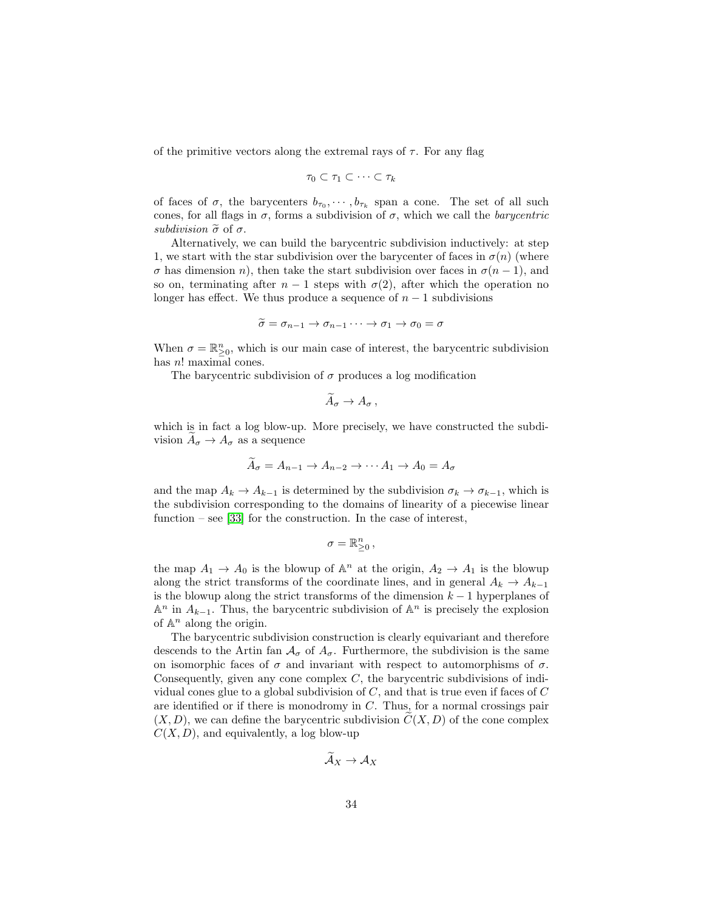of the primitive vectors along the extremal rays of  $\tau$ . For any flag

$$
\tau_0 \subset \tau_1 \subset \cdots \subset \tau_k
$$

of faces of  $\sigma$ , the barycenters  $b_{\tau_0}, \cdots, b_{\tau_k}$  span a cone. The set of all such cones, for all flags in  $\sigma$ , forms a subdivision of  $\sigma$ , which we call the *barycentric* subdivision  $\tilde{\sigma}$  of  $\sigma$ .

Alternatively, we can build the barycentric subdivision inductively: at step 1, we start with the star subdivision over the barycenter of faces in  $\sigma(n)$  (where  $\sigma$  has dimension n), then take the start subdivision over faces in  $\sigma(n-1)$ , and so on, terminating after  $n-1$  steps with  $\sigma(2)$ , after which the operation no longer has effect. We thus produce a sequence of  $n-1$  subdivisions

$$
\widetilde{\sigma} = \sigma_{n-1} \to \sigma_{n-1} \cdots \to \sigma_1 \to \sigma_0 = \sigma
$$

When  $\sigma = \mathbb{R}_{\geq 0}^n$ , which is our main case of interest, the barycentric subdivision has  $n!$  maximal cones.

The barycentric subdivision of  $\sigma$  produces a log modification

$$
\widetilde{A}_{\sigma} \to A_{\sigma} ,
$$

which is in fact a log blow-up. More precisely, we have constructed the subdivision  $A_{\sigma} \to A_{\sigma}$  as a sequence

$$
A_{\sigma} = A_{n-1} \to A_{n-2} \to \cdots A_1 \to A_0 = A_{\sigma}
$$

and the map  $A_k \to A_{k-1}$  is determined by the subdivision  $\sigma_k \to \sigma_{k-1}$ , which is the subdivision corresponding to the domains of linearity of a piecewise linear function – see [\[33\]](#page-56-8) for the construction. In the case of interest,

$$
\sigma=\mathbb{R}_{\geq 0}^n\,,
$$

the map  $A_1 \to A_0$  is the blowup of  $\mathbb{A}^n$  at the origin,  $A_2 \to A_1$  is the blowup along the strict transforms of the coordinate lines, and in general  $A_k \to A_{k-1}$ is the blowup along the strict transforms of the dimension  $k-1$  hyperplanes of  $\mathbb{A}^n$  in  $A_{k-1}$ . Thus, the barycentric subdivision of  $\mathbb{A}^n$  is precisely the explosion of  $\mathbb{A}^n$  along the origin.

The barycentric subdivision construction is clearly equivariant and therefore descends to the Artin fan  $A_{\sigma}$  of  $A_{\sigma}$ . Furthermore, the subdivision is the same on isomorphic faces of  $\sigma$  and invariant with respect to automorphisms of  $\sigma$ . Consequently, given any cone complex  $C$ , the barycentric subdivisions of individual cones glue to a global subdivision of  $C$ , and that is true even if faces of  $C$ are identified or if there is monodromy in  $C$ . Thus, for a normal crossings pair  $(X, D)$ , we can define the barycentric subdivision  $C(X, D)$  of the cone complex  $C(X, D)$ , and equivalently, a log blow-up

$$
\mathcal{A}_X\to \mathcal{A}_X
$$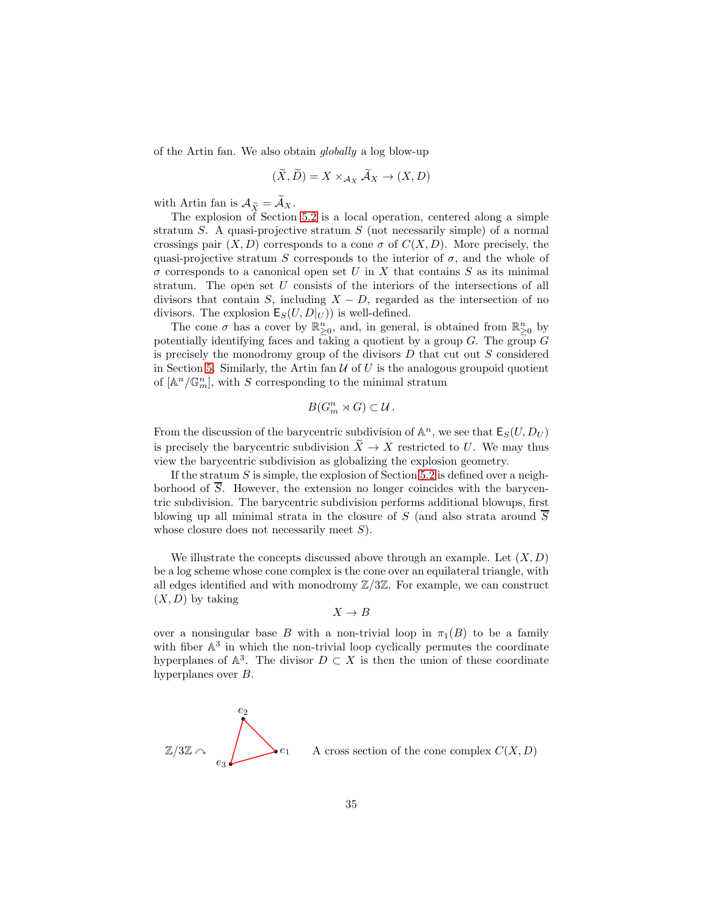of the Artin fan. We also obtain globally a log blow-up

$$
(\tilde{X}, \tilde{D}) = X \times_{\mathcal{A}_X} \tilde{\mathcal{A}}_X \to (X, D)
$$

with Artin fan is  $\mathcal{A}_{\widetilde{X}} = \mathcal{A}_X$ .

The explosion of Section [5.2](#page-25-0) is a local operation, centered along a simple stratum S. A quasi-projective stratum  $S$  (not necessarily simple) of a normal crossings pair  $(X, D)$  corresponds to a cone  $\sigma$  of  $C(X, D)$ . More precisely, the quasi-projective stratum S corresponds to the interior of  $\sigma$ , and the whole of  $\sigma$  corresponds to a canonical open set U in X that contains S as its minimal stratum. The open set U consists of the interiors of the intersections of all divisors that contain S, including  $X - D$ , regarded as the intersection of no divisors. The explosion  $\mathsf{E}_{S}(U, D|_{U})$  is well-defined.

The cone  $\sigma$  has a cover by  $\mathbb{R}^n_{\geq 0}$ , and, in general, is obtained from  $\mathbb{R}^n_{\geq 0}$  by potentially identifying faces and taking a quotient by a group  $G$ . The group  $G$ is precisely the monodromy group of the divisors  $D$  that cut out  $S$  considered in Section [5.](#page-23-0) Similarly, the Artin fan  $U$  of U is the analogous groupoid quotient of  $[\mathbb{A}^n/\mathbb{G}_m^n]$ , with S corresponding to the minimal stratum

$$
B(G_m^n \rtimes G) \subset \mathcal{U}.
$$

From the discussion of the barycentric subdivision of  $\mathbb{A}^n$ , we see that  $\mathsf{E}_S(U, D_U)$ is precisely the barycentric subdivision  $\widetilde{X} \to X$  restricted to U. We may thus view the barycentric subdivision as globalizing the explosion geometry.

If the stratum  $S$  is simple, the explosion of Section [5.2](#page-25-0) is defined over a neighborhood of  $\overline{S}$ . However, the extension no longer coincides with the barycentric subdivision. The barycentric subdivision performs additional blowups, first blowing up all minimal strata in the closure of S (and also strata around  $\overline{S}$ whose closure does not necessarily meet  $S$ ).

We illustrate the concepts discussed above through an example. Let  $(X, D)$ be a log scheme whose cone complex is the cone over an equilateral triangle, with all edges identified and with monodromy  $\mathbb{Z}/3\mathbb{Z}$ . For example, we can construct  $(X, D)$  by taking

$$
X \to B
$$

over a nonsingular base B with a non-trivial loop in  $\pi_1(B)$  to be a family with fiber  $\mathbb{A}^3$  in which the non-trivial loop cyclically permutes the coordinate hyperplanes of  $\mathbb{A}^3$ . The divisor  $D \subset X$  is then the union of these coordinate hyperplanes over B.

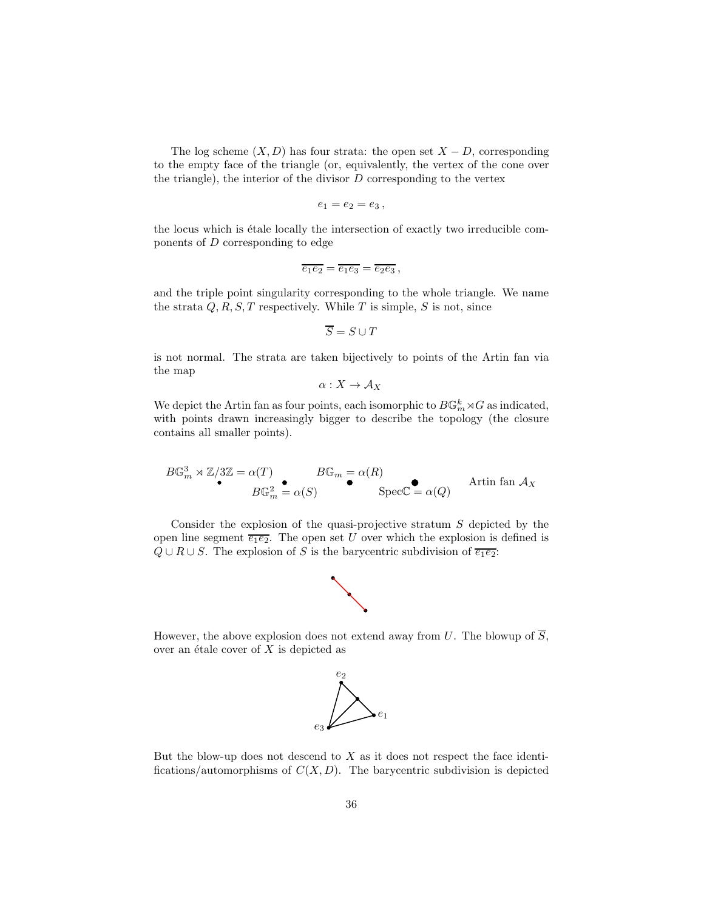The log scheme  $(X, D)$  has four strata: the open set  $X - D$ , corresponding to the empty face of the triangle (or, equivalently, the vertex of the cone over the triangle), the interior of the divisor  $D$  corresponding to the vertex

$$
e_1=e_2=e_3,
$$

the locus which is étale locally the intersection of exactly two irreducible components of D corresponding to edge

$$
\overline{e_1e_2} = \overline{e_1e_3} = \overline{e_2e_3} ,
$$

and the triple point singularity corresponding to the whole triangle. We name the strata  $Q, R, S, T$  respectively. While T is simple, S is not, since

$$
\overline{S} = S \cup T
$$

is not normal. The strata are taken bijectively to points of the Artin fan via the map

$$
\alpha:X\to \mathcal{A}_X
$$

We depict the Artin fan as four points, each isomorphic to  $B\mathbb{G}_m^k\rtimes G$  as indicated, with points drawn increasingly bigger to describe the topology (the closure contains all smaller points).

$$
B\mathbb{G}_m^3 \rtimes \mathbb{Z}/3\mathbb{Z} = \alpha(T) \qquad \qquad B\mathbb{G}_m = \alpha(R) \qquad \qquad \text{Artin fan } \mathcal{A}_X
$$

$$
B\mathbb{G}_m^2 = \alpha(S) \qquad \qquad \text{Spec}\mathbb{C} = \alpha(Q) \qquad \qquad \text{Artin fan } \mathcal{A}_X
$$

Consider the explosion of the quasi-projective stratum  $S$  depicted by the open line segment  $\overline{e_1e_2}$ . The open set U over which the explosion is defined is  $Q \cup R \cup S$ . The explosion of S is the barycentric subdivision of  $\overline{e_1e_2}$ :



However, the above explosion does not extend away from U. The blowup of  $\overline{S}$ , over an étale cover of  $X$  is depicted as



But the blow-up does not descend to  $X$  as it does not respect the face identifications/automorphisms of  $C(X, D)$ . The barycentric subdivision is depicted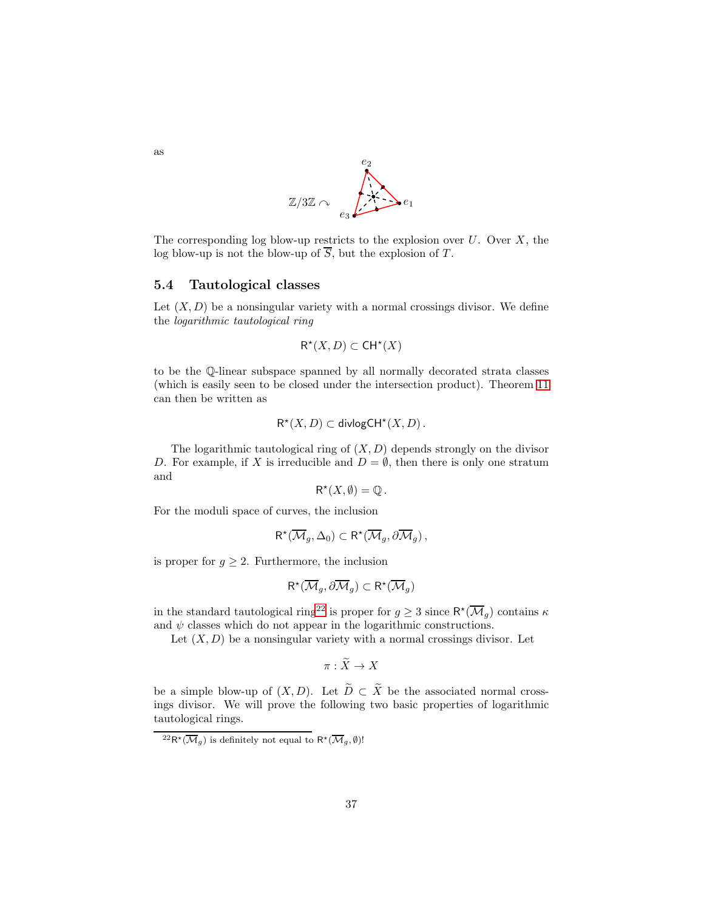

The corresponding log blow-up restricts to the explosion over  $U$ . Over  $X$ , the log blow-up is not the blow-up of  $\overline{S}$ , but the explosion of T.

#### <span id="page-36-2"></span>5.4 Tautological classes

Let  $(X, D)$  be a nonsingular variety with a normal crossings divisor. We define the logarithmic tautological ring

$$
\mathsf{R}^\star(X,D) \subset \mathsf{CH}^\star(X)
$$

to be the Q-linear subspace spanned by all normally decorated strata classes (which is easily seen to be closed under the intersection product). Theorem [11](#page-25-1) can then be written as

$$
\mathsf{R}^\star(X,D) \subset \mathsf{divlogCH}^\star(X,D)\,.
$$

The logarithmic tautological ring of  $(X, D)$  depends strongly on the divisor D. For example, if X is irreducible and  $D = \emptyset$ , then there is only one stratum and

$$
R^*(X, \emptyset) = \mathbb{Q}.
$$

For the moduli space of curves, the inclusion

$$
\mathsf{R}^{\star}(\overline{\mathcal{M}}_g, \Delta_0) \subset \mathsf{R}^{\star}(\overline{\mathcal{M}}_g, \partial \overline{\mathcal{M}}_g),
$$

is proper for  $g \geq 2$ . Furthermore, the inclusion

$$
\mathsf{R}^{\star}({\overline{\mathcal{M}}_g},\partial{\overline{\mathcal{M}}_g}) \subset \mathsf{R}^{\star}({\overline{\mathcal{M}}_g})
$$

in the standard tautological ring<sup>[22](#page-36-0)</sup> is proper for  $g \geq 3$  since  $\mathsf{R}^{\star}(\overline{\mathcal{M}}_g)$  contains  $\kappa$ and  $\psi$  classes which do not appear in the logarithmic constructions.

Let  $(X, D)$  be a nonsingular variety with a normal crossings divisor. Let

$$
\pi: \widetilde{X} \to X
$$

be a simple blow-up of  $(X, D)$ . Let  $\widetilde{D} \subset \widetilde{X}$  be the associated normal crossings divisor. We will prove the following two basic properties of logarithmic tautological rings.

as

<span id="page-36-1"></span><span id="page-36-0"></span> ${}^{22}R^{\star}(\overline{\mathcal{M}}_g)$  is definitely not equal to  $R^{\star}(\overline{\mathcal{M}}_g,\emptyset)!$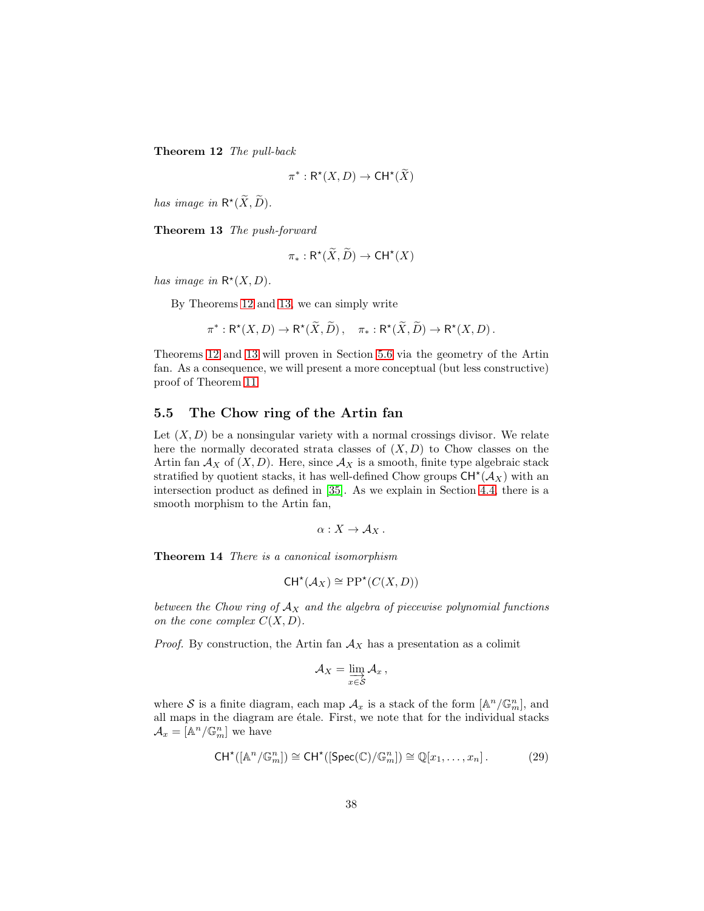Theorem 12 The pull-back

$$
\pi^*: \mathsf{R}^\star(X, D) \to \mathsf{CH}^\star(\widetilde{X})
$$

<span id="page-37-1"></span>has image in  $\mathsf{R}^*(X,D)$ .

Theorem 13 The push-forward

$$
\pi_*: \mathsf{R}^\star(\widetilde{X}, \widetilde{D}) \to \mathsf{CH}^\star(X)
$$

has image in  $\mathsf{R}^*(X,D)$ .

By Theorems [12](#page-36-1) and [13,](#page-37-1) we can simply write

$$
\pi^*: \mathsf{R}^\star(X, D) \to \mathsf{R}^\star(\widetilde{X}, \widetilde{D}), \quad \pi_*: \mathsf{R}^\star(\widetilde{X}, \widetilde{D}) \to \mathsf{R}^\star(X, D).
$$

Theorems [12](#page-36-1) and [13](#page-37-1) will proven in Section [5.6](#page-43-0) via the geometry of the Artin fan. As a consequence, we will present a more conceptual (but less constructive) proof of Theorem [11.](#page-25-1)

### <span id="page-37-0"></span>5.5 The Chow ring of the Artin fan

Let  $(X, D)$  be a nonsingular variety with a normal crossings divisor. We relate here the normally decorated strata classes of  $(X, D)$  to Chow classes on the Artin fan  $A_X$  of  $(X, D)$ . Here, since  $A_X$  is a smooth, finite type algebraic stack stratified by quotient stacks, it has well-defined Chow groups  $\mathsf{CH}^{\star}(\mathcal{A}_X)$  with an intersection product as defined in [\[35\]](#page-56-9). As we explain in Section [4.4,](#page-22-0) there is a smooth morphism to the Artin fan,

$$
\alpha:X\to \mathcal{A}_X.
$$

<span id="page-37-2"></span>Theorem 14 There is a canonical isomorphism

$$
CH^{\star}(\mathcal{A}_X) \cong PP^{\star}(C(X,D))
$$

between the Chow ring of  $A_X$  and the algebra of piecewise polynomial functions on the cone complex  $C(X, D)$ .

*Proof.* By construction, the Artin fan  $A_X$  has a presentation as a colimit

$$
\mathcal{A}_X=\varinjlim_{x\in\mathcal{S}}\mathcal{A}_x\,,
$$

where S is a finite diagram, each map  $\mathcal{A}_x$  is a stack of the form  $[\mathbb{A}^n/\mathbb{G}_m^n]$ , and all maps in the diagram are étale. First, we note that for the individual stacks  $\mathcal{A}_x = \left[\mathbb{A}^n/\mathbb{G}_m^n\right]$  we have

<span id="page-37-3"></span>
$$
\mathsf{CH}^\star([\mathbb{A}^n/\mathbb{G}_m^n]) \cong \mathsf{CH}^\star([\operatorname{Spec}(\mathbb{C})/\mathbb{G}_m^n]) \cong \mathbb{Q}[x_1,\ldots,x_n]. \tag{29}
$$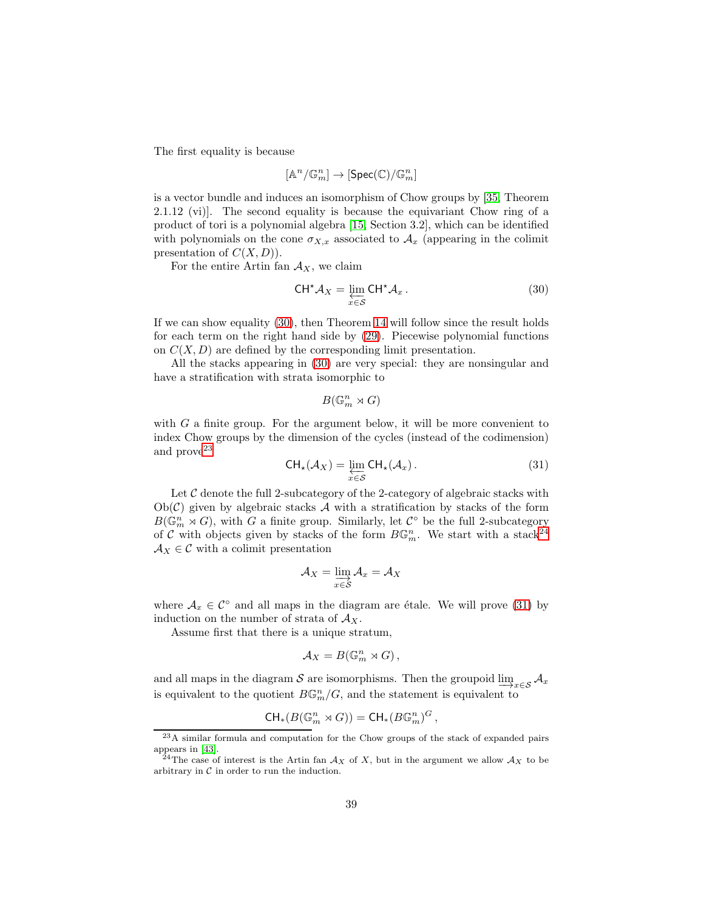The first equality is because

$$
[\mathbb{A}^n/\mathbb{G}_m^n] \to [\mathrm{Spec}(\mathbb{C})/\mathbb{G}_m^n]
$$

is a vector bundle and induces an isomorphism of Chow groups by [\[35,](#page-56-9) Theorem 2.1.12 (vi)]. The second equality is because the equivariant Chow ring of a product of tori is a polynomial algebra [\[15,](#page-55-13) Section 3.2], which can be identified with polynomials on the cone  $\sigma_{X,x}$  associated to  $\mathcal{A}_x$  (appearing in the colimit presentation of  $C(X, D)$ .

For the entire Artin fan  $A_X$ , we claim

<span id="page-38-0"></span>
$$
CH^{\star} \mathcal{A}_X = \varprojlim_{x \in \mathcal{S}} CH^{\star} \mathcal{A}_x.
$$
 (30)

If we can show equality [\(30\)](#page-38-0), then Theorem [14](#page-37-2) will follow since the result holds for each term on the right hand side by [\(29\)](#page-37-3). Piecewise polynomial functions on  $C(X, D)$  are defined by the corresponding limit presentation.

All the stacks appearing in [\(30\)](#page-38-0) are very special: they are nonsingular and have a stratification with strata isomorphic to

$$
B(\mathbb{G}_m^n\rtimes G)
$$

<span id="page-38-3"></span>with  $G$  a finite group. For the argument below, it will be more convenient to index Chow groups by the dimension of the cycles (instead of the codimension) and prove<sup>[23](#page-38-1)</sup>

$$
CH_{\star}(\mathcal{A}_X) = \varprojlim_{x \in \mathcal{S}} CH_{\star}(\mathcal{A}_x).
$$
 (31)

Let  $\mathcal C$  denote the full 2-subcategory of the 2-category of algebraic stacks with  $Ob(\mathcal{C})$  given by algebraic stacks A with a stratification by stacks of the form  $B(\mathbb{G}_m^n \rtimes G)$ , with G a finite group. Similarly, let  $\mathcal{C}^{\circ}$  be the full 2-subcategory of C with objects given by stacks of the form  $B\mathbb{G}_m^n$ . We start with a stack<sup>[24](#page-38-2)</sup>  $A_X \in \mathcal{C}$  with a colimit presentation

$$
\mathcal{A}_X = \varinjlim_{x \in \mathcal{S}} \mathcal{A}_x = \mathcal{A}_X
$$

where  $A_x \in \mathcal{C}^{\circ}$  and all maps in the diagram are étale. We will prove [\(31\)](#page-38-3) by induction on the number of strata of  $A_X$ .

Assume first that there is a unique stratum,

$$
\mathcal{A}_X=B(\mathbb{G}_m^n\rtimes G),
$$

and all maps in the diagram S are isomorphisms. Then the groupoid  $\lim_{x \in S} A_x$ is equivalent to the quotient  $B\mathbb{G}_m^n/G$ , and the statement is equivalent to

$$
\operatorname{CH}_*(B(\mathbb{G}_m^n\rtimes G))=\operatorname{CH}_*(B\mathbb{G}_m^n)^G\,,
$$

<span id="page-38-1"></span><sup>23</sup>A similar formula and computation for the Chow groups of the stack of expanded pairs appears in [\[43\]](#page-57-10).<br><sup>24</sup>The case of interest is the Artin fan  $A_X$  of X, but in the argument we allow  $A_X$  to be

<span id="page-38-2"></span>arbitrary in  $C$  in order to run the induction.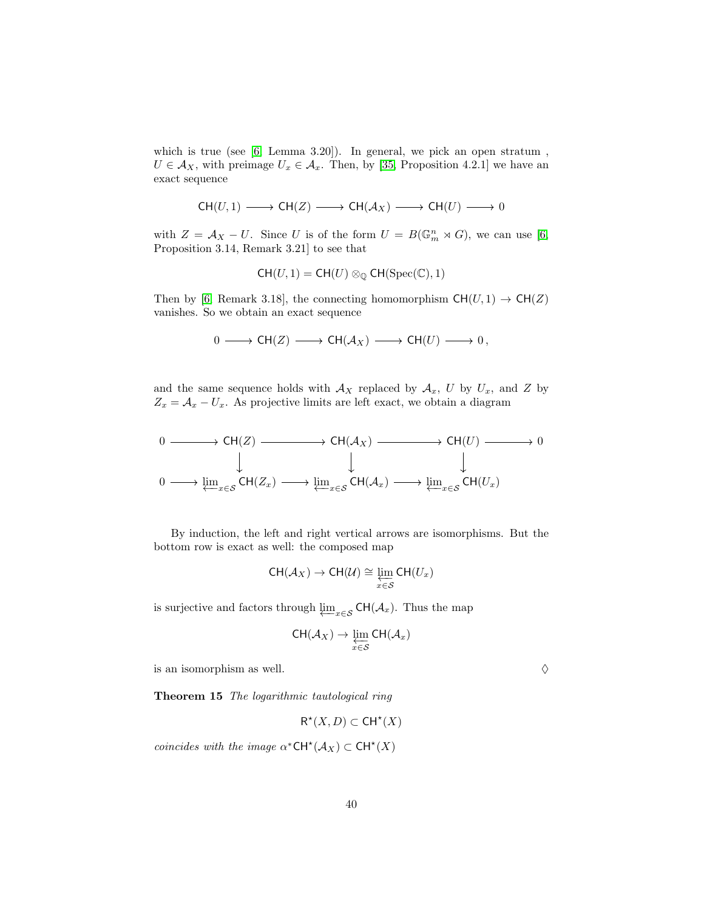which is true (see [\[6,](#page-54-7) Lemma 3.20]). In general, we pick an open stratum,  $U \in \mathcal{A}_X$ , with preimage  $U_x \in \mathcal{A}_x$ . Then, by [\[35,](#page-56-9) Proposition 4.2.1] we have an exact sequence

$$
\mathsf{CH}(U,1)\longrightarrow \mathsf{CH}(Z)\longrightarrow \mathsf{CH}(\mathcal{A}_X)\longrightarrow \mathsf{CH}(U)\longrightarrow 0
$$

with  $Z = \mathcal{A}_X - U$ . Since U is of the form  $U = B(\mathbb{G}_m^n \rtimes G)$ , we can use [\[6,](#page-54-7) Proposition 3.14, Remark 3.21] to see that

$$
CH(U,1) = CH(U) \otimes_{\mathbb{Q}} CH(\mathrm{Spec}(\mathbb{C}), 1)
$$

Then by [\[6,](#page-54-7) Remark 3.18], the connecting homomorphism  $CH(U, 1) \rightarrow CH(Z)$ vanishes. So we obtain an exact sequence

$$
0 \longrightarrow \text{CH}(Z) \longrightarrow \text{CH}(\mathcal{A}_X) \longrightarrow \text{CH}(U) \longrightarrow 0,
$$

and the same sequence holds with  $A_X$  replaced by  $A_x$ , U by  $U_x$ , and Z by  $Z_x = \mathcal{A}_x - U_x$ . As projective limits are left exact, we obtain a diagram

$$
0 \longrightarrow CH(Z) \longrightarrow CH(\mathcal{A}_X) \longrightarrow CH(U) \longrightarrow 0
$$
  
\n
$$
\downarrow \qquad \qquad \downarrow \qquad \qquad \downarrow
$$
  
\n
$$
0 \longrightarrow \underleftarrow{\lim_{x \in S} CH(Z_x) \longrightarrow \lim_{x \in S} CH(\mathcal{A}_x) \longrightarrow \lim_{x \in S} CH(U_x)}
$$

By induction, the left and right vertical arrows are isomorphisms. But the bottom row is exact as well: the composed map

$$
\operatorname{CH}(\mathcal{A}_X) \to \operatorname{CH}(\mathcal{U}) \cong \varprojlim_{x \in \mathcal{S}} \operatorname{CH}(U_x)
$$

is surjective and factors through  $\varprojlim_{x \in \mathcal{S}} \mathsf{CH}(\mathcal{A}_x)$ . Thus the map

$$
\operatorname{CH}(\mathcal{A}_X) \to \varprojlim_{x \in \mathcal{S}} \operatorname{CH}(\mathcal{A}_x)
$$

<span id="page-39-0"></span>is an isomorphism as well.  $\Diamond$ 

Theorem 15 The logarithmic tautological ring

 $R^*(X,D) \subset \mathsf{CH}^*(X)$ 

coincides with the image  $\alpha^*{\sf CH}^{\star}(\mathcal{A}_X) \subset {\sf CH}^{\star}(X)$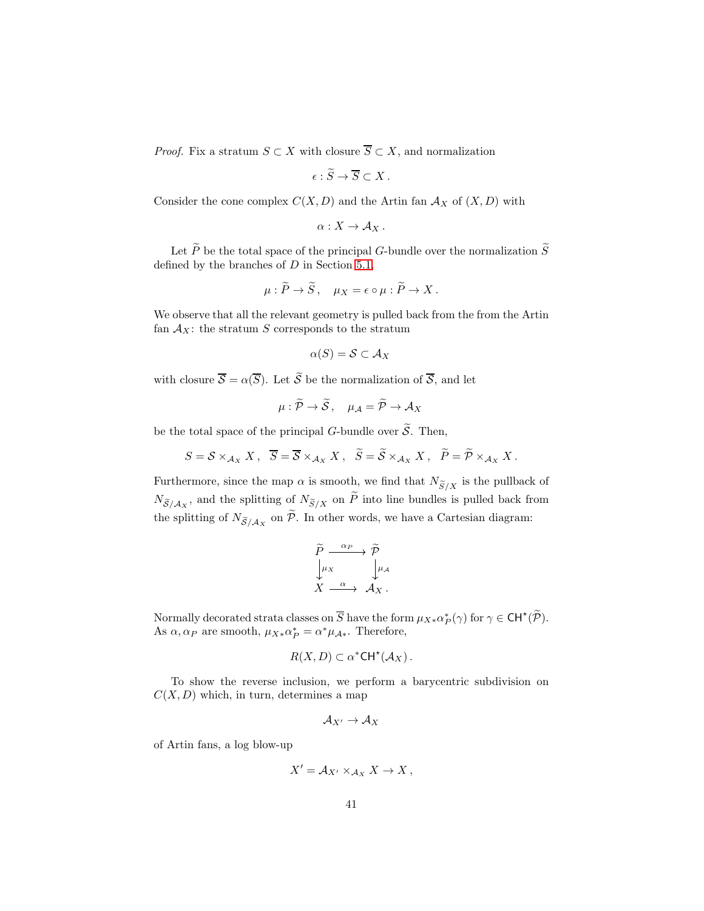*Proof.* Fix a stratum  $S \subset X$  with closure  $\overline{S} \subset X$ , and normalization

$$
\epsilon : \widetilde{S} \to \overline{S} \subset X \, .
$$

Consider the cone complex  $C(X, D)$  and the Artin fan  $\mathcal{A}_X$  of  $(X, D)$  with

$$
\alpha:X\to \mathcal{A}_X.
$$

Let  $\widetilde{P}$  be the total space of the principal G-bundle over the normalization  $\widetilde{S}$ defined by the branches of  $D$  in Section [5.1,](#page-23-1)

$$
\mu: \widetilde{P} \to \widetilde{S}, \quad \mu_X = \epsilon \circ \mu: \widetilde{P} \to X.
$$

We observe that all the relevant geometry is pulled back from the from the Artin fan  $A_X$ : the stratum S corresponds to the stratum

$$
\alpha(S) = \mathcal{S} \subset \mathcal{A}_X
$$

with closure  $\overline{S} = \alpha(\overline{S})$ . Let  $\widetilde{S}$  be the normalization of  $\overline{S}$ , and let

$$
\mu: \widetilde{\mathcal{P}} \to \widetilde{\mathcal{S}}, \quad \mu_{\mathcal{A}} = \widetilde{\mathcal{P}} \to \mathcal{A}_X
$$

be the total space of the principal G-bundle over  $\widetilde{S}$ . Then,

$$
S = \mathcal{S} \times_{\mathcal{A}_X} X \, , \, \overline{S} = \overline{\mathcal{S}} \times_{\mathcal{A}_X} X \, , \, \widetilde{S} = \widetilde{\mathcal{S}} \times_{\mathcal{A}_X} X \, , \, \widetilde{P} = \widetilde{\mathcal{P}} \times_{\mathcal{A}_X} X \, .
$$

Furthermore, since the map  $\alpha$  is smooth, we find that  $N_{\widetilde{S}/X}$  is the pullback of  $N_{\widetilde{\mathcal{S}}/\mathcal{A}_X}$ , and the splitting of  $N_{\widetilde{\mathcal{S}}/X}$  on P into line bundles is pulled back from the splitting of  $N_{\widetilde{\mathcal{S}}/\mathcal{A}_X}$  on  $\mathcal{P}$ . In other words, we have a Cartesian diagram:

$$
\begin{array}{ccc}\n\widetilde{P} & \xrightarrow{\alpha_P} & \widetilde{\mathcal{P}} \\
\downarrow^{\mu_X} & & \downarrow^{\mu_A} \\
X & \xrightarrow{\alpha} & \mathcal{A}_X \,.\n\end{array}
$$

Normally decorated strata classes on  $\overline{S}$  have the form  $\mu_{X*} \alpha^*_{P}(\gamma)$  for  $\gamma \in \mathsf{CH}^{\star}(\widetilde{\mathcal{P}})$ . As  $\alpha, \alpha_P$  are smooth,  $\mu_{X*} \alpha_P^* = \alpha^* \mu_{A*}$ . Therefore,

$$
R(X,D) \subset \alpha^*CH^*(\mathcal{A}_X).
$$

To show the reverse inclusion, we perform a barycentric subdivision on  $C(X, D)$  which, in turn, determines a map

$$
\mathcal{A}_{X'} \to \mathcal{A}_X
$$

of Artin fans, a log blow-up

$$
X' = \mathcal{A}_{X'} \times_{\mathcal{A}_X} X \to X ,
$$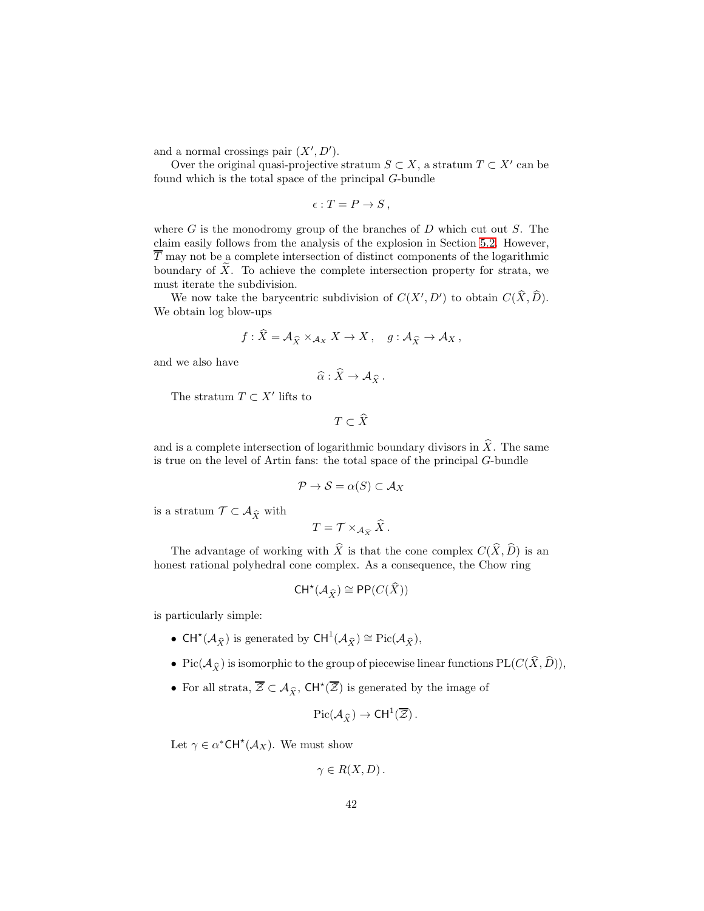and a normal crossings pair  $(X', D')$ .

Over the original quasi-projective stratum  $S \subset X$ , a stratum  $T \subset X'$  can be found which is the total space of the principal G-bundle

$$
\epsilon: T = P \to S \,,
$$

where  $G$  is the monodromy group of the branches of  $D$  which cut out  $S$ . The claim easily follows from the analysis of the explosion in Section [5.2.](#page-25-0) However,  $\overline{T}$  may not be a complete intersection of distinct components of the logarithmic boundary of  $\overline{X}$ . To achieve the complete intersection property for strata, we must iterate the subdivision.

We now take the barycentric subdivision of  $C(X', D')$  to obtain  $C(\widehat{X}, \widehat{D})$ . We obtain log blow-ups

$$
f: X = \mathcal{A}_{\widehat{X}} \times_{\mathcal{A}_X} X \to X, \quad g: \mathcal{A}_{\widehat{X}} \to \mathcal{A}_X,
$$

and we also have

$$
\widehat{\alpha} : \widehat{X} \to \mathcal{A}_{\widehat{X}}.
$$

The stratum  $T \subset X'$  lifts to

$$
T \subset \widehat{X}
$$

and is a complete intersection of logarithmic boundary divisors in  $\hat{X}$ . The same is true on the level of Artin fans: the total space of the principal G-bundle

$$
\mathcal{P} \to \mathcal{S} = \alpha(S) \subset \mathcal{A}_X
$$

is a stratum  $\mathcal{T} \subset \mathcal{A}_{\widehat{X}}$  with

$$
T = \mathcal{T} \times_{\mathcal{A}_{\widehat{X}}} \widehat{X} \,.
$$

The advantage of working with  $\widehat{X}$  is that the cone complex  $C(\widehat{X}, \widehat{D})$  is an honest rational polyhedral cone complex. As a consequence, the Chow ring

$$
CH^*(\mathcal{A}_{\widehat{X}}) \cong \mathsf{PP}(C(\widehat{X}))
$$

is particularly simple:

- CH<sup>\*</sup>( $\mathcal{A}_{\widehat{X}}$ ) is generated by CH<sup>1</sup>( $\mathcal{A}_{\widehat{X}}$ )  $\cong$  Pic( $\mathcal{A}_{\widehat{X}}$ ),
- Pic( $\mathcal{A}_{\widehat{X}}$ ) is isomorphic to the group of piecewise linear functions PL( $C(\widehat{X}, \widehat{D})$ ),
- For all strata,  $\overline{Z} \subset A_{\widehat{X}}$ ,  $CH^{\star}(\overline{Z})$  is generated by the image of

$$
\operatorname{Pic}(\mathcal{A}_{\widehat{X}}) \to \mathsf{CH}^1(\overline{\mathcal{Z}}).
$$

Let  $\gamma \in \alpha^*{\sf CH}^*({\cal A}_X)$ . We must show

$$
\gamma \in R(X,D)\,.
$$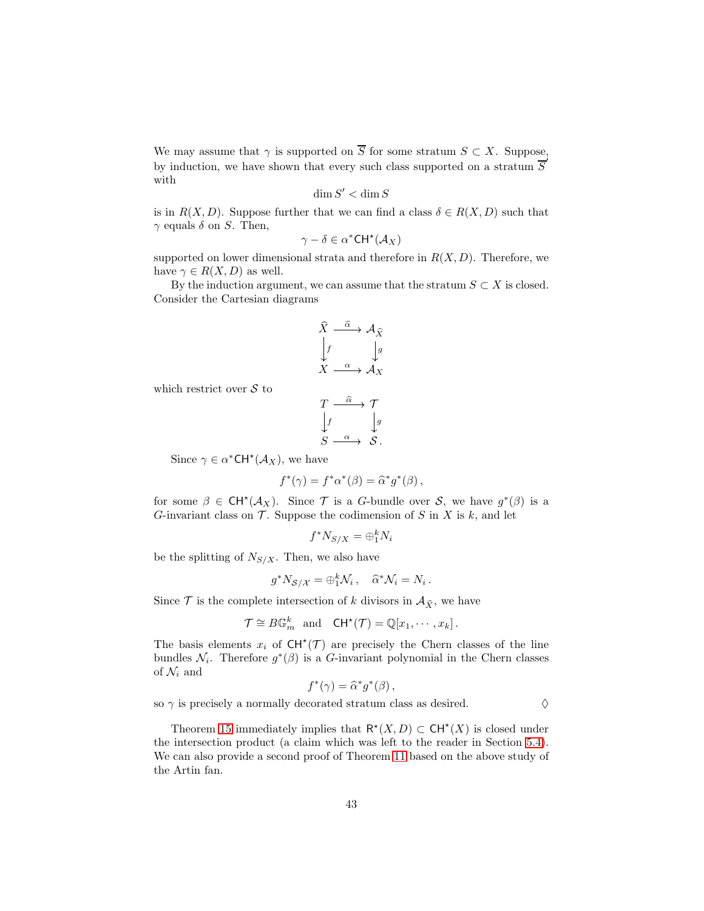We may assume that  $\gamma$  is supported on  $\overline{S}$  for some stratum  $S \subset X$ . Suppose, by induction, we have shown that every such class supported on a stratum  $\overline{S}'$ with

$$
\dim S'<\dim S
$$

is in  $R(X, D)$ . Suppose further that we can find a class  $\delta \in R(X, D)$  such that  $\gamma$  equals  $\delta$  on S. Then,

$$
\gamma - \delta \in \alpha^* \mathsf{CH}^\star(\mathcal{A}_X)
$$

supported on lower dimensional strata and therefore in  $R(X, D)$ . Therefore, we have  $\gamma \in R(X, D)$  as well.

By the induction argument, we can assume that the stratum  $S \subset X$  is closed. Consider the Cartesian diagrams

$$
\hat{X} \xrightarrow{\hat{\alpha}} \mathcal{A}_{\hat{X}}
$$
\n
$$
\downarrow f \qquad \qquad \downarrow g
$$
\n
$$
X \xrightarrow{\alpha} \mathcal{A}_{X}
$$

which restrict over  $S$  to

$$
\begin{array}{ccc}\nT & \xrightarrow{\widehat{\alpha}} & \mathcal{T} \\
\downarrow f & & \downarrow g \\
S & \xrightarrow{\alpha} & S.\n\end{array}
$$

Since  $\gamma \in \alpha^*{\sf CH}^*({\cal A}_X)$ , we have

$$
f^*(\gamma) = f^*\alpha^*(\beta) = \widehat{\alpha}^*g^*(\beta),
$$

for some  $\beta \in \mathsf{CH}^{\star}(\mathcal{A}_X)$ . Since T is a G-bundle over S, we have  $g^*(\beta)$  is a G-invariant class on  $\mathcal T$ . Suppose the codimension of S in X is k, and let

$$
f^*N_{S/X} = \bigoplus_{1}^{k} N_i
$$

be the splitting of  $N_{S/X}$ . Then, we also have

$$
g^* N_{S/\mathcal{X}} = \bigoplus_{i=1}^k \mathcal{N}_i, \quad \widehat{\alpha}^* \mathcal{N}_i = N_i.
$$

Since  $\mathcal T$  is the complete intersection of k divisors in  $\mathcal A_{\hat X}$ , we have

$$
\mathcal{T} \cong B\mathbb{G}_m^k \text{ and } \mathsf{CH}^{\star}(\mathcal{T}) = \mathbb{Q}[x_1, \cdots, x_k].
$$

The basis elements  $x_i$  of  $CH^*(\mathcal{T})$  are precisely the Chern classes of the line bundles  $\mathcal{N}_i$ . Therefore  $g^*(\beta)$  is a G-invariant polynomial in the Chern classes of  $\mathcal{N}_i$  and

$$
f^*(\gamma) = \widehat{\alpha}^* g^*(\beta) \,,
$$

so  $\gamma$  is precisely a normally decorated stratum class as desired.  $\diamond$ 

Theorem [15](#page-39-0) immediately implies that  $\mathsf{R}^*(X,D) \subset \mathsf{CH}^*(X)$  is closed under the intersection product (a claim which was left to the reader in Section [5.4\)](#page-36-2). We can also provide a second proof of Theorem [11](#page-25-1) based on the above study of the Artin fan.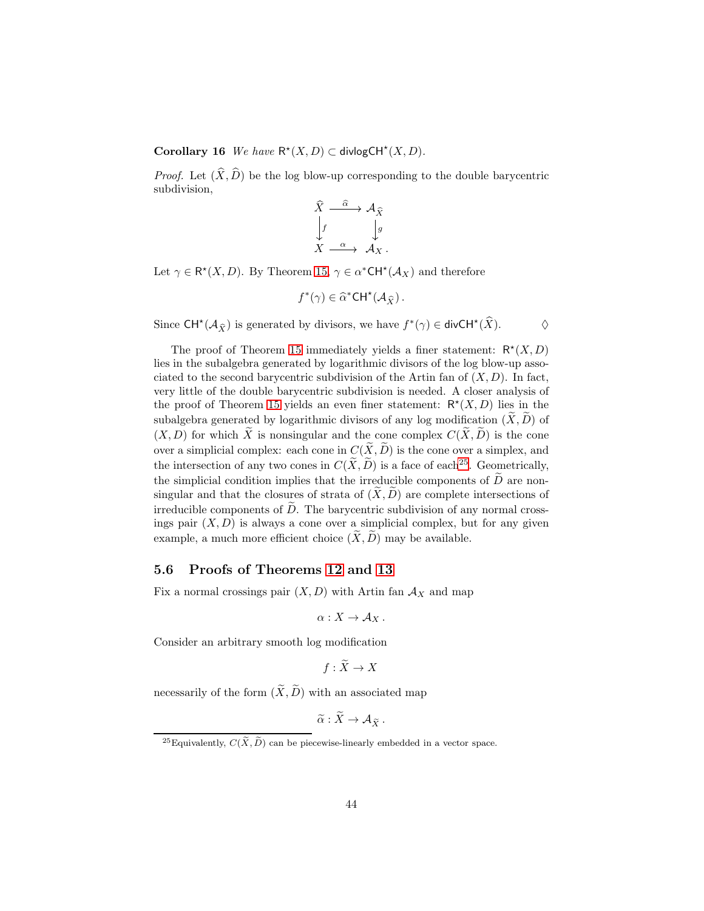Corollary 16 We have  $\mathsf{R}^{\star}(X,D) \subset \mathsf{divlogCH}^{\star}(X,D)$ .

*Proof.* Let  $(\widehat{X}, \widehat{D})$  be the log blow-up corresponding to the double barycentric subdivision,

$$
\hat{X} \xrightarrow{\hat{\alpha}} \mathcal{A}_{\hat{X}}
$$
\n
$$
\downarrow f \qquad \qquad \downarrow g
$$
\n
$$
X \xrightarrow{\alpha} \mathcal{A}_{X}.
$$

Let  $\gamma \in \mathsf{R}^*(X,D)$ . By Theorem [15,](#page-39-0)  $\gamma \in \alpha^*{\sf CH}^*(\mathcal{A}_X)$  and therefore

$$
f^*(\gamma) \in \widehat{\alpha}^*{\mathrm{CH}}^{\star}({\mathcal{A}}_{\widehat{X}})\,.
$$

Since  $CH^*(\mathcal{A}_{\widehat{X}})$  is generated by divisors, we have  $f^*(\gamma) \in \text{div}CH^*(\widehat{X})$ .  $\diamond$ 

The proof of Theorem [15](#page-39-0) immediately yields a finer statement:  $\mathsf{R}^*(X,D)$ lies in the subalgebra generated by logarithmic divisors of the log blow-up associated to the second barycentric subdivision of the Artin fan of  $(X, D)$ . In fact, very little of the double barycentric subdivision is needed. A closer analysis of the proof of Theorem [15](#page-39-0) yields an even finer statement:  $\mathsf{R}^{\star}(X,D)$  lies in the subalgebra generated by logarithmic divisors of any log modification  $(X, D)$  of  $(X, D)$  for which  $\widetilde{X}$  is nonsingular and the cone complex  $C(\widetilde{X}, \widetilde{D})$  is the cone over a simplicial complex: each cone in  $C(\tilde{X}, \tilde{D})$  is the cone over a simplex, and the intersection of any two cones in  $C(\widetilde{X}, \widetilde{D})$  is a face of each<sup>[25](#page-43-1)</sup>. Geometrically, the simplicial condition implies that the irreducible components of  $\tilde{D}$  are nonsingular and that the closures of strata of  $(X, \tilde{D})$  are complete intersections of irreducible components of  $\overline{D}$ . The barycentric subdivision of any normal crossings pair  $(X, D)$  is always a cone over a simplicial complex, but for any given example, a much more efficient choice  $(X, \tilde{D})$  may be available.

## <span id="page-43-0"></span>5.6 Proofs of Theorems [12](#page-36-1) and [13](#page-37-1)

Fix a normal crossings pair  $(X, D)$  with Artin fan  $\mathcal{A}_X$  and map

$$
\alpha:X\to \mathcal{A}_X.
$$

Consider an arbitrary smooth log modification

$$
f: X \to X
$$

necessarily of the form  $(\widetilde{X}, \widetilde{D})$  with an associated map

$$
\widetilde{\alpha}: X \to \mathcal{A}_{\widetilde{X}}.
$$

<span id="page-43-1"></span><sup>&</sup>lt;sup>25</sup>Equivalently,  $C(\tilde{X}, \tilde{D})$  can be piecewise-linearly embedded in a vector space.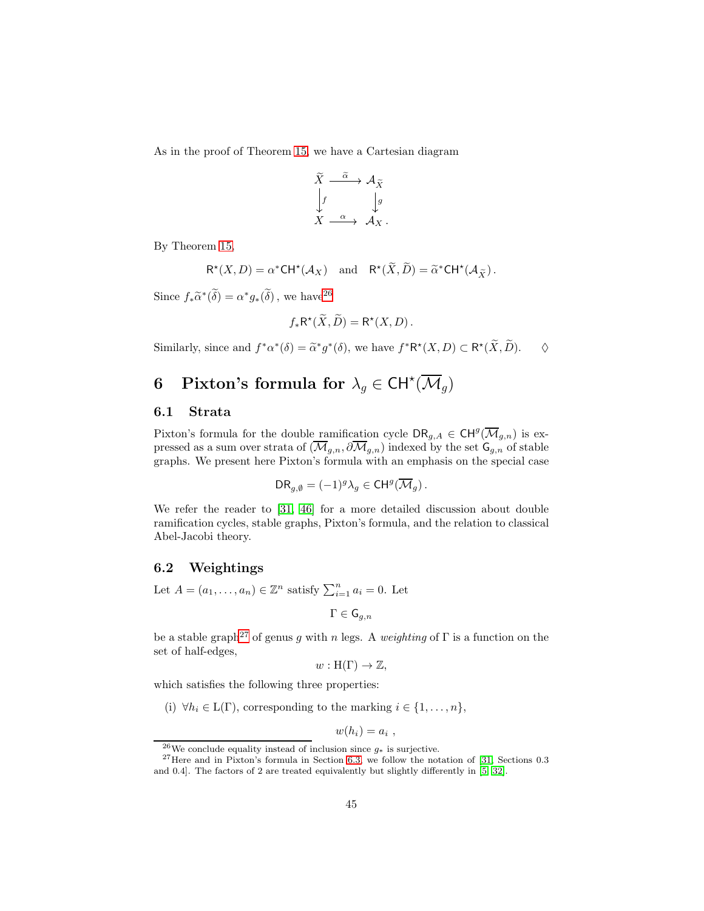As in the proof of Theorem [15,](#page-39-0) we have a Cartesian diagram

$$
\begin{array}{ccc}\n\widetilde{X} & \xrightarrow{\widetilde{\alpha}} & \mathcal{A}_{\widetilde{X}} \\
\downarrow f & & \downarrow g \\
X & \xrightarrow{\alpha} & \mathcal{A}_{X}\n\end{array}.
$$

By Theorem [15,](#page-39-0)

$$
\mathsf{R}^{\star}(X,D) = \alpha^{\star} \mathsf{CH}^{\star}(\mathcal{A}_X) \quad \text{and} \quad \mathsf{R}^{\star}(\widetilde{X},\widetilde{D}) = \widetilde{\alpha}^{\star} \mathsf{CH}^{\star}(\mathcal{A}_{\widetilde{X}}).
$$

Since  $f_*\widetilde{\alpha}^*(\widetilde{\delta}) = \alpha^* g_*(\widetilde{\delta})$ , we have  $2^6$ 

$$
f_*\mathsf{R}^{\star}(\widetilde{X},\widetilde{D})=\mathsf{R}^{\star}(X,D)\,.
$$

Similarly, since and  $f^*\alpha^*(\delta) = \tilde{\alpha}^*g^*(\delta)$ , we have  $f^*R^*(X, D) \subset R^*(\tilde{X}, \tilde{D})$ .  $\diamond$ 

# <span id="page-44-0"></span>6 Pixton's formula for  $\lambda_g \in \mathsf{CH}^{\star}(\overline{\mathcal M}_g)$

### 6.1 Strata

Pixton's formula for the double ramification cycle  $\text{DR}_{g,A} \in \text{CH}^g(\overline{\mathcal{M}}_{g,n})$  is expressed as a sum over strata of  $(\overline{\mathcal{M}}_{g,n}, \partial \overline{\mathcal{M}}_{g,n})$  indexed by the set  $\mathsf{G}_{g,n}$  of stable graphs. We present here Pixton's formula with an emphasis on the special case

$$
\mathsf{DR}_{g,\emptyset} = (-1)^g \lambda_g \in \mathsf{CH}^g(\overline{\mathcal{M}}_g).
$$

We refer the reader to [\[31,](#page-56-3) [46\]](#page-57-2) for a more detailed discussion about double ramification cycles, stable graphs, Pixton's formula, and the relation to classical Abel-Jacobi theory.

#### 6.2 Weightings

Let  $A = (a_1, \ldots, a_n) \in \mathbb{Z}^n$  satisfy  $\sum_{i=1}^n a_i = 0$ . Let

$$
\Gamma\in\mathsf{G}_{g,n}
$$

be a stable graph<sup>[27](#page-44-2)</sup> of genus g with n legs. A weighting of  $\Gamma$  is a function on the set of half-edges,

$$
w: H(\Gamma) \to \mathbb{Z},
$$

which satisfies the following three properties:

(i)  $\forall h_i \in L(\Gamma)$ , corresponding to the marking  $i \in \{1, \ldots, n\}$ ,

$$
w(h_i)=a_i ,
$$

<span id="page-44-1"></span> $^{26}\mathrm{We}$  conclude equality instead of inclusion since  $g_\ast$  is surjective.

<span id="page-44-2"></span> $^{27}$ Here and in Pixton's formula in Section [6.3,](#page-45-0) we follow the notation of [\[31,](#page-56-3) Sections 0.3 and 0.4]. The factors of 2 are treated equivalently but slightly differently in [\[5,](#page-54-8) [32\]](#page-56-10).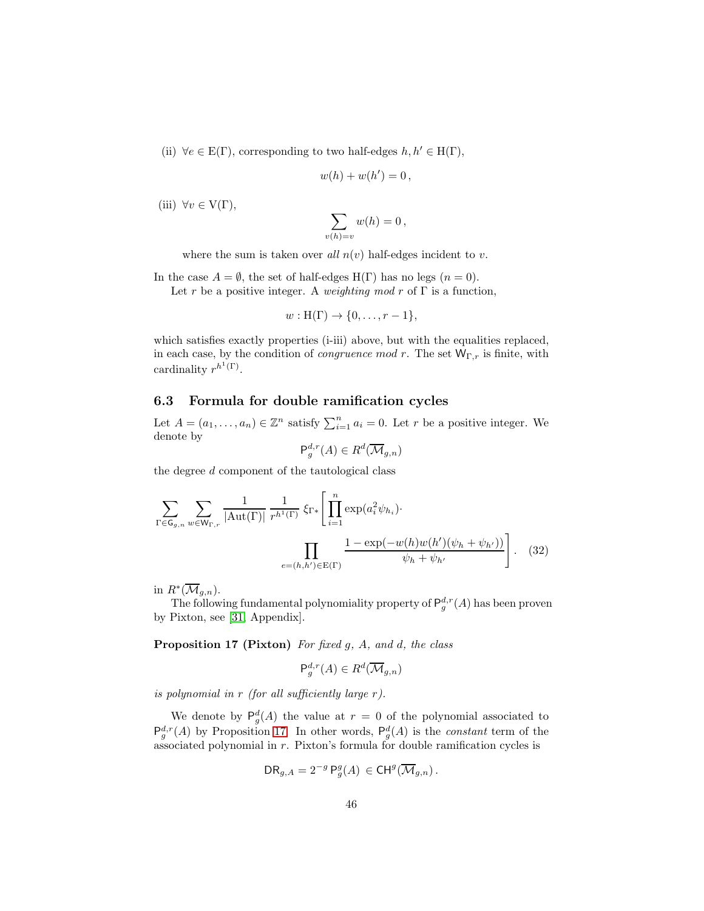(ii)  $\forall e \in E(\Gamma)$ , corresponding to two half-edges  $h, h' \in H(\Gamma)$ ,

$$
w(h) + w(h') = 0,
$$

(iii)  $\forall v \in V(\Gamma)$ ,

$$
\sum_{v(h)=v} w(h) = 0,
$$

where the sum is taken over all  $n(v)$  half-edges incident to v.

In the case  $A = \emptyset$ , the set of half-edges H(Γ) has no legs  $(n = 0)$ . Let r be a positive integer. A weighting mod r of  $\Gamma$  is a function,

$$
w: H(\Gamma) \to \{0, \ldots, r-1\},\
$$

which satisfies exactly properties (i-iii) above, but with the equalities replaced, in each case, by the condition of *congruence mod r*. The set  $W_{\Gamma,r}$  is finite, with cardinality  $r^{h^1(\Gamma)}$ .

### <span id="page-45-0"></span>6.3 Formula for double ramification cycles

Let  $A = (a_1, \ldots, a_n) \in \mathbb{Z}^n$  satisfy  $\sum_{i=1}^n a_i = 0$ . Let r be a positive integer. We denote by

<span id="page-45-2"></span>
$$
\mathsf{P}_g^{d,r}(A) \in R^d(\overline{\mathcal{M}}_{g,n})
$$

the degree d component of the tautological class

$$
\sum_{\Gamma \in \mathsf{G}_{g,n}} \sum_{w \in \mathsf{W}_{\Gamma,r}} \frac{1}{|\mathrm{Aut}(\Gamma)|} \frac{1}{r^{h^1(\Gamma)}} \, \xi_{\Gamma*} \left[ \prod_{i=1}^n \exp(a_i^2 \psi_{h_i}) \cdot \frac{\prod_{i=1}^n \exp(a_i^2 \psi_{h_i})}{\psi_h + \psi_{h'}} \right]. \tag{32}
$$

in  $R^*(\overline{\mathcal{M}}_{g,n}).$ 

<span id="page-45-1"></span>The following fundamental polynomiality property of  $P_g^{d,r}(A)$  has been proven by Pixton, see [\[31,](#page-56-3) Appendix].

Proposition 17 (Pixton) For fixed g, A, and d, the class

$$
\mathsf{P}_g^{d,r}(A) \in R^d(\overline{\mathcal{M}}_{g,n})
$$

is polynomial in  $r$  (for all sufficiently large  $r$ ).

We denote by  $P_g^d(A)$  the value at  $r = 0$  of the polynomial associated to  $\mathsf{P}_{g}^{d,r}(A)$  by Proposition [17.](#page-45-1) In other words,  $\mathsf{P}_{g}^{d}(A)$  is the *constant* term of the associated polynomial in r. Pixton's formula for double ramification cycles is

$$
\mathsf{DR}_{g,A} = 2^{-g} \,\mathsf{P}^g_g(A) \, \in \mathsf{CH}^g(\overline{\mathcal{M}}_{g,n})\,.
$$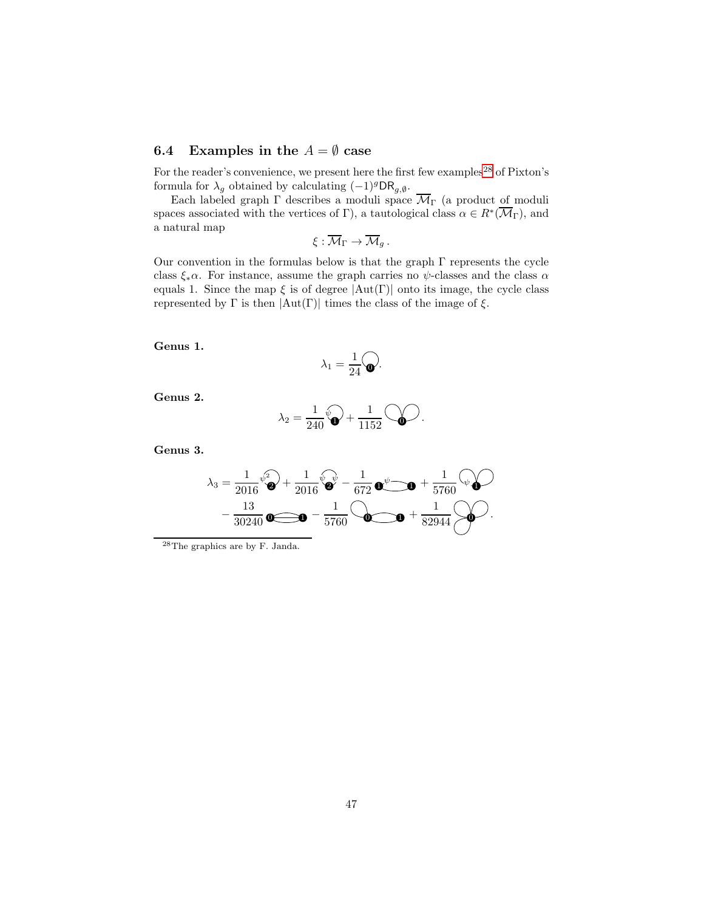# 6.4 Examples in the  $A = \emptyset$  case

For the reader's convenience, we present here the first few examples<sup>[28](#page-46-0)</sup> of Pixton's formula for  $\lambda_g$  obtained by calculating  $(-1)^g \text{DR}_{g,\emptyset}$ .

Each labeled graph  $\Gamma$  describes a moduli space  $\mathcal{M}_{\Gamma}$  (a product of moduli spaces associated with the vertices of  $\Gamma$ ), a tautological class  $\alpha \in R^*(\overline{\mathcal{M}}_{\Gamma})$ , and a natural map

$$
\xi:\overline{\mathcal{M}}_{\Gamma}\to\overline{\mathcal{M}}_g.
$$

Our convention in the formulas below is that the graph  $\Gamma$  represents the cycle class  $\xi_*\alpha$ . For instance, assume the graph carries no  $\psi$ -classes and the class  $\alpha$ equals 1. Since the map  $\xi$  is of degree  $|\text{Aut}(\Gamma)|$  onto its image, the cycle class represented by  $\Gamma$  is then  $|Aut(\Gamma)|$  times the class of the image of  $\xi$ .

Genus 1.

$$
\lambda_1 = \frac{1}{24} \widehat{\mathbf{Q}}.
$$

Genus 2.

$$
\lambda_2 = \frac{1}{240}\sqrt[4]{\bullet} + \frac{1}{1152}\bigcirc\textcolor{red}{\bullet}
$$

.

Genus 3.

$$
\lambda_3 = \frac{1}{2016} \psi^2 + \frac{1}{2016} \psi^2 + \frac{1}{672} \psi^3 - \frac{1}{672} \psi^4 - \frac{1}{5760} \psi^2 - \frac{13}{30240} \psi^2 - \frac{1}{5760} \psi^3 - \frac{1}{5760} \psi^3 - \frac{1}{5760} \psi^2 - \frac{1}{5760} \psi^2 - \frac{1}{5760} \psi^3 - \frac{1}{5760} \psi^2 - \frac{1}{5760} \psi^3 - \frac{1}{5760} \psi^2 - \frac{1}{5760} \psi^3 - \frac{1}{5760} \psi^2 - \frac{1}{5760} \psi^3 - \frac{1}{5760} \psi^2 - \frac{1}{5760} \psi^3 - \frac{1}{5760} \psi^2 - \frac{1}{5760} \psi^2 - \frac{1}{5760} \psi^2 - \frac{1}{5760} \psi^3 - \frac{1}{5760} \psi^2 - \frac{1}{5760} \psi^3 - \frac{1}{5760} \psi^2 - \frac{1}{5760} \psi^2 - \frac{1}{5760} \psi^2 - \frac{1}{5760} \psi^3 - \frac{1}{5760} \psi^2 - \frac{1}{5760} \psi^3 - \frac{1}{5760} \psi^2 - \frac{1}{5760} \psi^2 - \frac{1}{5760} \psi^2 - \frac{1}{5760} \psi^3 - \frac{1}{5760} \psi^2 - \frac{1}{5760} \psi^2 - \frac{1}{5760} \psi^2 - \frac{1}{5760} \psi^2 - \frac{1}{5760} \psi^3 - \frac{1}{5760} \psi^2 - \frac{1}{5760} \psi^2 - \frac{1}{5760} \psi^2 - \frac{1}{5760} \psi^2 - \frac{1}{5760} \psi^2 - \frac{1}{5760} \psi^2 - \frac{1}{5760} \psi^2 - \frac{1}{5760} \psi^2 - \frac{1}{5760} \psi^2 - \frac{1}{5760} \psi^2 - \frac{1}{
$$

<span id="page-46-0"></span> $^{28}\mathrm{The}$  graphics are by F. Janda.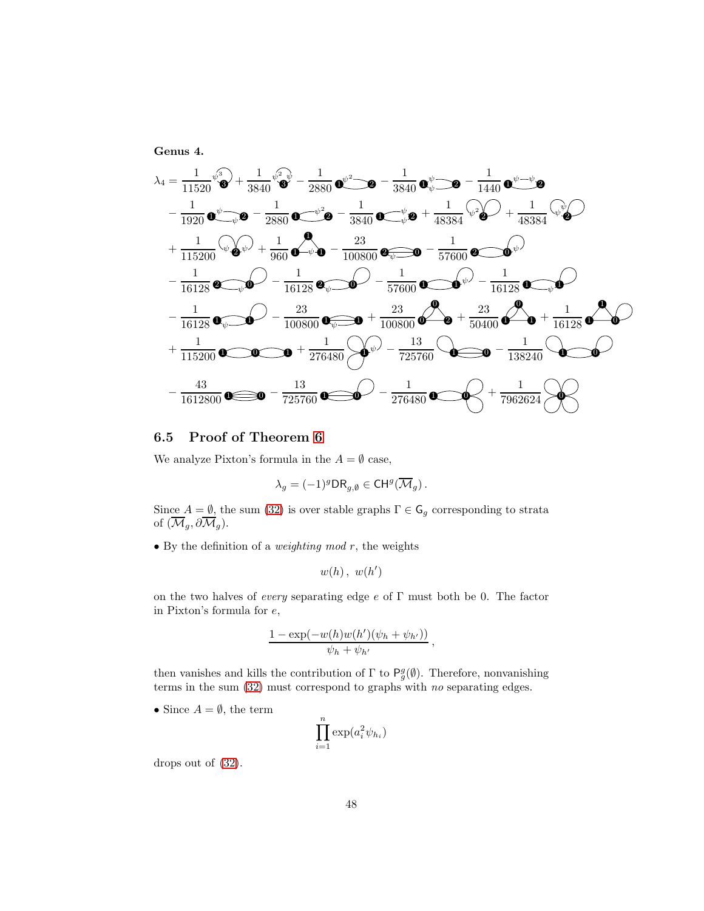Genus 4.

$$
\lambda_4 = \frac{1}{11520} \sqrt[6]{3} + \frac{1}{3840} \sqrt[6]{3} - \frac{1}{2880} \sqrt[6]{-} - \frac{1}{3840} \sqrt[6]{-} - \frac{1}{1440} \sqrt[6]{-} + \frac{1}{1440} \sqrt[6]{-} + \frac{1}{1920} \sqrt[6]{-} + \frac{1}{1920} \sqrt[6]{-} + \frac{1}{2880} \sqrt[6]{-} - \frac{1}{3840} \sqrt[6]{-} + \frac{1}{48384} \sqrt[6]{} + \frac{1}{48384} \sqrt[6]{} + \frac{1}{115200} \sqrt[6]{} + \frac{1}{115200} \sqrt[6]{} + \frac{1}{960} \sqrt[6]{-} + \frac{1}{16128} \sqrt[6]{-} - \frac{23}{100800} \sqrt[6]{-} - \frac{1}{57600} \sqrt[6]{-} - \frac{1}{16128} \sqrt[6]{-} - \frac{1}{16128} \sqrt[6]{-} - \frac{23}{100800} \sqrt[6]{-} - \frac{1}{100800} \sqrt[6]{-} - \frac{1}{100800} \sqrt[6]{-} - \frac{1}{100800} \sqrt[6]{-} - \frac{1}{100800} \sqrt[6]{-} - \frac{1}{16128} \sqrt[6]{-} - \frac{1}{16128} \sqrt[6]{-} - \frac{1}{16128} \sqrt[6]{-} - \frac{1}{16128} \sqrt[6]{-} - \frac{1}{16128} \sqrt[6]{-} - \frac{1}{16128} \sqrt[6]{-} - \frac{1}{1612800} \sqrt[6]{-} - \frac{1}{725760} \sqrt[6]{-} - \frac{1}{276480} \sqrt[6]{-} - \frac{1}{276480} \sqrt[6]{-} + \frac{1}{7962624} \sqrt[6]{-} - \frac{1}{7962624} \sqrt[6]{-} - \frac{1}{7962624} \sqrt[6]{-} - \frac{1}{7962624} \sqrt[6]{-} - \frac{1}{7
$$

# <span id="page-47-0"></span>6.5 Proof of Theorem [6](#page-7-0)

We analyze Pixton's formula in the  $A = \emptyset$  case,

$$
\lambda_g = (-1)^g \mathsf{DR}_{g,\emptyset} \in \mathsf{CH}^g(\overline{\mathcal{M}}_g).
$$

Since  $A = \emptyset$ , the sum [\(32\)](#page-45-2) is over stable graphs  $\Gamma \in \mathsf{G}_g$  corresponding to strata of  $(\mathcal{M}_g, \partial \mathcal{M}_g)$ .

• By the definition of a *weighting mod*  $r$ , the weights

$$
w(h), w(h')
$$

on the two halves of *every* separating edge  $e$  of  $\Gamma$  must both be 0. The factor in Pixton's formula for e,

$$
\frac{1-\exp(-w(h)w(h')(\psi_h+\psi_{h'}))}{\psi_h+\psi_{h'}}\,,
$$

then vanishes and kills the contribution of  $\Gamma$  to  $\mathsf{P}_g^g(\emptyset)$ . Therefore, nonvanishing terms in the sum [\(32\)](#page-45-2) must correspond to graphs with no separating edges.

• Since  $A = \emptyset$ , the term

$$
\prod_{i=1}^{n} \exp(a_i^2 \psi_{h_i})
$$

drops out of [\(32\)](#page-45-2).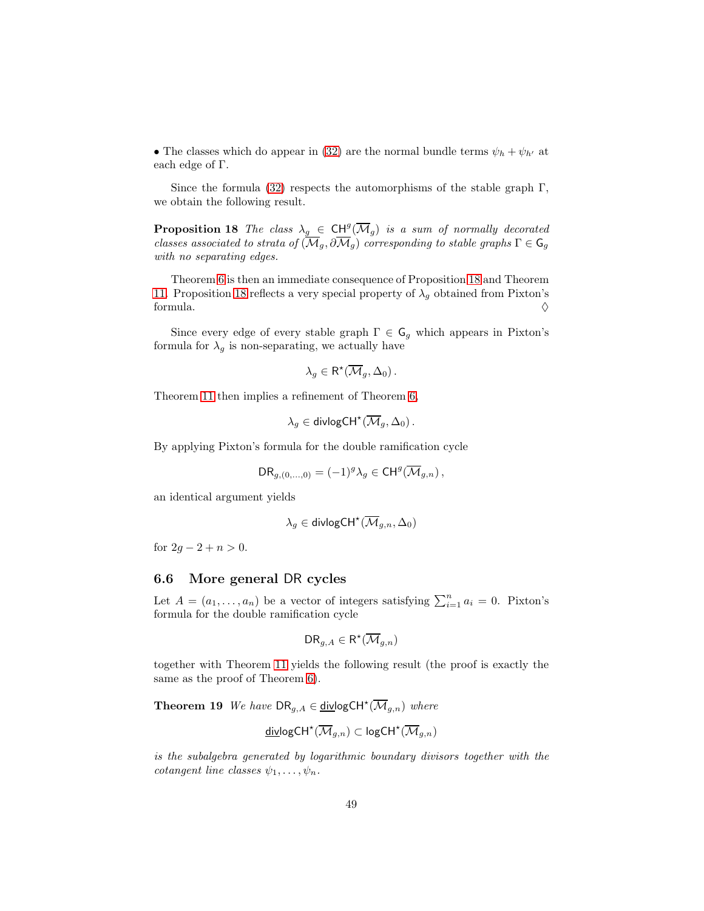• The classes which do appear in [\(32\)](#page-45-2) are the normal bundle terms  $\psi_h + \psi_{h'}$  at each edge of Γ.

<span id="page-48-0"></span>Since the formula [\(32\)](#page-45-2) respects the automorphisms of the stable graph  $\Gamma$ , we obtain the following result.

**Proposition 18** The class  $\lambda_g \in \text{CH}^g(\overline{\mathcal{M}}_g)$  is a sum of normally decorated classes associated to strata of  $(\mathcal{M}_g, \partial \mathcal{M}_g)$  corresponding to stable graphs  $\Gamma \in \mathsf{G}_g$ with no separating edges.

Theorem [6](#page-7-0) is then an immediate consequence of Proposition [18](#page-48-0) and Theorem [11.](#page-25-1) Proposition [18](#page-48-0) reflects a very special property of  $\lambda_g$  obtained from Pixton's formula.  $\Diamond$ 

Since every edge of every stable graph  $\Gamma \in \mathsf{G}_g$  which appears in Pixton's formula for  $\lambda_g$  is non-separating, we actually have

$$
\lambda_g \in \mathsf{R}^{\star}(\overline{\mathcal{M}}_g, \Delta_0).
$$

Theorem [11](#page-25-1) then implies a refinement of Theorem [6,](#page-7-0)

$$
\lambda_g\in\mathsf{divlogCH}^{\star}(\overline{\mathcal{M}}_g,\Delta_0)\,.
$$

By applying Pixton's formula for the double ramification cycle

$$
\mathsf{DR}_{g,(0,\ldots,0)} = (-1)^g \lambda_g \in \mathsf{CH}^g(\overline{\mathcal{M}}_{g,n}),
$$

an identical argument yields

$$
\lambda_g\in\operatorname{divlogCH}^\star(\overline{\mathcal{M}}_{g,n},\Delta_0)
$$

for  $2g - 2 + n > 0$ .

### 6.6 More general DR cycles

Let  $A = (a_1, \ldots, a_n)$  be a vector of integers satisfying  $\sum_{i=1}^n a_i = 0$ . Pixton's formula for the double ramification cycle

<span id="page-48-1"></span>
$$
\mathsf{DR}_{g,A}\in\mathsf{R}^\star(\overline{\mathcal{M}}_{g,n})
$$

together with Theorem [11](#page-25-1) yields the following result (the proof is exactly the same as the proof of Theorem [6\)](#page-7-0).

**Theorem 19** We have  $DR_{g,A} \in \underline{\text{div}} \text{logCH}^{\star}(\overline{\mathcal{M}}_{g,n})$  where

$$
\underline{\mathsf{div}} \mathsf{logCH}^\star(\overline{\mathcal{M}}_{g,n}) \subset \mathsf{logCH}^\star(\overline{\mathcal{M}}_{g,n})
$$

is the subalgebra generated by logarithmic boundary divisors together with the cotangent line classes  $\psi_1, \ldots, \psi_n$ .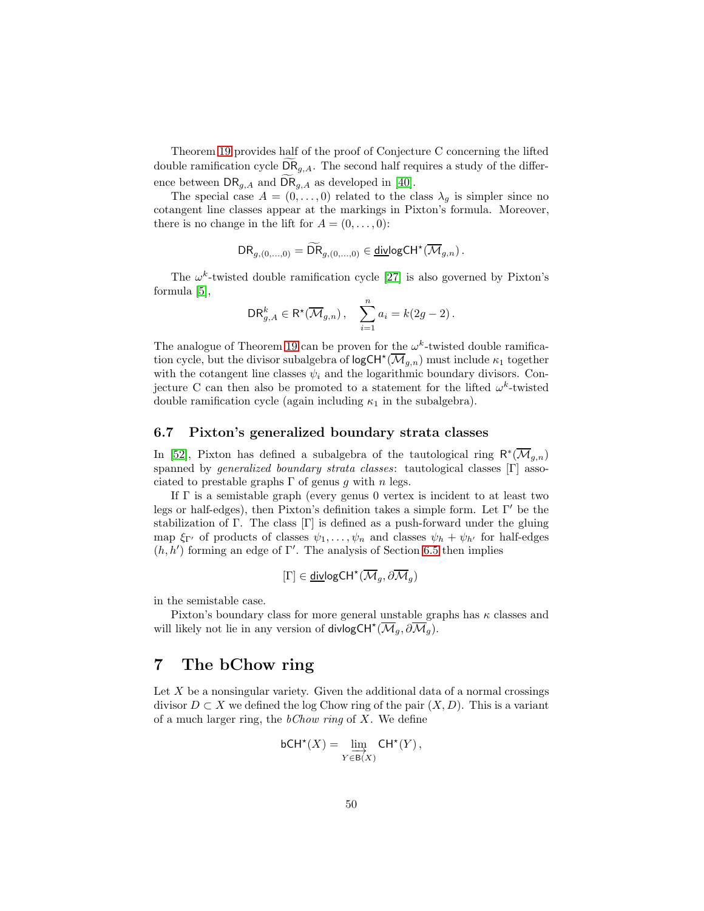Theorem [19](#page-48-1) provides half of the proof of Conjecture C concerning the lifted double ramification cycle  $\textsf{DR}_{g,A}$ . The second half requires a study of the difference between  $\textsf{DR}_{g,A}$  and  $\textsf{DR}_{g,A}$  as developed in [\[40\]](#page-56-11).

The special case  $A = (0, \ldots, 0)$  related to the class  $\lambda_q$  is simpler since no cotangent line classes appear at the markings in Pixton's formula. Moreover, there is no change in the lift for  $A = (0, \ldots, 0)$ :

$$
\mathsf{DR}_{g,(0,...,0)} = \widetilde{\mathsf{DR}}_{g,(0,...,0)} \in \underline{\mathsf{div}} \mathsf{logCH}^\star(\overline{\mathcal{M}}_{g,n})\,.
$$

The  $\omega^k$ -twisted double ramification cycle [\[27\]](#page-56-12) is also governed by Pixton's formula [\[5\]](#page-54-8),

$$
\text{DR}_{g,A}^k \in \mathsf{R}^\star(\overline{\mathcal{M}}_{g,n})\,,\quad \sum_{i=1}^n a_i = k(2g-2)\,.
$$

The analogue of Theorem [19](#page-48-1) can be proven for the  $\omega^k$ -twisted double ramification cycle, but the divisor subalgebra of  $\mathsf{logCH}^{\star}(\overline{\mathcal{M}}_{g,n})$  must include  $\kappa_1$  together with the cotangent line classes  $\psi_i$  and the logarithmic boundary divisors. Conjecture C can then also be promoted to a statement for the lifted  $\omega^k$ -twisted double ramification cycle (again including  $\kappa_1$  in the subalgebra).

### 6.7 Pixton's generalized boundary strata classes

In [\[52\]](#page-57-11), Pixton has defined a subalgebra of the tautological ring  $\mathsf{R}^*(\overline{\mathcal{M}}_{g,n})$ spanned by generalized boundary strata classes: tautological classes [Γ] associated to prestable graphs  $\Gamma$  of genus q with n legs.

If  $\Gamma$  is a semistable graph (every genus 0 vertex is incident to at least two legs or half-edges), then Pixton's definition takes a simple form. Let Γ ′ be the stabilization of Γ. The class  $[\Gamma]$  is defined as a push-forward under the gluing map  $\xi_{\Gamma'}$  of products of classes  $\psi_1, \ldots, \psi_n$  and classes  $\psi_h + \psi_{h'}$  for half-edges  $(h, h')$  forming an edge of Γ'. The analysis of Section [6.5](#page-47-0) then implies

$$
[\Gamma]\in \underline{\operatorname{div}} {\operatorname{log}}{\operatorname{CH}}^{\star}(\overline{\mathcal{M}}_g,\partial\overline{\mathcal{M}}_g)
$$

in the semistable case.

Pixton's boundary class for more general unstable graphs has  $\kappa$  classes and will likely not lie in any version of divlogCH<sup>\*</sup>( $\overline{\mathcal{M}}_g$ ,  $\partial \overline{\mathcal{M}}_g$ ).

# <span id="page-49-0"></span>7 The bChow ring

Let  $X$  be a nonsingular variety. Given the additional data of a normal crossings divisor  $D \subset X$  we defined the log Chow ring of the pair  $(X, D)$ . This is a variant of a much larger ring, the  $bChow$  ring of X. We define

$$
\mathsf{bCH}^\star(X) = \varinjlim_{Y \in \mathsf{B}(X)} \mathsf{CH}^\star(Y)\,,
$$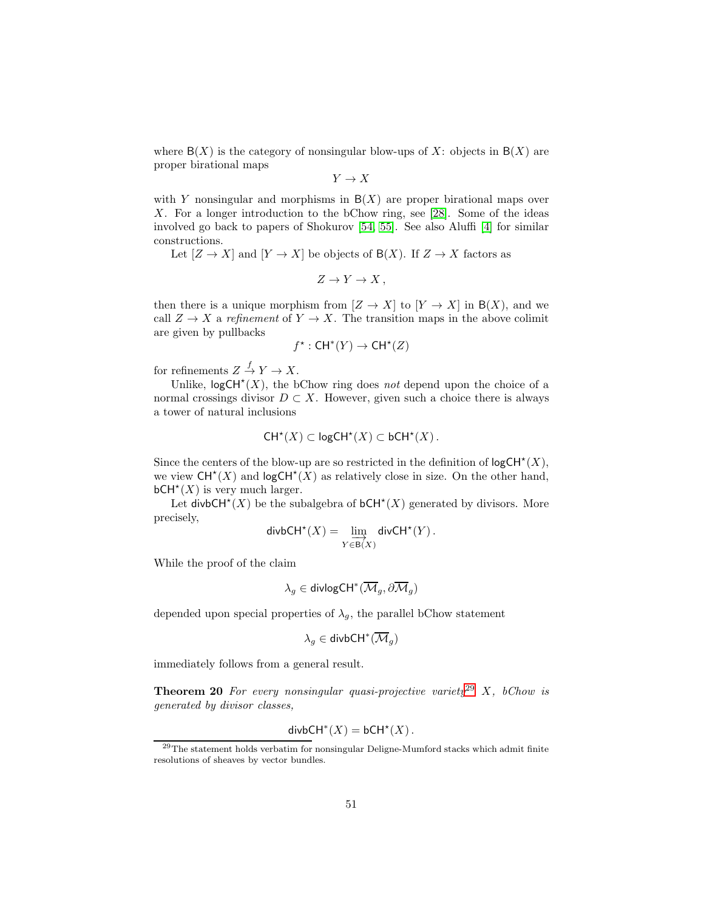where  $B(X)$  is the category of nonsingular blow-ups of X: objects in  $B(X)$  are proper birational maps

 $Y \to X$ 

with Y nonsingular and morphisms in  $B(X)$  are proper birational maps over X. For a longer introduction to the bChow ring, see [\[28\]](#page-56-6). Some of the ideas involved go back to papers of Shokurov [\[54,](#page-57-12) [55\]](#page-57-13). See also Aluffi [\[4\]](#page-54-9) for similar constructions.

Let  $[Z \to X]$  and  $[Y \to X]$  be objects of  $B(X)$ . If  $Z \to X$  factors as

 $Z \to Y \to X$ ,

then there is a unique morphism from  $[Z \to X]$  to  $[Y \to X]$  in  $B(X)$ , and we call  $Z \to X$  a refinement of  $Y \to X$ . The transition maps in the above colimit are given by pullbacks

$$
f^{\star} : \mathsf{CH}^*(Y) \to \mathsf{CH}^{\star}(Z)
$$

for refinements  $Z \stackrel{f}{\to} Y \to X$ .

Unlike,  $logCH^*(X)$ , the bChow ring does not depend upon the choice of a normal crossings divisor  $D \subset X$ . However, given such a choice there is always a tower of natural inclusions

$$
CH^*(X) \subset \mathsf{logCH}^*(X) \subset \mathsf{bCH}^*(X)
$$

Since the centers of the blow-up are so restricted in the definition of  $logCH^*(X)$ , we view  $CH^*(X)$  and logCH<sup>\*</sup> $(X)$  as relatively close in size. On the other hand,  $bCH<sup>*</sup>(X)$  is very much larger.

Let divbCH<sup>\*</sup>(X) be the subalgebra of bCH<sup>\*</sup>(X) generated by divisors. More precisely,

$$
\mathsf{divbCH}^\star(X) = \varinjlim_{Y \in \mathsf{B}(X)} \mathsf{divCH}^\star(Y)\,.
$$

While the proof of the claim

$$
\lambda_g\in\operatorname{divlogCH}^*(\overline{\mathcal{M}}_g,\partial\overline{\mathcal{M}}_g)
$$

depended upon special properties of  $\lambda_q$ , the parallel bChow statement

$$
\lambda_g\in\mathsf{divbCH}^*(\overline{\mathcal{M}}_g)
$$

<span id="page-50-1"></span>immediately follows from a general result.

**Theorem 20** For every nonsingular quasi-projective variety<sup>[29](#page-50-0)</sup> X, bChow is generated by divisor classes,

$$
\mathsf{divbCH}^*(X) = \mathsf{bCH}^*(X).
$$

<span id="page-50-0"></span><sup>29</sup>The statement holds verbatim for nonsingular Deligne-Mumford stacks which admit finite resolutions of sheaves by vector bundles.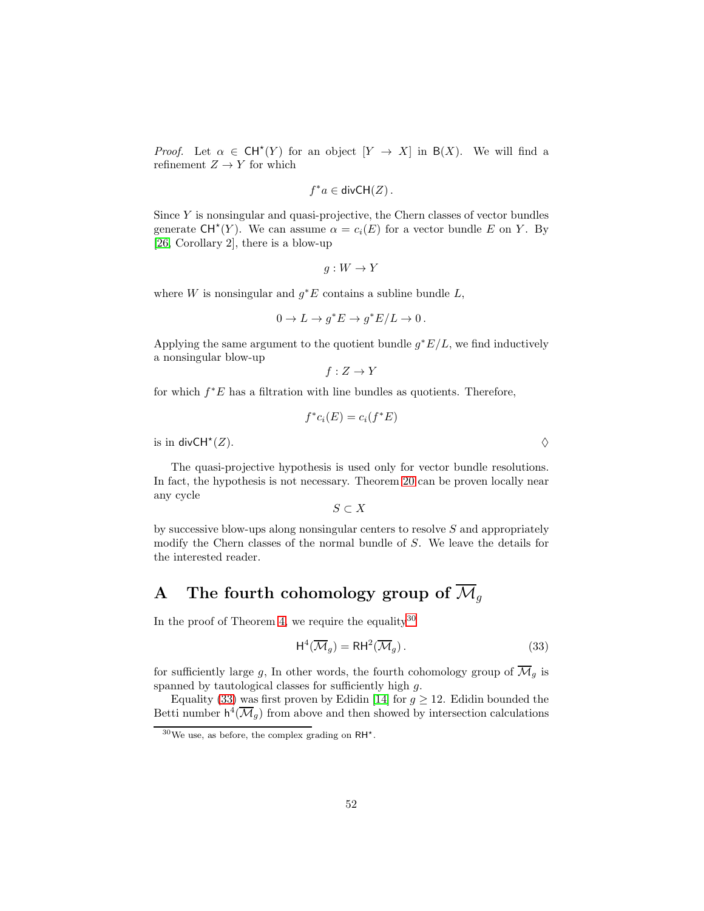*Proof.* Let  $\alpha \in \mathsf{CH}^*(Y)$  for an object  $[Y \to X]$  in  $B(X)$ . We will find a refinement  $Z\to Y$  for which

$$
f^*a \in \mathsf{divCH}(Z)
$$
.

Since  $Y$  is nonsingular and quasi-projective, the Chern classes of vector bundles generate  $CH^*(Y)$ . We can assume  $\alpha = c_i(E)$  for a vector bundle E on Y. By [\[26,](#page-56-13) Corollary 2], there is a blow-up

$$
g:W\to Y
$$

where W is nonsingular and  $g^*E$  contains a subline bundle  $L$ ,

$$
0 \to L \to g^*E \to g^*E/L \to 0.
$$

Applying the same argument to the quotient bundle  $g^*E/L$ , we find inductively a nonsingular blow-up

$$
f: Z \to Y
$$

for which  $f^*E$  has a filtration with line bundles as quotients. Therefore,

$$
f^*c_i(E) = c_i(f^*E)
$$

is in divCH<sup> $\star$ </sup> $(Z)$ .  $(Z).$ 

The quasi-projective hypothesis is used only for vector bundle resolutions. In fact, the hypothesis is not necessary. Theorem [20](#page-50-1) can be proven locally near any cycle

 $S \subset X$ 

by successive blow-ups along nonsingular centers to resolve  $S$  and appropriately modify the Chern classes of the normal bundle of S. We leave the details for the interested reader.

# <span id="page-51-0"></span>A The fourth cohomology group of  $\overline{\mathcal{M}}_g$

In the proof of Theorem [4,](#page-6-3) we require the equality  $30$ 

<span id="page-51-2"></span>
$$
\mathsf{H}^4(\overline{\mathcal{M}}_g) = \mathsf{R}\mathsf{H}^2(\overline{\mathcal{M}}_g).
$$
 (33)

for sufficiently large g, In other words, the fourth cohomology group of  $\overline{\mathcal{M}}_q$  is spanned by tautological classes for sufficiently high  $q$ .

Equality [\(33\)](#page-51-2) was first proven by Edidin [\[14\]](#page-55-11) for  $g \ge 12$ . Edidin bounded the Betti number  $h^4(\overline{\mathcal{M}}_g)$  from above and then showed by intersection calculations

<span id="page-51-1"></span> $30\,\text{We}$  use, as before, the complex grading on RH<sup>\*</sup>.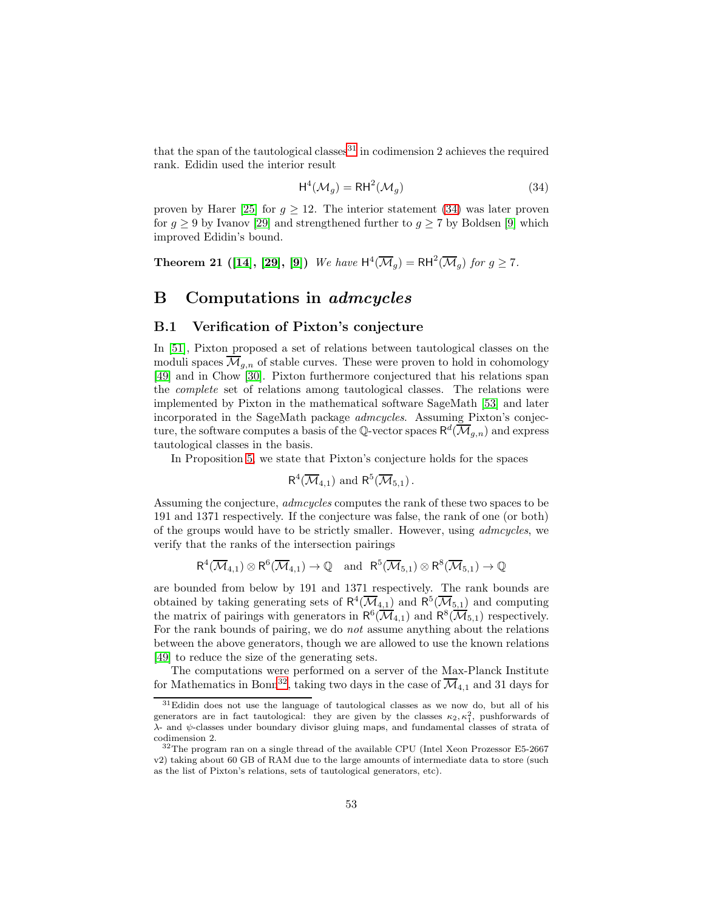that the span of the tautological classes  $31$  in codimension 2 achieves the required rank. Edidin used the interior result

<span id="page-52-2"></span>
$$
H^4(\mathcal{M}_g) = RH^2(\mathcal{M}_g)
$$
\n(34)

proven by Harer [\[25\]](#page-55-14) for  $g \geq 12$ . The interior statement [\(34\)](#page-52-2) was later proven for  $g \ge 9$  by Ivanov [\[29\]](#page-56-14) and strengthened further to  $g \ge 7$  by Boldsen [\[9\]](#page-54-5) which improved Edidin's bound.

**Theorem 21** ([\[14\]](#page-55-11), [\[29\]](#page-56-14), [\[9\]](#page-54-5)) We have  $H^4(\overline{\mathcal{M}}_g) = RH^2(\overline{\mathcal{M}}_g)$  for  $g \ge 7$ .

# <span id="page-52-0"></span>B Computations in admcycles

### B.1 Verification of Pixton's conjecture

In [\[51\]](#page-57-14), Pixton proposed a set of relations between tautological classes on the moduli spaces  $\overline{\mathcal{M}}_{q,n}$  of stable curves. These were proven to hold in cohomology [\[49\]](#page-57-9) and in Chow [\[30\]](#page-56-15). Pixton furthermore conjectured that his relations span the complete set of relations among tautological classes. The relations were implemented by Pixton in the mathematical software SageMath [\[53\]](#page-57-15) and later incorporated in the SageMath package admcycles. Assuming Pixton's conjecture, the software computes a basis of the Q-vector spaces  $\mathsf{R}^d(\overline{\mathcal M}_{g,n})$  and express tautological classes in the basis.

In Proposition [5,](#page-7-1) we state that Pixton's conjecture holds for the spaces

$$
\mathsf{R}^4(\overline{\mathcal{M}}_{4,1})
$$
 and  $\mathsf{R}^5(\overline{\mathcal{M}}_{5,1})$ .

Assuming the conjecture, *admcycles* computes the rank of these two spaces to be 191 and 1371 respectively. If the conjecture was false, the rank of one (or both) of the groups would have to be strictly smaller. However, using admcycles, we verify that the ranks of the intersection pairings

$$
R^4(\overline{\mathcal{M}}_{4,1})\otimes R^6(\overline{\mathcal{M}}_{4,1})\to \mathbb{Q} \quad \text{and} \quad R^5(\overline{\mathcal{M}}_{5,1})\otimes R^8(\overline{\mathcal{M}}_{5,1})\to \mathbb{Q}
$$

are bounded from below by 191 and 1371 respectively. The rank bounds are obtained by taking generating sets of  $R^4(\overline{\mathcal{M}}_{4,1})$  and  $R^5(\overline{\mathcal{M}}_{5,1})$  and computing the matrix of pairings with generators in  $R^6(\overline{\mathcal{M}}_{4,1})$  and  $R^8(\overline{\mathcal{M}}_{5,1})$  respectively. For the rank bounds of pairing, we do not assume anything about the relations between the above generators, though we are allowed to use the known relations [\[49\]](#page-57-9) to reduce the size of the generating sets.

The computations were performed on a server of the Max-Planck Institute for Mathematics in Bonn<sup>[32](#page-52-3)</sup>, taking two days in the case of  $\overline{\mathcal{M}}_{4,1}$  and 31 days for

<span id="page-52-1"></span> $31$ Edidin does not use the language of tautological classes as we now do, but all of his generators are in fact tautological: they are given by the classes  $\kappa_2, \kappa_1^2$ , pushforwards of λ- and ψ-classes under boundary divisor gluing maps, and fundamental classes of strata of codimension 2.

<span id="page-52-3"></span> $32$ The program ran on a single thread of the available CPU (Intel Xeon Prozessor E5-2667) v2) taking about 60 GB of RAM due to the large amounts of intermediate data to store (such as the list of Pixton's relations, sets of tautological generators, etc).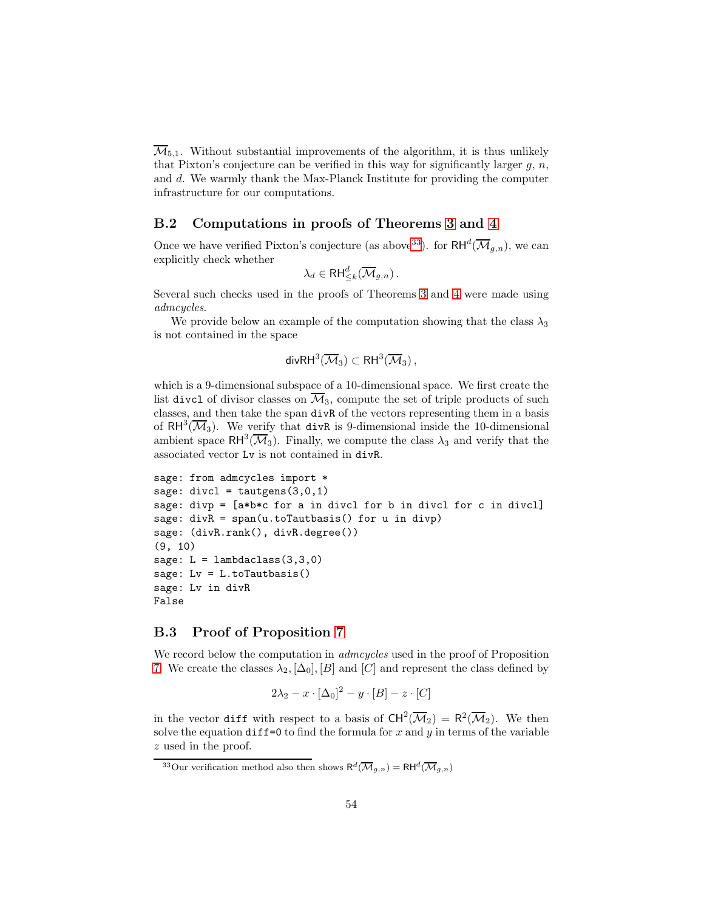$\overline{\mathcal{M}}_{5,1}$ . Without substantial improvements of the algorithm, it is thus unlikely that Pixton's conjecture can be verified in this way for significantly larger  $g, n$ , and d. We warmly thank the Max-Planck Institute for providing the computer infrastructure for our computations.

### B.2 Computations in proofs of Theorems [3](#page-6-2) and [4](#page-6-3)

Once we have verified Pixton's conjecture (as above <sup>[33](#page-53-1)</sup>). for  $RH^d(\overline{\mathcal{M}}_{g,n})$ , we can explicitly check whether

$$
\lambda_d \in \mathsf{RH}_{\leq k}^d(\overline{\mathcal{M}}_{g,n}).
$$

Several such checks used in the proofs of Theorems [3](#page-6-2) and [4](#page-6-3) were made using admcycles.

We provide below an example of the computation showing that the class  $\lambda_3$ is not contained in the space

$$
\mathsf{divRH}^3(\overline{\mathcal M}_3)\subset \mathsf{RH}^3(\overline{\mathcal M}_3)\,,
$$

which is a 9-dimensional subspace of a 10-dimensional space. We first create the list divcl of divisor classes on  $\overline{\mathcal{M}}_3$ , compute the set of triple products of such classes, and then take the span divR of the vectors representing them in a basis of  $RH^3(\overline{\mathcal M}_3)$ . We verify that divR is 9-dimensional inside the 10-dimensional ambient space  $RH^3(\overline{\mathcal{M}}_3)$ . Finally, we compute the class  $\lambda_3$  and verify that the associated vector Lv is not contained in divR.

```
sage: from admcycles import *
sage: divcl = tautgens(3,0,1)sage: divp = [a*b*c for a in divcl for b in divcl for c in divcl]
sage: divR = span(u.toTautbasis() for u in divp)sage: (divR.rank(), divR.degree())
(9, 10)
sage: L = lambdaclass(3,3,0)
sage: Lv = L.toTautbasis()
sage: Lv in divR
False
```
# <span id="page-53-0"></span>B.3 Proof of Proposition [7](#page-9-0)

We record below the computation in *admcycles* used in the proof of Proposition [7.](#page-9-0) We create the classes  $\lambda_2$ ,  $[\Delta_0]$ ,  $[B]$  and  $[C]$  and represent the class defined by

$$
2\lambda_2 - x \cdot [\Delta_0]^2 - y \cdot [B] - z \cdot [C]
$$

in the vector diff with respect to a basis of  $CH^2(\overline{\mathcal{M}}_2) = R^2(\overline{\mathcal{M}}_2)$ . We then solve the equation  $diff=0$  to find the formula for x and y in terms of the variable z used in the proof.

<span id="page-53-1"></span><sup>&</sup>lt;sup>33</sup>Our verification method also then shows  $R^d(\overline{\mathcal{M}}_{g,n}) = R H^d(\overline{\mathcal{M}}_{g,n})$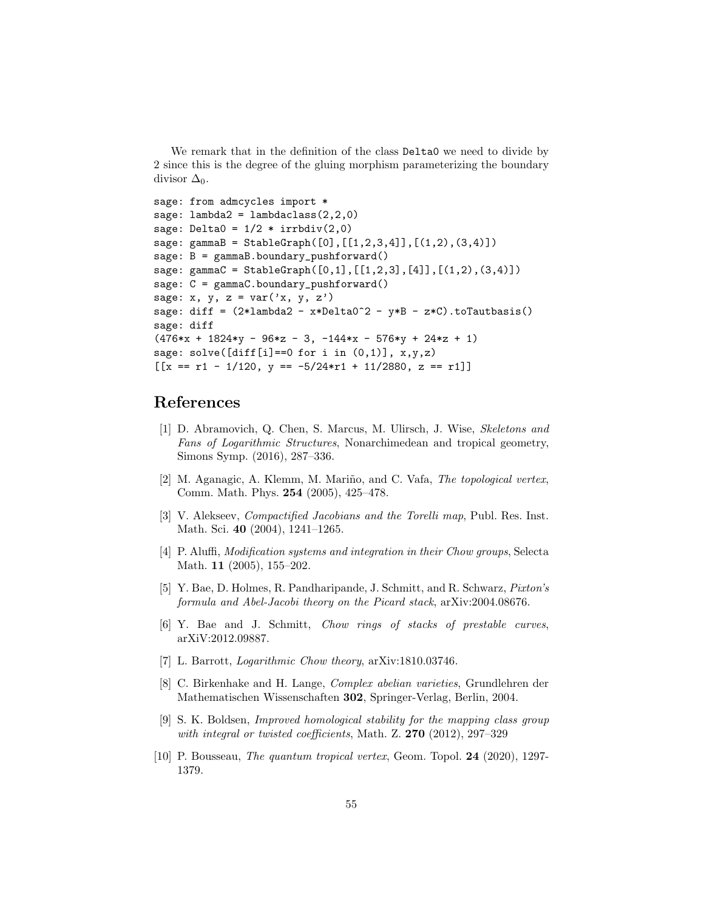We remark that in the definition of the class Delta0 we need to divide by 2 since this is the degree of the gluing morphism parameterizing the boundary divisor  $\Delta_0$ .

```
sage: from admcycles import *
sage: lambda2 = lambdaclass(2,2,0)sage: Delta0 = 1/2 * \text{irrbdiv}(2,0)sage: gammaB = StableGraph([0],[1,2,3,4]],[ (1,2),(3,4)])
sage: B = \text{gamma}.boundary_pushforward()
sage: gammaC = StableGraph([0,1],[1,2,3],[4]],[ (1,2),(3,4)])
sage: C = gammaC.boundary_pushforward()
sage: x, y, z = var('x, y, z')sage: diff = (2*lambda2 - x*Delta0^2 - y*B - z*C) .toTautbasis()sage: diff
(476*x + 1824*y - 96*z - 3, -144*x - 576*y + 24*z + 1)sage: solve([diff[i] == 0 for i in (0,1)], x,y,z)
[[x == r1 - 1/120, y == -5/24*r1 + 11/2880, z == r1]]
```
# <span id="page-54-6"></span>References

- [1] D. Abramovich, Q. Chen, S. Marcus, M. Ulirsch, J. Wise, Skeletons and Fans of Logarithmic Structures, Nonarchimedean and tropical geometry, Simons Symp. (2016), 287–336.
- <span id="page-54-0"></span>[2] M. Aganagic, A. Klemm, M. Mariño, and C. Vafa, The topological vertex, Comm. Math. Phys. 254 (2005), 425–478.
- <span id="page-54-2"></span>[3] V. Alekseev, Compactified Jacobians and the Torelli map, Publ. Res. Inst. Math. Sci. 40 (2004), 1241–1265.
- <span id="page-54-9"></span>[4] P. Aluffi, Modification systems and integration in their Chow groups, Selecta Math. 11 (2005), 155–202.
- <span id="page-54-8"></span>[5] Y. Bae, D. Holmes, R. Pandharipande, J. Schmitt, and R. Schwarz, Pixton's formula and Abel-Jacobi theory on the Picard stack, arXiv:2004.08676.
- <span id="page-54-7"></span><span id="page-54-4"></span>[6] Y. Bae and J. Schmitt, Chow rings of stacks of prestable curves, arXiV:2012.09887.
- <span id="page-54-3"></span>[7] L. Barrott, Logarithmic Chow theory, arXiv:1810.03746.
- [8] C. Birkenhake and H. Lange, Complex abelian varieties, Grundlehren der Mathematischen Wissenschaften 302, Springer-Verlag, Berlin, 2004.
- <span id="page-54-5"></span>[9] S. K. Boldsen, Improved homological stability for the mapping class group with integral or twisted coefficients, Math. Z. 270 (2012), 297-329
- <span id="page-54-1"></span>[10] P. Bousseau, The quantum tropical vertex, Geom. Topol. 24 (2020), 1297- 1379.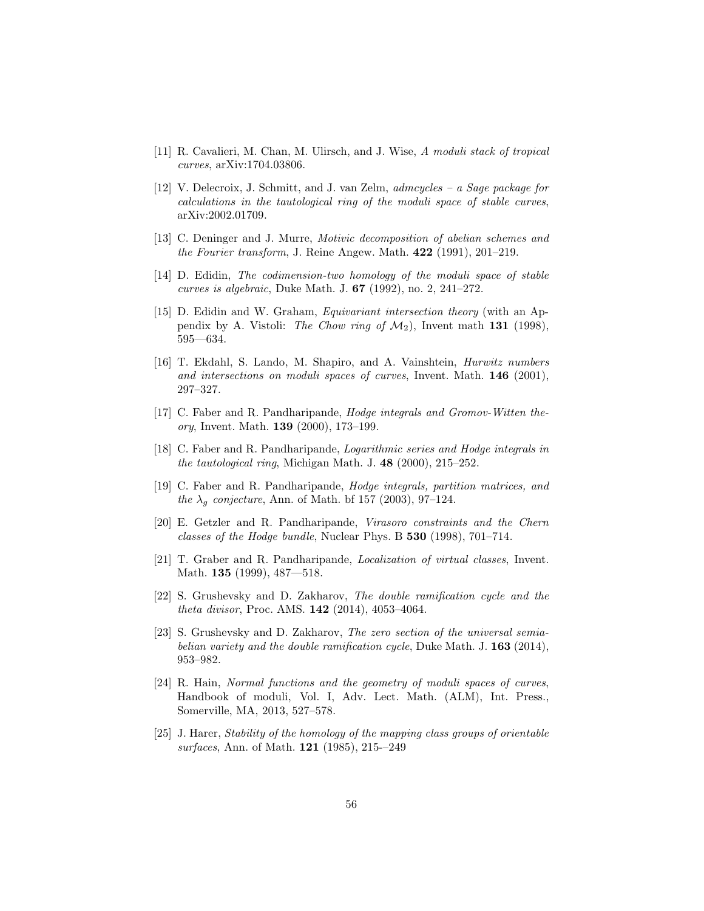- <span id="page-55-12"></span><span id="page-55-10"></span>[11] R. Cavalieri, M. Chan, M. Ulirsch, and J. Wise, A moduli stack of tropical curves, arXiv:1704.03806.
- [12] V. Delecroix, J. Schmitt, and J. van Zelm, admcycles a Sage package for calculations in the tautological ring of the moduli space of stable curves, arXiv:2002.01709.
- <span id="page-55-8"></span>[13] C. Deninger and J. Murre, Motivic decomposition of abelian schemes and the Fourier transform, J. Reine Angew. Math. 422 (1991), 201–219.
- <span id="page-55-13"></span><span id="page-55-11"></span>[14] D. Edidin, The codimension-two homology of the moduli space of stable curves is algebraic, Duke Math. J. 67 (1992), no. 2, 241–272.
- [15] D. Edidin and W. Graham, Equivariant intersection theory (with an Appendix by A. Vistoli: The Chow ring of  $\mathcal{M}_2$ ), Invent math 131 (1998), 595—634.
- <span id="page-55-0"></span>[16] T. Ekdahl, S. Lando, M. Shapiro, and A. Vainshtein, Hurwitz numbers and intersections on moduli spaces of curves, Invent. Math.  $146$  (2001), 297–327.
- <span id="page-55-1"></span>[17] C. Faber and R. Pandharipande, Hodge integrals and Gromov-Witten theory, Invent. Math. 139 (2000), 173–199.
- <span id="page-55-3"></span>[18] C. Faber and R. Pandharipande, Logarithmic series and Hodge integrals in the tautological ring, Michigan Math. J. 48 (2000), 215–252.
- <span id="page-55-4"></span>[19] C. Faber and R. Pandharipande, Hodge integrals, partition matrices, and the  $\lambda_q$  conjecture, Ann. of Math. bf 157 (2003), 97–124.
- <span id="page-55-5"></span>[20] E. Getzler and R. Pandharipande, Virasoro constraints and the Chern classes of the Hodge bundle, Nuclear Phys. B 530 (1998), 701–714.
- <span id="page-55-2"></span>[21] T. Graber and R. Pandharipande, Localization of virtual classes, Invent. Math. 135 (1999), 487—518.
- <span id="page-55-7"></span>[22] S. Grushevsky and D. Zakharov, The double ramification cycle and the theta divisor, Proc. AMS. 142 (2014), 4053–4064.
- <span id="page-55-9"></span>[23] S. Grushevsky and D. Zakharov, *The zero section of the universal semia*belian variety and the double ramification cycle, Duke Math. J.  $163$  (2014), 953–982.
- <span id="page-55-6"></span>[24] R. Hain, Normal functions and the geometry of moduli spaces of curves, Handbook of moduli, Vol. I, Adv. Lect. Math. (ALM), Int. Press., Somerville, MA, 2013, 527–578.
- <span id="page-55-14"></span>[25] J. Harer, Stability of the homology of the mapping class groups of orientable surfaces, Ann. of Math. 121 (1985), 215-–249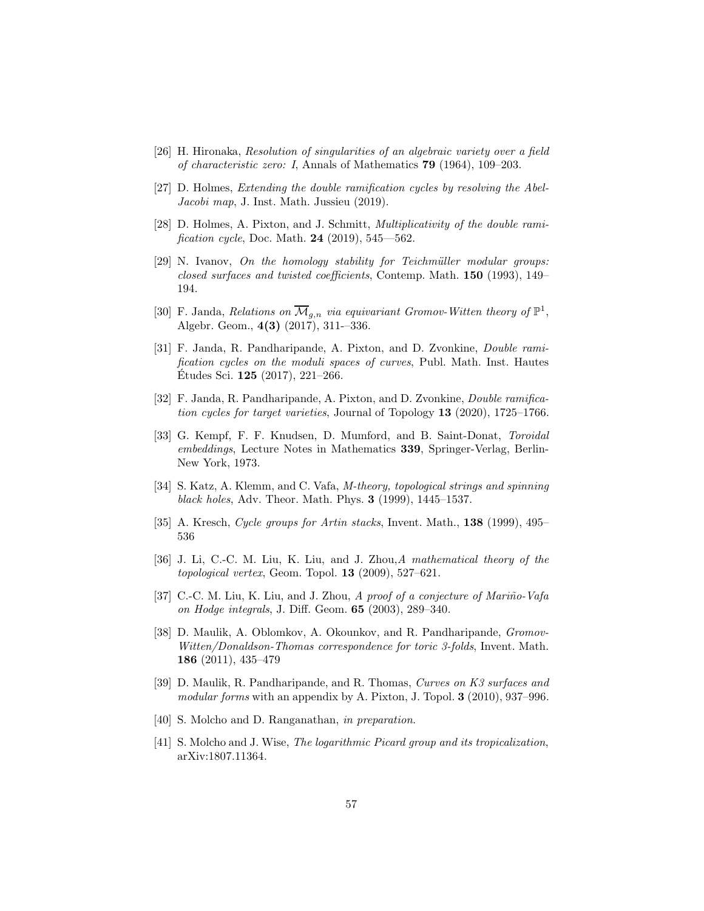- <span id="page-56-13"></span>[26] H. Hironaka, Resolution of singularities of an algebraic variety over a field of characteristic zero: I, Annals of Mathematics 79 (1964), 109–203.
- <span id="page-56-12"></span><span id="page-56-6"></span>[27] D. Holmes, Extending the double ramification cycles by resolving the Abel-Jacobi map, J. Inst. Math. Jussieu (2019).
- [28] D. Holmes, A. Pixton, and J. Schmitt, Multiplicativity of the double ramification cycle, Doc. Math. 24 (2019), 545—562.
- <span id="page-56-14"></span> $[29]$  N. Ivanov, On the homology stability for Teichmüller modular groups: closed surfaces and twisted coefficients, Contemp. Math. 150 (1993), 149– 194.
- <span id="page-56-15"></span>[30] F. Janda, Relations on  $\overline{\mathcal{M}}_{g,n}$  via equivariant Gromov-Witten theory of  $\mathbb{P}^1$ , Algebr. Geom., 4(3) (2017), 311-–336.
- <span id="page-56-3"></span>[31] F. Janda, R. Pandharipande, A. Pixton, and D. Zvonkine, Double ramification cycles on the moduli spaces of curves, Publ. Math. Inst. Hautes Etudes Sci.  $125$  (2017), 221–266.
- <span id="page-56-10"></span>[32] F. Janda, R. Pandharipande, A. Pixton, and D. Zvonkine, Double ramification cycles for target varieties, Journal of Topology 13 (2020), 1725–1766.
- <span id="page-56-8"></span>[33] G. Kempf, F. F. Knudsen, D. Mumford, and B. Saint-Donat, Toroidal embeddings, Lecture Notes in Mathematics 339, Springer-Verlag, Berlin-New York, 1973.
- <span id="page-56-4"></span>[34] S. Katz, A. Klemm, and C. Vafa, M-theory, topological strings and spinning black holes, Adv. Theor. Math. Phys. 3 (1999), 1445–1537.
- <span id="page-56-9"></span><span id="page-56-0"></span>[35] A. Kresch, Cycle groups for Artin stacks, Invent. Math., 138 (1999), 495– 536
- [36] J. Li, C.-C. M. Liu, K. Liu, and J. Zhou, A mathematical theory of the topological vertex, Geom. Topol. 13 (2009), 527–621.
- <span id="page-56-1"></span>[37] C.-C. M. Liu, K. Liu, and J. Zhou, A proof of a conjecture of Mariño-Vafa on Hodge integrals, J. Diff. Geom. 65 (2003), 289–340.
- <span id="page-56-2"></span>[38] D. Maulik, A. Oblomkov, A. Okounkov, and R. Pandharipande, *Gromov*-Witten/Donaldson-Thomas correspondence for toric 3-folds, Invent. Math. 186 (2011), 435–479
- <span id="page-56-5"></span>[39] D. Maulik, R. Pandharipande, and R. Thomas, Curves on K3 surfaces and modular forms with an appendix by A. Pixton, J. Topol. 3 (2010), 937–996.
- <span id="page-56-11"></span><span id="page-56-7"></span>[40] S. Molcho and D. Ranganathan, *in preparation*.
- [41] S. Molcho and J. Wise, The logarithmic Picard group and its tropicalization, arXiv:1807.11364.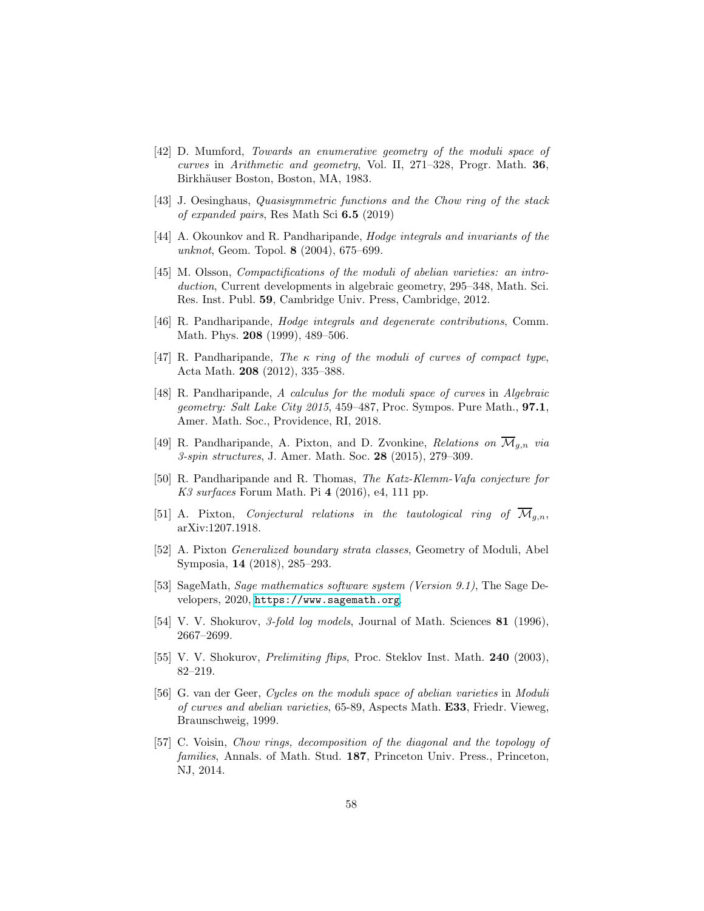- <span id="page-57-0"></span>[42] D. Mumford, Towards an enumerative geometry of the moduli space of curves in Arithmetic and geometry, Vol. II, 271–328, Progr. Math. 36, Birkhäuser Boston, Boston, MA, 1983.
- <span id="page-57-10"></span><span id="page-57-1"></span>[43] J. Oesinghaus, *Quasisymmetric functions and the Chow ring of the stack* of expanded pairs, Res Math Sci 6.5 (2019)
- [44] A. Okounkov and R. Pandharipande, Hodge integrals and invariants of the unknot, Geom. Topol. 8 (2004), 675–699.
- <span id="page-57-6"></span>[45] M. Olsson, *Compactifications of the moduli of abelian varieties: an intro*duction, Current developments in algebraic geometry, 295–348, Math. Sci. Res. Inst. Publ. 59, Cambridge Univ. Press, Cambridge, 2012.
- <span id="page-57-2"></span>[46] R. Pandharipande, Hodge integrals and degenerate contributions, Comm. Math. Phys. 208 (1999), 489–506.
- <span id="page-57-3"></span>[47] R. Pandharipande, The  $\kappa$  ring of the moduli of curves of compact type, Acta Math. 208 (2012), 335–388.
- <span id="page-57-8"></span>[48] R. Pandharipande, A calculus for the moduli space of curves in Algebraic geometry: Salt Lake City 2015, 459–487, Proc. Sympos. Pure Math., 97.1, Amer. Math. Soc., Providence, RI, 2018.
- <span id="page-57-9"></span><span id="page-57-4"></span>[49] R. Pandharipande, A. Pixton, and D. Zvonkine, Relations on  $\mathcal{M}_{q,n}$  via 3-spin structures, J. Amer. Math. Soc. 28 (2015), 279–309.
- [50] R. Pandharipande and R. Thomas, The Katz-Klemm-Vafa conjecture for  $K3$  surfaces Forum Math. Pi 4 (2016), e4, 111 pp.
- <span id="page-57-14"></span><span id="page-57-11"></span>[51] A. Pixton, *Conjectural relations in the tautological ring of*  $\overline{\mathcal{M}}_{q,n}$ , arXiv:1207.1918.
- [52] A. Pixton Generalized boundary strata classes, Geometry of Moduli, Abel Symposia, 14 (2018), 285–293.
- <span id="page-57-15"></span>[53] SageMath, Sage mathematics software system (Version 9.1), The Sage Developers, 2020, <https://www.sagemath.org>.
- <span id="page-57-13"></span><span id="page-57-12"></span>[54] V. V. Shokurov, 3-fold log models, Journal of Math. Sciences 81 (1996), 2667–2699.
- <span id="page-57-5"></span>[55] V. V. Shokurov, *Prelimiting flips*, Proc. Steklov Inst. Math. **240** (2003), 82–219.
- [56] G. van der Geer, Cycles on the moduli space of abelian varieties in Moduli of curves and abelian varieties, 65-89, Aspects Math. **E33**, Friedr. Vieweg, Braunschweig, 1999.
- <span id="page-57-7"></span>[57] C. Voisin, Chow rings, decomposition of the diagonal and the topology of families, Annals. of Math. Stud. 187, Princeton Univ. Press., Princeton, NJ, 2014.